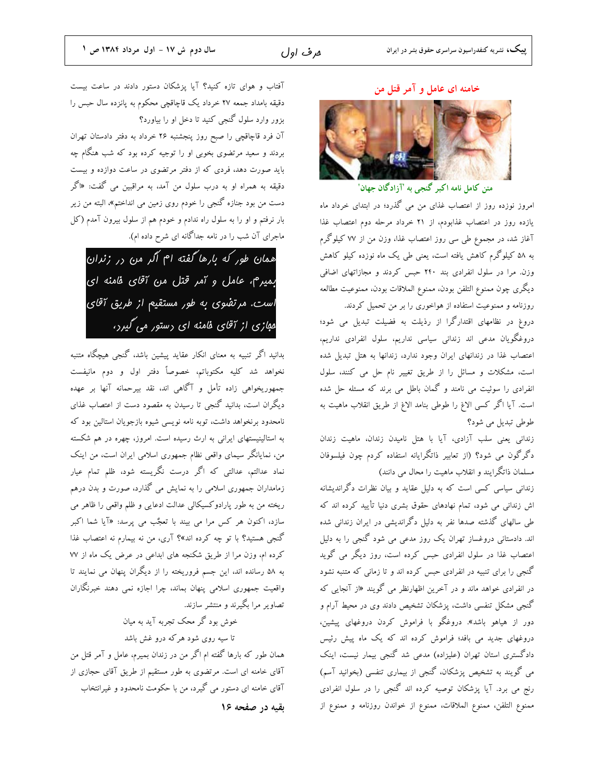ھرف اول

#### خامنه ای عامل و آمر قتل من



متن کامل نامه اکبر گنجی به 'آزادگان جهان'

امروز نوزده روز از اعتصاب غذای من می گذرد؛ در ابتدای خرداد ماه یازده روز در اعتصاب غذابودم، از ۲۱ خرداد مرحله دوم اعتصاب غذا آغاز شد، در مجموع طی سی روز اعتصاب غذا، وزن من از ۷۷ کیلوگرم به ۵۸ کیلوگرم کاهش یافته است، یعنی طی یک ماه نوزده کیلو کاهش وزن. مرا در سلول انفرادی بند ۲۴۰ حبس کردند و مجازاتهای اضافی ديگرى چون ممنوع التلفن بودن، ممنوع الملاقات بودن، ممنوعيت مطالعه روزنامه و ممنوعیت استفاده از هواخوری را بر من تحمیل کردند.

دروغ در نظامهای اقتدار گرا از رذیلت به فضیلت تبدیل می شود؛ دروغگویان مدعی اند زندانی سیاسی نداریم، سلول انفرادی نداریم، اعتصاب غذا در زندانهای ایران وجود ندارد، زندانها به هتل تبدیل شده است، مشکلات و مسائل را از طریق تغییر نام حل می کنند، سلول انفرادی را سوئیت می نامند و گمان باطل می برند که مسئله حل شده است. آيا اگر كسي الاغ را طوطي بنامد الاغ از طريق انقلاب ماهيت به طوطی تبدیل می شود؟

زندانی یعنی سلب آزادی، آیا با هتل نامیدن زندان، ماهیت زندان دگرگون می شود؟ (از تعابیر ذاتگرایانه استفاده کردم چون فیلسوفان مسلمان ذاتگرایند و انقلاب ماهیت را محال می دانند)

زندانی سیاسی کسی است که به دلیل عقاید و بیان نظرات دگراندیشانه اش زندانی می شود، تمام نهادهای حقوق بشری دنیا تأیید کرده اند که طی سالهای گذشته صدها نفر به دلیل دگراندیشی در ایران زندانی شده اند. دادستانی دروغساز تهران یک روز مدعی می شود گنجی را به دلیل اعتصاب غذا در سلول انفرادی حبس کرده است، روز دیگر می گوید گنجی را برای تنبیه در انفرادی حبس کرده اند و تا زمانی که متنبه نشود در انفرادی خواهد ماند و در آخرین اظهارنظر می گویند «از آنجایی که گنجی مشکل تنفسی داشت، پزشکان تشخیص دادند وی در محیط آرام و دور از هیاهو باشد». دروغگو با فراموش کردن دروغهای پیشین، دروغهای جدید می بافد؛ فراموش کرده اند که یک ماه پیش رئیس دادگستری استان تهران (علیزاده) مدعی شد گنجی بیمار نیست، اینک می گویند به تشخیص پزشکان، گنجی از بیماری تنفسی (بخوانید آسم) رنج می برد. آیا پزشکان توصیه کرده اند گنجی را در سلول انفرادی ممنوع التلفن، ممنوع الملاقات، ممنوع از خواندن روزنامه و ممنوع از

آفتاب و هوای تازه کنید؟ آیا پزشکان دستور دادند در ساعت بیست دقیقه بامداد جمعه ۲۷ خرداد یک قاچاقچی محکوم به پانزده سال حبس را بزور وارد سلول گنجی کنید تا دخل او را بیاورد؟

آن فرد قاچاقچی را صبح روز پنجشنبه ۲۶ خرداد به دفتر دادستان تهران بردند و سعید مرتضوی بخوبی او را توجیه کرده بود که شب هنگام چه باید صورت دهد، فردی که از دفتر مرتضوی در ساعت دوازده و بیست دقیقه به همراه او به درب سلول من آمد، به مراقبین می گفت: «اگر دست من بود جنازه گنجی را خودم روی زمین می انداختم»، البته من زیر بار نرفتم و او را به سلول راه ندادم و خودم هم از سلول بیرون آمدم (کل ماجرای آن شب را در نامه جداگانه ای شرح داده ام).

همان طور که بارها گفته ام اگر من در زندان بمیرم، عامل و آمر قتل من آقای فامنه ای است. مرتفوی به طور مستقیم از طریق آقای مهازی از آقای فامنه ای رستور می گیرر،

بدانید اگر تنبیه به معنای انکار عقاید پیشین باشد، گنجی هیچگاه متنبه نخواهد شد كليه مكتوباتم، خصوصاً دفتر اول و دوم مانيفست جمهوريخواهي زاده تأمل و آگاهي اند، نقد بيرحمانه آنها بر عهده دیگران است، بدانید گنجی تا رسیدن به مقصود دست از اعتصاب غذای نامحدود برنخواهد داشت، توبه نامه نويسي شيوه بازجويان استالين بود كه به استالینیستهای ایرانی به ارث رسیده است. امروز، چهره در هم شکسته من، نمایانگر سیمای واقعی نظام جمهوری اسلامی ایران است، من اینک نماد عدالتم، عدالتی که اگر درست نگریسته شود، ظلم تمام عیار زمامداران جمهوری اسلامی را به نمایش می گذارد، صورت و بدن درهم ریخته من به طور پارادوکسیکالی عدالت ادعایی و ظلم واقعی را ظاهر می سازد، اکنون هر کس مرا می بیند با تعجٌب می پرسد: «آیا شما اکبر گنجی هستید؟ با تو چه کرده اند»؟ آری، من نه بیمارم نه اعتصاب غذا کرده ام، وزن مرا از طریق شکنجه های ابداعی در عرض یک ماه از W به ۵۸ رسانده اند، این جسم فروریخته را از دیگران ینهان می نمایند تا واقعیت جمهوری اسلامی پنهان بماند، چرا اجازه نمی دهند خبرنگاران تصاویر مرا بگیرند و منتشر سازند.

خوش بود گر محک تجربه آید به میان تا سیه روی شود هرکه درو غش باشد همان طور که بارها گفته ام اگر من در زندان بمیرم، عامل و آمر قتل من آقای خامنه ای است. مرتضوی به طور مستقیم از طریق آقای حجازی از

آقای خامنه ای دستور می گیرد، من با حکومت نامحدود و غیرانتخاب

بقيه در صفحه ١۶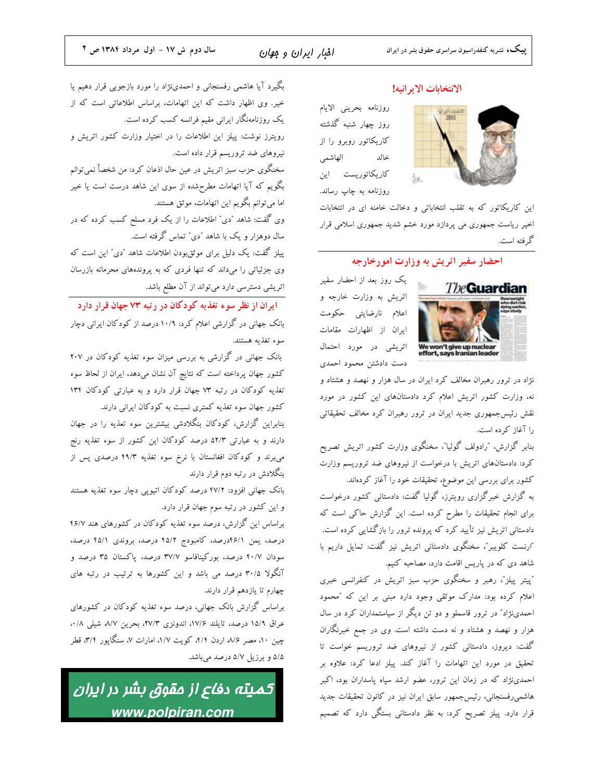#### الانتخابات الاير انيه!

روزنامه بحريني الايام روز چهار شنبه گذشته کاریکاتور روبرو را از خالد الهاشمى کاریکاتوریست این روزنامه به چاپ رساند.

این کاریکاتور که به تقلب انتخاباتی و دخالت خامنه ای در انتخابات اخیر ریاست جمهوری می پردازد مورد خشم شدید جمهوری اسلامی قرار گه فته است.

Švé.

### احضار سفیر اتریش به وزارت امورخارجه



یک روز بعد از احضار سفیر اتریش به وزارت خارجه و اعلام نارضايتي حكومت ایران از اظهارات مقامات اتریشی در مورد احتمال دست دادشتن محمود احمدى

نژاد در ترور رهبران مخالف کرد ایران در سال هزار و نهصد و هشتاد و نه، وزارت کشور اتریش اعلام کرد دادستانهای این کشور در مورد نقش رئیسجمهوری جدید ایران در ترور رهبران کرد مخالف تحقیقاتی را آغاز که ده است.

بنابر گزارش، "رادولف گولیا"، سخنگوی وزارت کشور اتریش تصریح کرد: دادستانهای اتریش با درخواست از نیروهای ضد تروریسم وزارت کشور برای بررسی این موضوع، تحقیقات خود را آغاز کردهاند.

به گزارش خبرگزاری رویترز، گولیا گفت: دادستانی کشور درخواست برای انجام تحقیقات را مطرح کرده است. این گزارش حاکی است که دادستانی اتریش نیز تأیید کرد که پرونده ترور را بازگشایی کرده است. "ارنست كلويبر"، سخنگوى دادستانى اتريش نيز گفت: تمايل داريم با شاهد دی که در پاریس اقامت دارد، مصاحبه کنیم.

"پیتر پیلز"، رهبر و سخنگوی حزب سبز اتریش در کنفرانسی خبری اعلام کرده بود: مدارک موثقی وجود دارد مبنی بر این که "محمود احمدی:زاد" در ترور قاسملو و دو تن دیگر از سیاستمداران کرد در سال هزار و نهصد و هشتاد و نه دست داشته است. وی در جمع خبرنگاران گفت: دیروز، دادستانی کشور از نیروهای ضد تروریسم خواست تا تحقیق در مورد این اتهامات را آغاز کند. پیلز ادعا کرد: علاوه بر احمدینژاد که در زمان این ترور، عضو ارشد سپاه پاسداران بود، اکبر هاشمی٫فسنجانی، رئیسجمهور سابق ایران نیز در کانون تحقیقات جدید قرار دارد. پیلز تصریح کرد: به نظر دادستانی بستگی دارد که تصمیم

بگیرد آیا هاشمی رفسنجانی و احمدینژاد را مورد بازجویی قرار دهیم یا خیر. وی اظهار داشت که این اتهامات، براساس اطلاعاتی است که از یک روزنامهنگار ایرانی مقیم فرانسه کسب کرده است. رویترز نوشت: پیلز این اطلاعات را در اختیار وزارت کشور اتریش و نیروهای ضد تروریسم قرار داده است. سخنگوی حزب سبز اتریش در عین حال اذعان کرد: من شخصاً نمیتوانم بگویم که آیا اتهامات مطرحشده از سوی این شاهد درست است یا خیر اما میتوانم بگویم این اتهامات، موثق هستند. وی گفت: شاهد "دی" اطلاعات را از یک فرد مسلح کسب کرده که در سال دوهزار و یک با شاهد "دی" تماس گرفته است.

پیلز گفت: یک دلیل برای موثقبودن اطلاعات شاهد "دی" این است که وی جزئیاتی را میداند که تنها فردی که به پروندههای محرمانه بازرسان اتریشی دسترسی دارد میتواند از آن مطلع باشد.

ا در آن از نظر سوء تغذیه کو دکان در رتبه ۷۳ جهان قرار دارد بانک جهانی در گزارشی اعلام کرد: ۱۰/۹ درصد از کودکان ایرانی دچار سوء تغذيه هستند.

بانک جهانی در گزارشی به بررسی میزان سوء تغذیه کودکان در ۲۰۷ کشور جهان پرداخته است که نتایج آن نشان میدهد، ایران از لحاظ سوء تغذیه کودکان در رتبه ٧٣ جهان قرار دارد و به عبارتی کودکان ١٣٤ کشور جهان سوء تغذیه کمتری نسبت به کودکان ایرانی دارند.

بنابراین گزارش، کودکان بنگلادشی بیشترین سوء تعذیه را در جهان دارند و به عبارتی ۵۲/۳ درصد کودکان این کشور از سوء تغذیه رنج می برند و کودکان افغانستان با نرخ سوء تغذیه ۴۹/۳ درصدی پس از بنگلادش در رتبه دوم قرار دارند

بانک جهانی افزود: ۴۷/۲ درصد کودکان اتیوپی دچار سوء تغذیه هستند و این کشور در رتبه سوم جهان قرار دارد.

براساس این گزارش، درصد سوء تغذیه کودکان در کشورهای هند ۴۶/۷ درصد، یمن ۶/۱۱درصد، کامبودج ۴۵/۲ درصد، بروندی ۴۵/۱ درصد، سودان ۴۰/۷ درصد، بورکینافاسو ۳۷/۷ درصد، پاکستان ۳۵ درصد و آنگولا ۳۰/۵ درصد می باشد و این کشورها به ترتیب در رتبه های چهارم تا یازدهم قرار دارند.

براساس گزارش بانک جهانی، درصد سوء تغذیه کودکان در کشورهای عراق ١۵/٩ درصد، تايلند ١٧/۶، اندونزى ٢٧/٣، بحرين ٨/٧ شيلي ٠/٨، چین ۱۰، مصر ۸/۶ اردن ۴/۴، کویت ۱/۷، امارات ۷، سنگاپور ۳/۴، قطر ۵/۵ و برزیل ۵/۷ درصد میباشد.

كميته دفاع از مقوق بشر در ايران www.polpiran.com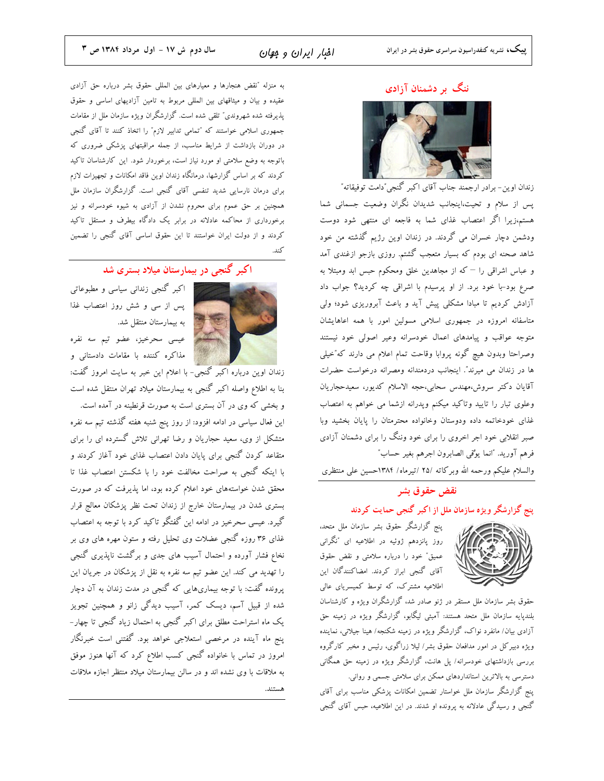#### ننگ بر دشمنان آزادی



زندان اوین- برادر ارجمند جناب آقای اکبر گنجی ٌدامت توفیقاته ؒ پس از سلام و تحیت،اینجانب شدیدان نگران وضعیت جسمانی شما هستم،زیرا اگر اعتصاب غذای شما به فاجعه ای منتهی شود دوست ودشمن دچار خسران می گردند. در زندان اوین رژیم گذشته من خود شاهد صحنه ای بودم که بسیار متعجب گشتم. روزی بازجو ازغندی آمد و عباس اشراقی را – که از مجاهدین خلق ومحکوم حبس ابد ومبتلا به صرع بود-با خود برد. از او پرسیدم با اشراقی چه کردید؟ جواب داد آزادش کردیم تا مبادا مشکلی پیش آید و باعث آبروریزی شود؛ ولی متاسفانه امروزه در جمهوری اسلامی مسولین امور با همه اعاهایشان متوجه عواقب و پیامدهای اعمال خودسرانه وعیر اصولی خود نیستند وصراحتا وبدون هيچ گونه پروابا وقاحت تمام اعلام مي دارند كه″خيلي ها در زندان می میرند". اینجانب دردمندانه ومصرانه درخواست حضرات آقايان دكتر سروش،مهندس سحابي،حجه الاسلام كديور، سعيدحجاريان وعلوی تبار را تایید وتاکید میکنم وپدرانه ازشما می خواهم به اعتصاب غذای خودخاتمه داده ودوستان وخانواده محترمتان را پایان بخشید وبا صبر انقلابی خود اجر اخروی را برای خود وننگ را برای دشمنان آزادی فرهم آوريد. "انما يوْتمي الصابرون اجرهم بغير حساب"

والسلام علیکم ورحمه الله وبرکاته /۲۵ /تیرماه/ ۱۳۸۴حسین علی منتظری

#### نقض حقوق بشر

#### ینج گزارشگر ویژه سازمان ملل از اکبر گنجی حمایت کردند

پنج گزارشگر حقوق بشر سازمان ملل متحد، روز پانزدهم ژوئیه در اطلاعیه ای "نگرانی عميق" خود را درباره سلامتي و نقض حقوق آقای گنجی ابراز کردند. امضاکنندگان این اطلاعیه مشترک، که توسط کمیسریای عالی



حقوق بشر سازمان ملل مستقر در ژنو صادر شد، گزارشگران ویژه و کارشناسان بلندیایه سازمان ملل متحد هستند: آمبئی لیگابو، گزارشگر ویژه در زمینه حق آزادی بیان/ مانفرد نواک، گزارشگر ویژه در زمینه شکنجه/ هینا جیلانی، نماینده ویژه دبیر کل در امور مدافعان حقوق بشر/ لیلا زراگوی، رئیس و مخبر کارگروه بررسی بازداشتهای خودسرانه/ پل هانت، گزارشگر ویژه در زمینه حق همگانی دسترسی به بالاترین استانداردهای ممکن برای سلامتی جسمی و روانی.

پنج گزارشگر سازمان ملل خواستار تضمین امکانات پزشکی مناسب برای آقای گنجی و رسیدگی عادلانه به پرونده او شدند. در این اطلاعیه، حبس آقای گنجی

به منزله "نقض هنجارها و معیارهای بین المللی حقوق بشر درباره حق آزادی عقیده و بیان و میثاقهای بین المللی مربوط به تامین آزادیهای اساسی و حقوق پذیرفته شده شهروندی" تلقی شده است. گزارشگران ویژه سازمان ملل از مقامات جمهوری اسلامی خواستند که "تمامی تدابیر لازم" را اتخاذ کنند تا آقای گنجی در دوران بازداشت از شرایط مناسب، از جمله مراقبتهای پزشکی ضروری که باتوجه به وضع سلامتی او مورد نیاز است، برخوردار شود. این کارشناسان تاکید کردند که بر اساس گزارشها، درمانگاه زندان اوین فاقد امکانات و تجهیزات لازم برای درمان نارسایی شدید تنفسی آقای گنجی است. گزارشگران سازمان ملل همچنین بر حق عموم برای محروم نشدن از آزادی به شیوه خودسرانه و نیز برخورداری از محاکمه عادلانه در برابر یک دادگاه بیطرف و مستقل تاکید کردند و از دولت ایران خواستند تا این حقوق اساسی آقای گنجی را تضمین

## .<br>اکبر گنجی در بیمارستان میلاد بستری شد



اکبر گنجی زندانی سیاسی و مطبوعاتی پس از سی و شش روز اعتصاب غذا به بیمارستان منتقل شد.

عیسی سحرخیز، عضو تیم سه نفره مذاکره کننده با مقامات دادستانی و

زندان اوین درباره اکبر گنجی- با اعلام این خبر به سایت امروز گفت: بنا به اطلاع واصله اکبر گنجی به بیمارستان میلاد تهران منتقل شده است و بخشی که وی در آن بستری است به صورت قرنطینه در آمده است. این فعال سیاسی در ادامه افزود: از روز پنج شنبه هفته گذشته تیم سه نفره متشکل از وی، سعید حجاریان و رضا تهرانی تلاش گسترده ای را برای متقاعد کردن گنجی برای پایان دادن اعتصاب غذای خود آغاز کردند و با اینکه گنجی به صراحت مخالفت خود را با شکستن اعتصاب غذا تا محقق شدن خواستههای خود اعلام کرده بود، اما پذیرفت که در صورت بستری شدن در بیمارستان خارج از زندان تحت نظر پزشکان معالج قرار گیرد. عیسی سحرخیز در ادامه این گفتگو تاکید کرد با توجه به اعتصاب غذای ۳۶ روزه گنجی عضلات وی تحلیل رفته و ستون مهره های وی بر نخاع فشار آورده و احتمال آسیب های جدی و برگشت ناپذیری گنجی را تهدید می کند. این عضو تیم سه نفره به نقل از پزشکان در جریان این پرونده گفت: با توجه بیماریهایی که گنجی در مدت زندان به آن دچار شده از قبیل آسم، دیسک کمر، آسیب دیدگی زانو و همچنین تجویز یک ماه استراحت مطلق برای اکبر گنجی به احتمال زیاد گنجی تا چهار-پنج ماه آینده در مرخصی استعلاجی خواهد بود. گفتنی است خبرنگار امروز در تماس با خانواده گنجی کسب اطلاع کرد که آنها هنوز موفق به ملاقات با وی نشده اند و در سالن بیمارستان میلاد منتظر اجازه ملاقات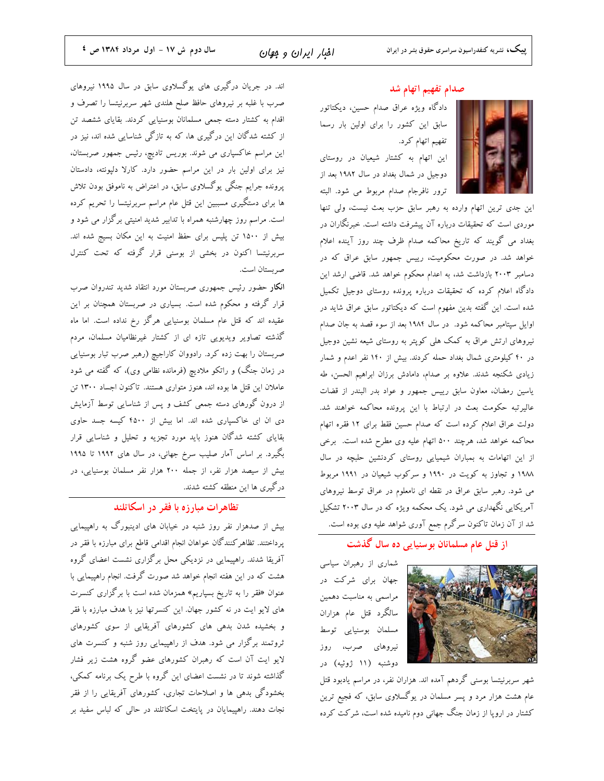صدام تفهیم اتهام شد دادگاه ویژه عراق صدام حسین، دیکتاتور سابق این کشور را برای اولین بار رسما

تفهيم اتهام كرد. این اتهام به کشتار شیعیان در روستای دوجیل در شمال بغداد در سال ۱۹۸۲ بعد از ترور نافرجام صدام مربوط مي شود. البته

این جدی ترین اتهام وارده به رهبر سابق حزب بعث نیست، ولی تنها موردی است که تحقیقات درباره آن پیشرفت داشته است. خبرنگاران در بغداد می گویند که تاریخ محاکمه صدام ظرف چند روز آینده اعلام خواهد شد. در صورت محکومیت، رییس جمهور سابق عراق که در دسامبر ۲۰۰۳ بازداشت شد، به اعدام محکوم خواهد شد. قاضی ارشد این دادگاه اعلام کرده که تحقیقات درباره پرونده روستای دوجیل تکمیل شده است. این گفته بدین مفهوم است که دیکتاتور سابق عراق شاید در اوایل سپتامبر محاکمه شود. در سال ۱۹۸۴ بعد از سوء قصد به جان صدام نیروهای ارتش عراق به کمک هلی کوپتر به روستای شیعه نشین دوجیل در ۴۰ کیلومتری شمال بغداد حمله کردند. بیش از ۱۴۰ نفر اعدم و شمار زیادی شکنجه شدند. علاوه بر صدام، دامادش برزان ابراهیم الحسن، طه یاسین رمضان، معاون سابق رییس جمهور و عواد بدر البندر از قضات عالیرتبه حکومت بعث در ارتباط با این پرونده محاکمه خواهند شد. دولت عراق اعلام کرده است که صدام حسین فقط برای ۱۲ فقره اتهام محاکمه خواهد شد، هرچند ۵۰۰ اتهام علیه وی مطرح شده است. برخی از این اتهامات به بمباران شیمیایی روستای کردنشین حلبچه در سال ۱۹۸۸ و تجاوز به کویت در ۱۹۹۰ و سرکوب شیعیان در ۱۹۹۱ مربوط می شود. رهبر سابق عراق در نقطه ای نامعلوم در عراق توسط نیروهای آمریکایی نگهداری می شود. یک محکمه ویژه که در سال ۲۰۰۳ تشکیل شد از آن زمان تاکنون سرگرم جمع آوری شواهد علیه وی بوده است.

### از قتل عام مسلمانان بو سنیایی ده سال گذشت



شماری از رهبران سیاسی جهان برای شرکت در مراسمی به مناسبت دهمین سالگرد قتل عام هزاران مسلمان بوسنيايي توسط نیروهای صرب، روز دوشنبه (۱۱ ژوئیه) در

شهر سربرنیتسا بوسنی گردهم آمده اند. هزاران نفر، در مراسم یادبود قتل عام هشت هزار مرد و پسر مسلمان در یوگسلاوی سابق، که فجیع ترین کشتار در اروپا از زمان جنگ جهانی دوم نامیده شده است، شرکت کرده

اند. در جریان درگیری های یوگسلاوی سابق در سال ۱۹۹۵ نیروهای صرب با غلبه بر نیروهای حافظ صلح هلندی شهر سربرنیتسا را تصرف و اقدام به کشتار دسته جمعی مسلمانان بوسنیایی کردند. بقایای ششصد تن از کشته شدگان این درگیری ها، که به تازگی شناسایی شده اند، نیز در این مراسم خاکسپاری می شوند. بوریس تادیچ، رئیس جمهور صربستان، نیز برای اولین بار در این مراسم حضور دارد. کارلا دلپونته، دادستان پرونده جرایم جنگی یوگسلاوی سابق، در اعتراض به ناموفق بودن تلاش ها برای دستگیری مسببین این قتل عام مراسم سربرنیتسا را تحریم کرده است. مراسم روز چهارشنبه همراه با تدابیر شدید امنیتی برگزار می شود و بیش از ۱۵۰۰ تن پلیس برای حفظ امنیت به این مکان بسیج شده اند. سربرنیتسا اکنون در بخشی از بوسنی قرار گرفته که تحت کنترل صر بستان است.

انکار حضور رئیس جمهوری صربستان مورد انتقاد شدید تندروان صرب قرار گرفته و محکوم شده است. بسیاری در صربستان همچنان بر این عقیده اند که قتل عام مسلمان بوسنیایی هرگز رخ نداده است. اما ماه گذشته تصاویر ویدیویی تازه ای از کشتار غیرنظامیان مسلمان، مردم صربستان را بهت زده کرد. رادووان کاراجیچ (رهبر صرب تبار بوسنیایی در زمان جنگ) و راتکو ملادیچ (فرمانده نظامی وی)، که گفته می شود عاملان این قتل ها بوده اند، هنوز متواری هستند. تاکنون اجساد ۱۳۰۰ تن از درون گورهای دسته جمعی کشف و پس از شناسایی توسط آزمایش دی ان ای خاکسپاری شده اند. اما بیش از ۴۵۰۰ کیسه جسد حاوی بقایای کشته شدگان هنوز باید مورد تجزیه و تحلیل و شناسایی قرار بگیرد. بر اساس آمار صلیب سرخ جهانی، در سال های ۱۹۹۲ تا ۱۹۹۵ بیش از سیصد هزار نفر، از جمله ۲۰۰ هزار نفر مسلمان بوسنیایی، در درگیری ها این منطقه کشته شدند.

#### تظاهرات مبارزه با فقر در اسکاتلند

بیش از صدهزار نفر روز شنبه در خیابان های ادینبورگ به راهپیمایی پرداختند. تظاهر کنندگان خواهان انجام اقدامی قاطع برای مبارزه با فقر در آفریقا شدند. راهپیمایی در نزدیکی محل برگزاری نشست اعضای گروه هشت که در این هفته انجام خواهد شد صورت گرفت. انجام راهپیمایی با عنوان «فقر را به تاریخ بسپاریم» همزمان شده است با برگزاری کنسرت های لایو ایت در نه کشور جهان. این کنسرتها نیز با هدف مبارزه با فقر و بخشیده شدن بدهی های کشورهای آفریقایی از سوی کشورهای ثروتمند برگزار می شود. هدف از راهپیمایی روز شنبه و کنسرت های لایو ایت آن است که رهبران کشورهای عضو گروه هشت زیر فشار گذاشته شوند تا در نشست اعضای این گروه با طرح یک برنامه کمکی، بخشودگی بدهی ها و اصلاحات تجاری، کشورهای آفریقایی را از فقر نجات دهند. راهپیمایان در پایتخت اسکاتلند در حالی که لباس سفید بر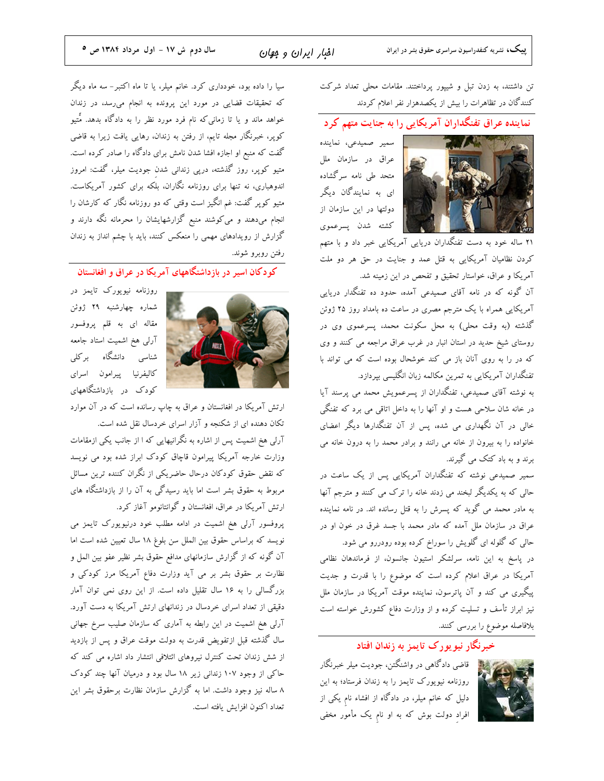تن داشتند، به زدن تبل و شیپور پرداختند. مقامات محلی تعداد شرکت کنندگان در تظاهرات را بیش از یکصدهزار نفر اعلام کردند

## نماینده عراق تفنگداران آمریکایی را به جنایت متهم کرد

سمير صميدعي، نماينده عراق در سازمان ملل متحد طی نامه سرگشاده ای به نمایندگان دیگر دولتها در این سازمان از كشته شدن يسرعموي

۲۱ ساله خود به دست تفنگداران دریایی آمریکایی خبر داد و با متهم کردن نظامیان آمریکایی به قتل عمد و جنایت در حق هر دو ملت آمریکا و عراق، خواستار تحقیق و تفحص در این زمینه شد.

آن گونه که در نامه آقای صمیدعی آمده، حدود ده تفنگدار دریایی آمریکایی همراه با یک مترجم مصری در ساعت ده بامداد روز ۲۵ ژوئن گذشته (به وقت محلی) به محل سکونت محمد، پسرعموی وی در روستای شیخ حدید در استان انبار در غرب عراق مراجعه می کنند و وی که در را به روی آنان باز می کند خوشحال بوده است که می تواند با تفنگداران آمریکایی به تمرین مکالمه زبان انگلیسی بپردازد.

به نوشته آقای صمیدعی، تفنگداران از پسرعمویش محمد می پرسند آیا در خانه شان سلاحی هست و او آنها را به داخل اتاقی می برد که تفنگی خالی در آن نگهداری می شده، پس از آن تفنگدارها دیگر اعضای خانواده را به بیرون از خانه می رانند و برادر محمد را به درون خانه می برند و به باد کتک می گیرند.

سمیر صمیدعی نوشته که تفنگداران آمریکایی پس از یک ساعت در حالی که به یکدیگر لبخند می زدند خانه را ترک می کنند و مترجم آنها به مادر محمد می گوید که پسرش را به قتل رسانده اند. در نامه نماینده عراق در سازمان ملل آمده که مادر محمد با جسد غرق در خون او در حالی که گلوله ای گلویش را سوراخ کرده بوده رودررو می شود.

در پاسخ به این نامه، سرلشکر استیون جانسون، از فرماندهان نظامی آمریکا در عراق اعلام کرده است که موضوع را با قدرت و جدیت پیگیری می کند و آن پاترسون، نماینده موقت آمریکا در سازمان ملل نیز ابراز تأسف و تسلیت کرده و از وزارت دفاع کشورش خواسته است بلافاصله موضوع را بررسی کنند.

خبرنگار نیو یو رک تایمز به زندان افتاد



.<br>نام قاضی دادگاهی در واشنگتن، جودیت میلر خبرنگار روزنامه نیویورک تایمز را به زندان فرستاد؛ به این دلیل که خانم میلر، در دادگاه از افشاء نام یکی از افراد دولت بوش که به او نام یک مأمور مخفی

سیا را داده بود، خودداری کرد. خانم میلر، یا تا ماه اکتبر- سه ماه دیگر که تحقیقات قضایی در مورد این پرونده به انجام می رسد، در زندان خواهد ماند و یا تا زمانی که نام فرد مورد نظر را به دادگاه بدهد. مَّتیو کوپر، خبرنگار مجله تایم، از رفتن به زندان، رهایی یافت زیرا به قاضی گفت که منبع او اجازه افشا شدن نامش برای دادگاه را صادر کرده است. متیو کوپر، روز گذشته، درپی زندانی شدن جودیت میلر، گفت: امروز اندوهباری، نه تنها برای روزنامه نگاران، بلکه برای کشور آمریکاست. متیو کوپر گفت: غم انگیز است وقتی که دو روزنامه نگار که کارشان را .<br>انجام میدهند و میکوشند منبع گزارشهایشان را محرمانه نگه دارند و گزارش از رویدادهای مهمی را منعکس کنند، باید با چشم انداز به زندان رفتن روبرو شوند.

کودکان اسیر در بازداشتگاههای آمریکا در عراق و افغانستان



روزنامه نیویورک تایمز در شماره چهارشنبه ۲۹ ژوئن مقاله ای به قلم پروفسور آرلی هخ اشمیت استاد جامعه شناسی دانشگاه برکلی كاليفرنيا پيرامون اسراى کودک در بازداشتگاههای

ارتش آمریکا در افغانستان و عراق به چاپ رسانده است که در آن موارد تکان دهنده ای از شکنجه و آزار اسرای خردسال نقل شده است.

آرلی هخ اشمیت پس از اشاره به نگرانیهایی که ا از جانب یکی ازمقامات وزارت خارجه آمریکا پیرامون قاچاق کودک ابراز شده بود می نویسد که نقض حقوق کودکان درحال حاضریکی از نگران کننده ترین مسائل مربوط به حقوق بشر است اما باید رسیدگی به آن را از بازداشتگاه های ارتش آمریکا در عراق، افغانستان و گوانتانومو آغاز کرد.

پروفسور آرلی هخ اشمیت در ادامه مطلب خود درنیویورک تایمز می نویسد که براساس حقوق بین الملل سن بلوغ ۱۸ سال تعیین شده است اما آن گونه که از گزارش سازمانهای مدافع حقوق بشر نظیر عفو بین المل و نظارت بر حقوق بشر بر می آید وزارت دفاع آمریکا مرز کودکی و بزرگسالی را به ۱۶ سال تقلیل داده است. از این روی نمی توان آمار دقیقی از تعداد اسرای خردسال در زندانهای ارتش آمریکا به دست آورد. آرلی هخ اشمیت در این رابطه به آماری که سازمان صلیب سرخ جهانی سال گذشته قبل ازتفویض قدرت به دولت موقت عراق و پس از بازدید از شش زندان تحت کنترل نیروهای ائتلافی انتشار داد اشاره می کند که حاکی از وجود ۱۰۷ زندانی زیر ۱۸ سال بود و درمیان آنها چند کودک ۸ ساله نیز وجود داشت. اما به گزارش سازمان نظارت برحقوق بشر این تعداد اكنون افزايش يافته است.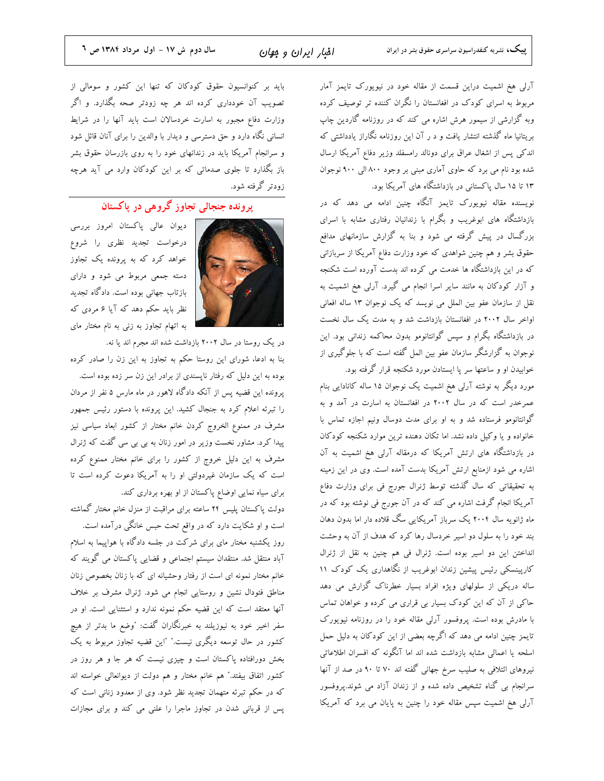آرلی هخ اشمیت دراین قسمت از مقاله خود در نیویورک تایمز آمار مربوط به اسرای کودک در افغانستان را نگران کننده تر توصیف کرده وبه گزارشی از سیمور هرش اشاره می کند که در روزنامه گاردین چاپ بریتانیا ماه گذشته انتشار یافت و د ر آن این روزنامه نگاراز یادداشتی که اندکی پس از اشغال عراق برای دونالد رامسفلد وزیر دفاع آمریکا ارسال شده بود نام می برد که حاوی آماری مبنی بر وجود ۸۰۰ البی ۹۰۰ نوجوان ۱۳ تا ۱۵ سال پاکستانی در بازداشتگاه های آمریکا بود.

نویسنده مقاله نیویورک تایمز آنگاه چنین ادامه می دهد که در بازداشتگاه های ابوغریب و بگرام با زندانیان رفتاری مشابه با اسرای بزرگسال در پیش گرفته می شود و بنا به گزارش سازمانهای مدافع حقوق بشر و هم چنین شواهدی که خود وزارت دفاع آمریکا از سربازانی که در این بازداشتگاه ها خدمت می کرده اند بدست آورده است شکنجه و آزار کودکان به مانند سایر اسرا انجام می گیرد. آرلی هخ اشمیت به نقل از سازمان عفو بین الملل می نویسد که یک نوجوان ۱۳ ساله افعانی اواخر سال ۲۰۰۲ در افغانستان بازداشت شد و به مدت یک سال نخست در بازداشتگاه بگرام و سپس گوانتانومو بدون محاکمه زندانی بود. این نوجوان به گزارشگر سازمان عفو بین المل گفته است که با جلوگیری از خوابیدن او و ساعتها سر پا ایستادن مورد شکنجه قرار گرفته بود.

مورد دیگر به نوشته آرلی هخ اشمیت یک نوجوان ۱۵ ساله کانادایی بنام عمرخدر است که در سال ۲۰۰۲ در افغانستان به اسارت در آمد و به گوانتانومو فرستاده شد و به او برای مدت دوسال ونیم اجازه تماس با خانواده و یا وکیل داده نشد. اما تکان دهنده ترین موارد شکنجه کودکان در بازداشتگاه های ارتش آمریکا که درمقاله آرلی هخ اشمیت به آن اشاره می شود ازمنابع ارتش آمریکا بدست آمده است. وی در این زمینه به تحقیقاتی که سال گذشته توسط ژنرال جورج فی برای وزارت دفاع آمریکا انجام گرفت اشاره می کند که در آن جورج فی نوشته بود که در ماه ژانویه سال ۲۰۰۴ یک سرباز آمریکایی سگ قلاده دار اما بدون دهان بند خود را به سلول دو اسیر خردسال رها کرد که هدف از آن به وحشت انداختن این دو اسیر بوده است. ژنرال فی هم چنین به نقل از ژنرال کارپینسکی رئیس پیشین زندان ابوغریب از نگاهداری یک کودک ۱۱ ساله دریکی از سلولهای ویژه افراد بسیار خطرناک گزارش می دهد حاکی از آن که این کودک بسیار بی قراری می کرده و خواهان تماس با مادرش بوده است. پروفسور آرلی مقاله خود را در روزنامه نیویورک تایمز چنین ادامه می دهد که اگرچه بعضی از این کودکان به دلیل حمل اسلحه یا اعمالی مشابه بازداشت شده اند اما آنگونه که افسران اطلاعاتی نیروهای ائتلافی به صلیب سرخ جهانی گفته اند ۷۰ تا ۹۰ در صد از آنها سرانجام بی گناه تشخیص داده شده و از زندان آزاد می شوند.پروفسور آرلی هخ اشمیت سپس مقاله خود را چنین به پایان می برد که آمریکا

باید بر کنوانسیون حقوق کودکان که تنها این کشور و سومالی از تصویب آن خودداری کرده اند هر چه زودتر صحه بگذارد. و اگر وزارت دفاع مجبور به اسارت خردسالان است باید آنها را در شرایط انسانی نگاه دارد و حق دسترسی و دیدار با والدین را برای آنان قائل شود و سرانجام آمریکا باید در زندانهای خود را به روی بازرسان حقوق بشر باز بگذارد تا جلوی صدماتی که بر این کودکان وارد می آید هرچه زودتر گرفته شود.

پرونده جنجالی تجاوز گروهی در پاکستان



دیوان عالی پاکستان امروز بررسی درخواست تجدید نظری را شروع خواهد کرد که به پرونده یک تجاوز دسته جمعی مربوط می شود و دارای بازتاب جهانی بوده است. دادگاه تجدید نظر باید حکم دهد که آیا ۶ مردی که به اتهام تجاوز به زنی به نام مختار مای

در یک روستا در سال ۲۰۰۲ بازداشت شده اند مجرم اند یا نه. بنا به ادعا، شورای این روستا حکم به تجاوز به این زن را صادر کرده بوده به این دلیل که رفتار ناپسندی از برادر این زن سر زده بوده است. پرونده این قضیه پس از آنکه دادگاه لاهور در ماه مارس ۵ نفر از مردان را تبرئه اعلام کرد به جنجال کشید. این پرونده با دستور رئیس جمهور مشرف در ممنوع الخروج كردن خانم مختار از كشور ابعاد سياسي نيز پیدا کرد. مشاور نخست وزیر در امور زنان به بی بی سی گفت که ژنرال مشرف به این دلیل خروج از کشور را برای خانم مختار ممنوع کرده است که یک سازمان غیردولتی او را به آمریکا دعوت کرده است تا برای سیاه نمایی اوضاع پاکستان از او بهره برداری کند.

دولت پاکستان پلیس ۲۴ ساعته برای مراقبت از منزل خانم مختار گماشته است و او شکایت دارد که در واقع تحت حبس خانگی درآمده است. روز یکشنبه مختار مای برای شرکت در جلسه دادگاه با هواپیما به اسلام آباد منتقل شد. منتقدان سیستم اجتماعی و قضایی پاکستان می گویند که خانم مختار نمونه ای است از رفتار وحشیانه ای که با زنان بخصوص زنان مناطق فئودال نشین و روستایی انجام می شود. ژنرال مشرف بر خلاف آنها معتقد است که این قضیه حکم نمونه ندارد و استثنایی است. او در سفر اخیر خود به نیوزیلند به خبرنگاران گفت: "وضع ما بدتر از هیچ کشور در حال توسعه دیگری نیست." "این قضیه تجاوز مربوط به یک بخش دورافتاده پاکستان است و چیزی نیست که هر جا و هر روز در كشور اتفاق بيفتد." هم خانم مختار و هم دولت از ديوانعالي خواسته اند که در حکم تبرئه متهمان تجدید نظر شود. وی از معدود زنانی است که پس از قربانی شدن در تجاوز ماجرا را علنی می کند و برای مجازات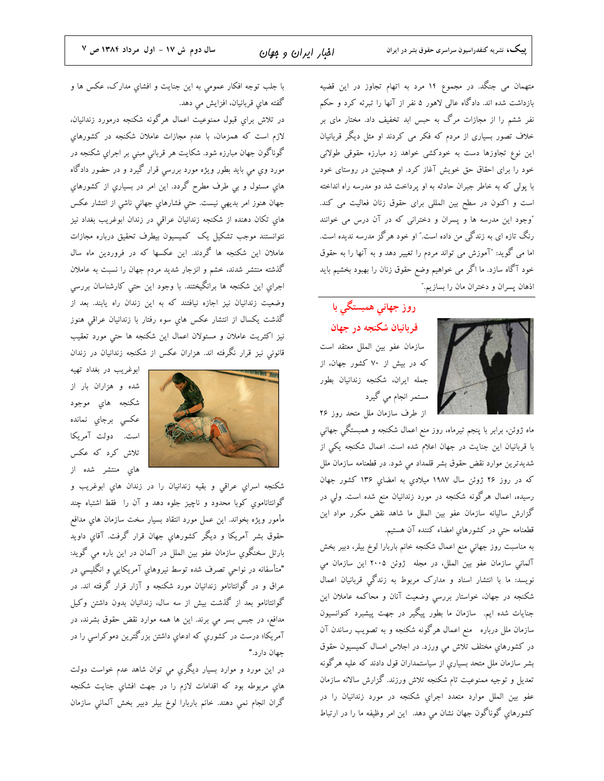متهمان می جنگد. در مجموع ۱۴ مرد به اتهام تجاوز در این قضیه بازداشت شده اند. دادگاه عالی لاهور ۵ نفر از آنها را تبرئه کرد و حکم نفر ششم را از مجازات مرگ به حبس ابد تخفیف داد. مختار مای بر خلاف تصور بسیاری از مردم که فکر می کردند او مثل دیگر قربانیان این نوع تجاوزها دست به خودکشی خواهد زد مبارزه حقوقی طولانی خود را برای احقاق حق خویش آغاز کرد. او همچنین در روستای خود با پولی که به خاطر جبران حادثه به او پرداخت شد دو مدرسه راه انداخته است و اکنون در سطح بین المللی برای حقوق زنان فعالیت می کند. "وجود این مدرسه ها و پسران و دخترانی که در آن درس می خوانند رنگ تازه ای به زندگی من داده است." او خود هرگز مدرسه ندیده است. اما می گوید: "آموزش می تواند مردم را تغییر دهد و به آنها را به حقوق خود آگاه سازد. ما اگر می خواهیم وضع حقوق زنان را بهبود بخشیم باید اذهان پسران و دختران مان را بسازیم."

## روز جهانی همبستگی با قربانیان شکنجه در جهان

سازمان عفو بين الملل معتقد است که در بیش از ۷۰ کشور جهان، از جمله ايران، شكنجه زندانيان بطور مستمر انجام می گیرد

از طرف سازمان ملل متحد روز ۲۶

ماه ژوئن، برابر با پنجم تیرماه، روز منع اعمال شکنجه و همبستگی جهانی با قربانیان این جنایت در جهان اعلام شده است. اعمال شکنجه یکی از شدیدترین موارد نقض حقوق بشر قلمداد می شود. در قطعنامه سازمان ملل که در روز ۲۶ ژوئن سال ۱۹۸۷ میلادی به امضای ۱۳۶ کشور جهان رسیده، اعمال هرگونه شکنجه در مورد زندانیان منع شده است. ولی در گزارش سالیانه سازمان عفو بین الملل ما شاهد نقض مکرر مواد این قطعنامه حتى در كشورهاي امضاء كننده آن هستيم.

به مناسبت روز جهانی منع اعمال شکنجه خانم باربارا لوخ بیلر، دبیر بخش آلمانی سازمان عفو بین الملل، در مجله ژوئن ۲۰۰۵ این سازمان می نویسد: ما با انتشار اسناد و مدارک مربوط به زندگی قربانیان اعمال شکنجه در جهان، خواستار بررسی وضعیت آنان و محاکمه عاملان این جنایات شده ایم. سازمان ما بطور پیگیر در جهت پیشبرد کنوانسیون سازمان ملل درباره ً منع اعمال هرگونه شکنجه و به تصویب رساندن آن در کشورهای مختلف تلاش می ورزد. در اجلاس امسال کمیسیون حقوق بشر سازمان ملل متحد بسیاری از سیاستمداران قول دادند که علیه هرگونه تعدیل و توجیه ممنوعیت تام شکنجه تلاش ورزند. گزارش سالانه سازمان عفو بين الملل موارد متعدد اجراي شكنجه در مورد زندانيان را در كشورهاي گوناگون جهان نشان می دهد. اين امر وظيفه ما را در ارتباط

با جلب توجه افكار عمومي به اين جنايت و افشاي مدارک، عکس ها و گفته های قربانیان، افزایش می دهد.

در تلاش برای قبول ممنوعیت اعمال هرگونه شکنجه درمورد زندانیان، لازم است که همزمان، با عدم مجازات عاملان شکنجه در کشورهای گوناگون جهان مبارزه شود. شکایت هر قربانی مبنی بر اجرایِ شکنجه در مورد وي مي بايد بطور ويژه مورد بررسی قرار گيرد و در حضور دادگاه های مسئول و بی طرف مطرح گردد. این امر در بسیاری از کشورهای جهان هنوز امر بدیهی نیست. حتی فشارهایِ جهانی ناشی از انتشار عکس های تکان دهنده از شکنجه زندانیان عراقی در زندان ابوغریب بغداد نیز نتوانستند موجب تشكيل يك كميسيون بيطرف تحقيق درباره مجازات عاملان این شکنجه ها گردند. این عکسها که در فروردین ماه سال گذشته منتشر شدند، خشم و انزجار شدید مردم جهان را نسبت به عاملان اجراي اين شكنجه ها برانگيختند. با وجود اين حتى كارشناسان بررسي وضعیت زندانیان نیز اجازه نیافتند که به این زندان راه یابند. بعد از گذشت يكسال از انتشار عكس هاي سوء رفتار با زندانيان عراقي هنوز نیز اکثریت عاملان و مسئولان اعمال این شکنجه ها حتی مورد تعقیب قانونی نیز قرار نگرفته اند. هزاران عکس از شکنجه زندانیان در زندان



ابوغريب در بغداد تهيه شده و هزاران بار از شکنجه های موجود عکسی برجای نمانده است. دولت آمریکا تلاش کرد که عکس های منتشر شده از

شكنجه اسراي عراقي و بقيه زندانيان را در زندان هاي ابوغريب و گوانتاناموی کوبا محدود و ناچیز جلوه دهد و آن را فقط اشتباه چند مأمور ويژه بخواند. اين عمل مورد انتقاد بسيار سخت سازمان هاى مدافع حقوق بشر آمریکا و دیگر کشورهای جهان قرار گرفت. آقای داوید بارتل سخنگوي سازمان عفو بين الملل در آلمان در اين باره مي گويد: "متأسفانه در نواحی تصرف شده توسط نیروهای آمریکایی و انگلیسی در عراق و در گوانتانامو زندانیان مورد شکنجه و آزار قرار گرفته اند. در گوانتانامو بعد از گذشت بیش از سه سال، زندانیان بدون داشتن وکیل مدافع، در جبس بسر می برند. این ها همه موارد نقض حقوق بشرند، در آمریکا؛ درست در کشوری که ادعای داشتن بزرگترین دموکراسی را در حهان دارد."

در این مورد و موارد بسیار دیگري می توان شاهد عدم خواست دولت هاي مربوطه بود كه اقدامات لازم را در جهت افشاي جنايت شكنجه گران انجام نمی دهند. خانم باربارا لوخ بیلر دبیر بخش آلمانی سازمان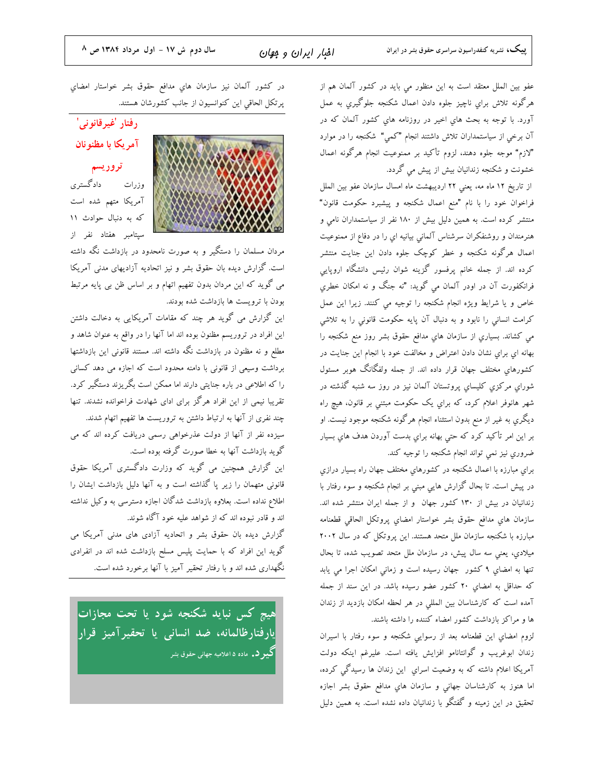عفو بين الملل معتقد است به اين منظور مي بايد در كشور آلمان هم از هرگونه تلاش برای ناچیز جلوه دادن اعمال شکنجه جلوگیری به عمل آورد. با توجه به بحث های اخیر در روزنامه های کشور آلمان که در آن برخی از سیاستمداران تلاش داشتند انجام "کمی" شکنجه را در موارد "لازم" موجه جلوه دهند، لزوم تأكيد بر ممنوعيت انجام هرگونه اعمال خشونت و شکنجه زندانیان بیش از پیش می گردد.

از تاریخ ۱۲ ماه مه، یعنی ۲۲ اردیبهشت ماه امسال سازمان عفو بین الملل فراخوان خود را با نام "منع اعمال شكنجه و پیشبرد حكومت قانون" منتشر کرده است. به همین دلیل بیش از ۱۸۰ نفر از سیاستمداران نامی و هنرمندان و روشنفکران سرشناس آلمانی بیانیه ای را در دفاع از ممنوعیت اعمال هرگونه شکنجه و خطر کوچک جلوه دادن این جنایت منتشر کرده اند. از جمله خانم پرفسور گزینه شوان رئیس دانشگاه اروپایی فرانکفورت آن در اودر آلمان می گوید: "نه جنگ و نه امکان خطري خاص و یا شرایط ویژه انجام شکنجه را توجیه می کنند. زیرا این عمل کرامت انسانی را نابود و به دنبال آن پایه حکومت قانونی را به تلاشی می کشاند. بسیاری از سازمان های مدافع حقوق بشر روز منع شکنجه را بهانه ای برای نشان دادن اعتراض و مخالفت خود با انجام این جنایت در کشورهای مختلف جهان قرار داده اند. از جمله ولفگانگ هوبر مسئول شورای مرکزی کلیسای پروتستان آلمان نیز در روز سه شنبه گذشته در شهر هانوفر اعلام کرد، که برای یک حکومت مبتنی بر قانون، هیچ راه دیگری به غیر از منع بدون استثناء انجام هرگونه شکنجه موجود نیست. او بر این امر تأکید کرد که حتی بهانه برای بدست آوردن هدف های بسیار ضروري نيز نمي تواند انجام شكنجه را توجيه كند.

برای مبارزه با اعمال شکنجه در کشورهای مختلف جهان راه بسیار درازی در پیش است. تا بحال گزارش هایی مبنی بر انجام شکنجه و سوء رفتار با زندانیان در بیش از ۱۳۰ کشور جهان و از جمله ایران منتشر شده اند. سازمان هاي مدافع حقوق بشر خواستار امضاي پروتكل الحاقي قطعنامه مبارزه با شکنجه سازمان ملل متحد هستند. این پروتکل که در سال ۲۰۰۲ میلادی، یعنی سه سال پیش، در سازمان ملل متحد تصویب شده، تا بحال تنها به امضای ۹ کشور جهان رسیده است و زمانی امکان اجرا می یابد که حداقل به امضای ۲۰ کشور عضو رسیده باشد. در این سند از جمله آمده است که کارشناسان بین المللی در هر لحظه امکان بازدید از زندان ها و مراکز بازداشت کشور امضاء کننده را داشته باشند.

لزوم امضای این قطعنامه بعد از رسوایی شکنجه و سوء رفتار با اسیران زندان ابوغريب و گوانتانامو افزايش يافته است. عليرغم اينكه دولت آمریکا اعلام داشته که به وضعیت اسرای این زندان ها رسیدگی کرده، اما هنوز به کارشناسان جهانی و سازمان های مدافع حقوق بشر اجازه تحقیق در این زمینه و گفتگو با زندانیان داده نشده است. به همین دلیل

در كشور آلمان نيز سازمان هاي مدافع حقوق بشر خواستار امضاي پرتکل الحاقي اين کنوانسيون از جانب کشورشان هستند.



رفتار 'غیرقانونی' آمريكا با مظنونان تروريسم

وزرات دادگستری آمریکا متهم شده است که به دنبال حوادث ۱۱ سیتامبر هفتاد نفر از

مردان مسلمان را دستگیر و به صورت نامحدود در بازداشت نگه داشته است. گزارش دیده بان حقوق بشر و نیز اتحادیه آزادیهای مدنی آمریکا می گوید که این مردان بدون تفهیم اتهام و بر اساس ظن بی پایه مرتبط بودن با ترویست ها بازداشت شده بودند.

این گزارش می گوید هر چند که مقامات آمریکایی به دخالت داشتن این افراد در تروریسم مظنون بوده اند اما آنها را در واقع به عنوان شاهد و مطلع و نه مظنون در بازداشت نگه داشته اند. مستند قانونی این بازداشتها برداشت وسیعی از قانونی با دامنه محدود است که اجازه می دهد کسانی را که اطلاعی در باره جنایتی دارند اما ممکن است بگریزند دستگیر کرد. تقریبا نیمی از این افراد هرگز برای ادای شهادت فراخوانده نشدند. تنها چند نفری از آنها به ارتباط داشتن به تروریست ها تفهیم اتهام شدند. سیزده نفر از آنها از دولت عذرخواهی رسمی دریافت کرده اند که می گوید بازداشت آنها به خطا صورت گرفته بوده است.

این گزارش همچنین می گوید که وزارت دادگستری آمریکا حقوق قانونی متهمان را زیر پا گذاشته است و به آنها دلیل بازداشت ایشان را اطلاع نداده است. بعلاوه بازداشت شدگان اجازه دسترسی به وکیل نداشته اند و قادر نبوده اند که از شواهد علیه خود آگاه شوند. گزارش دیده بان حقوق بشر و اتحادیه آزادی های مدنی آمریکا می

گوید این افراد که با حمایت پلیس مسلح بازداشت شده اند در انفرادی نگهداری شده اند و با رفتار تحقیر آمیز با آنها برخورد شده است.

هیچ کس نباید شکنجه شود یا تحت مجازات<mark></mark> یارفتارظالمانه، ضد انسانی یا تحقیرآمیز قرار **گیبر د.** ماده ۵ اعلامیه جهانی حقوق بشر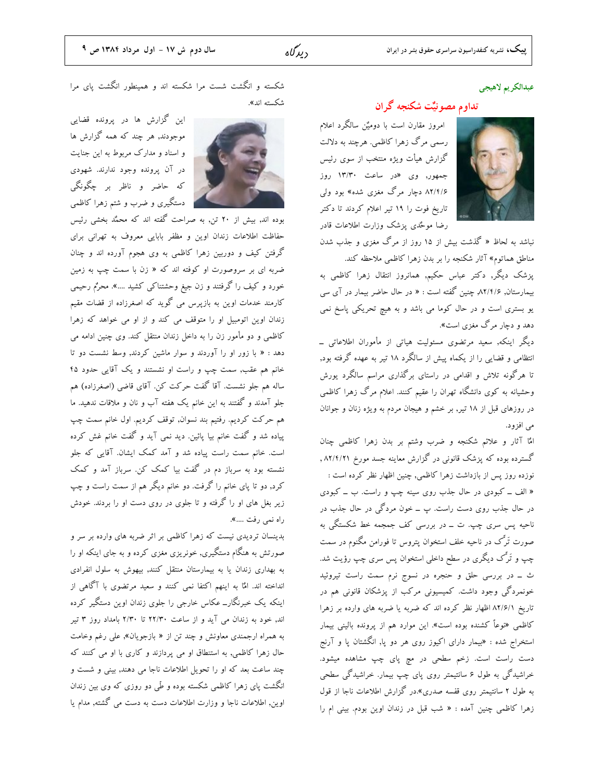#### عبدالكريم لاهيجي

### تداوم مصونیٌّت شکنجه گران

امروز مقارن است با دومیٌّن سالگرد اعلام رسمی مرگ زهرا کاظمی. هرچند به دلالت گزارش هیأت ویژه منتخب از سوی رئیس جمهور, وی «در ساعت ۱۳/۳۰ روز ۸۲/۴/۶ دچار مرگ مغزی شده» بود ول<sub>ی</sub> تاریخ فوت را ۱۹ تیر اعلام کردند تا دکتر رضا موځدی پزشک وزارت اطلاعات قادر

نباشد به لحاظ « گذشت بیش از ۱۵ روز از مرگ مغزی و جذب شدن

مناطق هماتوم» آثار شکنجه را بر بدن زهرا کاظمی ملاحظه کند. پزشک دیگر, دکتر عباس حکیم, همانروز انتقال زهرا کاظمی به بیمارستان, ۸۲/۴/۶, چنین گفته است : « در حال حاضر بیمار در آی سی یو بستری است و در حال کوما می باشد و به هیچ تحریکی پاسخ نمی دهد و دچار مرگ مغزی است».

دیگر اینکه, سعید مرتضوی مسئولیت هیاتی از مأموران اطلاعاتی ــ انتظامی و قضایی را از یکماه پیش از سالگرد ۱۸ تیر به عهده گرفته بود, تا هرگونه تلاش و اقدامی در راستای برگذاری مراسم سالگرد یورش وحشیانه به کوی دانشگاه تهران را عقیم کنند. اعلام مرگ زهرا کاظمی در روزهای قبل از ۱۸ تیر, بر خشم و هیجان مردم به ویژه زنان و جوانان مي افزود.

امٌا آثار و علائم شکنجه و ضرب وشتم بر بدن زهرا کاظمی چنان گسترده بوده که پزشک قانونی در گزارش معاینه جسد مورخ ۸۲/۴/۲۱ , نوزده روز پس از بازداشت زهرا کاظمی, چنین اظهار نظر کرده است : « الف ــ کبودی در حال جذب روی سینه چپ و راست. ب ــ کبودی در حال جذب روی دست راست. پ ــ خون مردگی در حال جذب در ناحیه پس سری چپ. ت ــ در بررسی کف جمجمه خط شکستگی به صورت تَرَّک در ناحیه خلف استخوان پتروس تا فورامن مگنوم در سمت چپ و تَرَّک دیگری در سطح داخلی استخوان پس سری چپ رؤیت شد. ث \_ در بررسی حلق و حنجره در نسوج نرم سمت راست تیروئید خونمردگی وجود داشت. کمیسیونی مرکب از پزشکان قانونی هم در تاریخ ۸۲/۶/۱ اظهار نظر کرده اند که ضربه یا ضربه های وارده بر زهرا کاظمی «نوعاً کشنده بوده است». این موارد هم از پرونده بالینی بیمار استخراج شده : «بیمار دارای اکیوز روی هر دو پا, انگشتان پا و آرنج دست راست است. زخم سطحی در میم یای چپ مشاهده میشود. خراشیدگی به طول ۶ سانتیمتر روی پای چپ بیمار. خراشیدگی سطحی به طول ۲ سانتیمتر روی قفسه صدری».در گزارش اطلاعات ناجا از قول زهرا کاظمی چنین آمده : « شب قبل در زندان اوین بودم. بینی ام را

شکسته و انگشت شست مرا شکسته اند و همینطور انگشت پای مرا شکسته اند».



این گزارش ها در پرونده قضایی موجودند, هر چند که همه گزارش ها و اسناد و مدارک مربوط به این جنایت در آن پرونده وجود ندارند. شهودی که حاضر و ناظر بر چگونگی دستگیری و ضرب و شتم زهرا کاظمی

بوده اند, بیش از ۲۰ تن, به صراحت گفته اند که محمّد بخشی رئیس حفاظت اطلاعات زندان اوین و مظفر بابایی معروف به تهرانی برای گرفتن کیف و دوربین زهرا کاظمی به وی هجوم آورده اند و چنان ضربه ای بر سروصورت او کوفته اند که « زن با سمت چپ به زمین خورد و کیف را گرفتند و زن جیغ وحشتناک<sub>ی</sub> کشید ....». محرٌم رحیمی کارمند خدمات اوین به بازپرس می گوید که اصغرزاده از قضات مقیم زندان اوین اتومبیل او را متوقف می کند و از او می خواهد که زهرا کاظمی و دو مأمور زن را به داخل زندان منتقل کند. وی چنین ادامه می دهد : « با زور او را آوردند و سوار ماشین کردند, وسط نشست دو تا خانم هم عقب, سمت چپ و راست او نشستند و یک آقایی حدود ۴۵ ساله هم جلو نشست. آقا گفت حرکت کن. آقای قاضی (اصغرزاده) هم .<br>جلو آمدند و گفتند به این خانم یک هفته آب و نان و ملاقات ندهید. ما هم حرکت کردیم. رفتیم بند نسوان, توقف کردیم. اول خانم سمت چپ پیاده شد و گفت خانم بیا پائین. دید نمی آید و گفت خانم غش کرده است. خانم سمت راست پیاده شد و آمد کمک ایشان. آقایی که جلو نشسته بود به سرباز دم در گفت بیا کمک کن. سرباز آمد و کمک کرد, دو تا پای خانم را گرفت. دو خانم دیگر هم از سمت راست و چپ زیر بغل های او را گرفته و تا جلوی در روی دست او را بردند. خودش راه نمي رفت ....».

بدینسان تردیدی نیست که زهرا کاظمی بر اثر ضربه های وارده بر سر و صورتش به هنگام دستگیری, خونریزی مغزی کرده و به جای اینکه او را به بهداری زندان یا به بیمارستان منتقل کنند, بیهوش به سلول انفرادی انداخته اند. المٌا به اینهم اکتفا نمی کنند و سعید مرتضوی با آگاهی از اینکه یک خبرنگار\_ عکاس خارجی را جلوی زندان اوین دستگیر کرده اند, خود به زندان می آید و از ساعت ۲۲/۳۰ تا ۲/۳۰ بامداد روز ۳ تیر به همراه ارجمندی معاونش و چند تن از « بازجویان», علی رغم وخامت حال زهرا كاظمى, به استنطاق او مى پردازند و كارى با او مى كنند كه چند ساعت بعد که او را تحویل اطلاعات ناجا می دهند, بینی و شست و انگشت پای زهرا کاظمی شکسته بوده و طّی دو روزی که وی بین زندان اوین, اطلاعات ناجا و وزارت اطلاعات دست به دست می گشته, مدام یا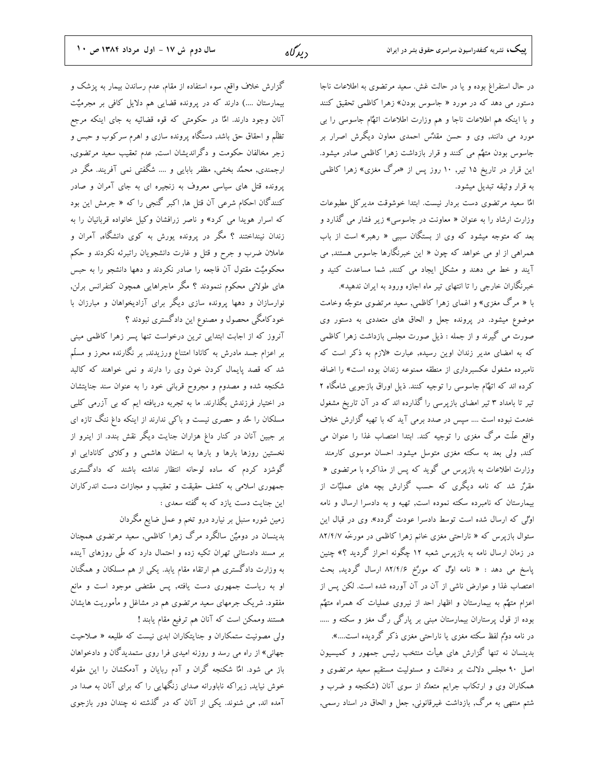در حال استفراغ بوده و یا در حالت غش. سعید مرتضوی به اطلاعات ناجا دستور می دهد که در مورد « جاسوس بودن» زهرا کاظمی تحقیق کنند و با اینکه هم اطلاعات ناجا و هم وزارت اطلاعات اتهٌام جاسوسی را بی مورد می دانند, وی و حسن مقدٌس احمدی معاون دیگرش اصرار بر جاسوس بودن متهٌم مي كنند و قرار بازداشت زهرا كاظمى صادر ميشود. این قرار در تاریخ ۱۵ تیر, ۱۰ روز پس از «مرگ مغزی» زهرا کاظمی به قرار وثيقه تبديل ميشود.

امٌا سعید مرتضوی دست بردار نیست. ابتدا خوشوقت مدیرکل مطبوعات وزارت ارشاد را به عنوان « معاونت در جاسوسی» زیر فشار می گذارد و بعد که متوجه میشود که وی از بستگان سببی « رهبر» است از باب همراهی از او می خواهد که چون « این خبرنگارها جاسوس هستند, می آیند و خط می دهند و مشکل ایجاد می کنند, شما مساعدت کنید و خبرنگاران خارجی را تا انتهای تیر ماه اجازه ورود به ایران ندهید».

با « مرگ مغزی» و اغمای زهرا کاظمی, سعید مرتضوی متوجٌه وخامت موضوع میشود. در پرونده جعل و الحاق های متعددی به دستور وی صورت می گیرند و از جمله : ذیل صورت مجلس بازداشت زهرا کاظمی که به امضای مدیر زندان اوین رسیده, عبارت «لازم به ذکر است که نامبرده مشغول عکسبرداری از منطقه ممنوعه زندان بوده است» را اضافه کرده اند که اتهْام جاسوسی را توجیه کنند. ذیل اوراق بازجویی شامگاه ۲ تیر تا بامداد ۳ تیر امضای بازپرسی را گذارده اند که در آن تاریخ مشغول خدمت نبوده است .... سپس در صدد برمی آید که با تهیه گزارش خلاف واقع علَّت مرگ مغزی را توجیه کند. ابتدا اعتصاب غذا را عنوان می کند, ولی بعد به سکته مغزی متوسل میشود. احسان موسوی کارمند وزارت اطلاعات به بازپرس می گوید که پس از مذاکره با مرتضوی « مقررٌ شد که نامه دیگری که حسب گزارش بچه های عملیٌّات از بیمارستان که نامبرده سکته نموده است, تهیه و به دادسرا ارسال و نامه اوْلی که ارسال شده است توسط دادسرا عودت گردد». وی در قبال این سئوال بازپرس كه « ناراحتى مغزى خانم زهرا كاظمى در مورخّه ٨٢/٤/٧ در زمان ارسال نامه به بازپرس شعبه ۱۲ چگونه احراز گردید ؟» چنین پاسخ می دهد : « نامه اوْلْ که مورْخ ۸۲/۴/۶ ارسال گردید, بحث اعتصاب غذا و عوارض ناشی از آن در آن آورده شده است. لکن پس از اعزام متهٌم به بیمارستان و اظهار احد از نیروی عملیات که همراه متهٌم بوده از قول پرستاران بیمارستان مبنی بر پارگی رگ مغز و سکته و ..... در نامه دوٌم لفظ سکته مغزی یا ناراحتی مغزی ذکر گردیده است....».

بدینسان نه تنها گزارش های هیأت منتخب رئیس جمهور و کمیسیون اصل ۹۰ مجلس دلالت بر دخالت و مسئولیت مستقیم سعید مرتضوی و همکاران وی و ارتکاب جرایم متعدٌد از سوی آنان (شکنجه و ضرب و شتم منتهی به مرگ, بازداشت غیرقانونی, جعل و الحاق در اسناد رسمی,

گزارش خلاف واقع, سوء استفاده از مقام, عدم رساندن بیمار به پزشک و بیمارستان ....) دارند که در پرونده قضایی هم دلایل کافی بر مجرمیٌت آنان وجود دارند. المٌا در حکومتی که قوه قضائیه به جای اینکه مرجع تظلّم و احقاق حق باشد, دستگاه پرونده سازی و اهرم سرکوب و حبس و زجر مخالفان حکومت و دگراندیشان است, عدم تعقیب سعید مرتضوی, ارجمندی, محمَّد بخشی, مظفر بابایی و …. شگفتی نمی آفریند. مگر در یرونده قتل های سیاسی معروف به زنجیره ای به جای آمران و صادر کنندگان احکام شرعی آن قتل ها, اکبر گنجی را که « جرمش این بود که اسرار هویدا می کرد» و ناصر زرافشان وکیل خانواده قربانیان را به زندان نینداختند ؟ مگر در پرونده یورش به کوی دانشگاه, آمران و عاملان ضرب و جرح و قتل و غارت دانشجویان راتبرئه نکردند و حکم محکومیٌت مقتول آن فاجعه را صادر نکردند و دهها دانشجو را به حبس های طولانی محکوم ننمودند ؟ مگر ماجراهایی همچون کنفرانس برلن, نوارسازان و دهها پرونده سازی دیگر برای آزادیخواهان و مبارزان با خودکامگی محصول و مصنوع این دادگستری نبودند ؟

آنروز که از اجابت ابتدایی ترین درخواست تنها پسر زهرا کاظمی مبنی بر اعزام جسد مادرش به کانادا امتناع ورزیدند, بر نگارنده محرز و مسلّم شد که قصد پایمال کردن خون وی را دارند و نمی خواهند که کالبد شکنجه شده و مصدوم و مجروح قربانی خود را به عنوان سند جنایتشان در اختیار فرزندش بگذارند. ما به تجربه دریافته ایم که بی آزرمی کلبی مسلکان را حٌد و حصری نیست و باکی ندارند از اینکه داغ ننگ تازه ای بر جبین آنان در کنار داغ هزاران جنایت دیگر نقش بندد. از اینرو از نخستین روزها بارها و بارها به استفان هاشمی و وکلای کانادایی او گوشزد کردم که ساده لوحانه انتظار نداشته باشند که دادگستری جمهوری اسلامی به کشف حقیقت و تعقیب و مجازات دست اندرکاران این جنایت دست یازد که به گفته سعدی :

زمین شوره سنبل بر نیارد درو تخم و عمل ضایع مگردان بدینسان در دومیٌن سالگرد مرگ زهرا کاظمی, سعید مرتضوی همچنان بر مسند دادستانی تهران تکیه زده و احتمال دارد که طّی روزهای آینده به وزارت دادگستری هم ارتقاء مقام یابد. یکی از هم مسلکان و همگنان او به ریاست جمهوری دست یافته, پس مقتضی موجود است و مانع مفقود. شریک جرمهای سعید مرتضوی هم در مشاغل و مأموریت هایشان هستند وممكن است كه آنان هم ترفيع مقام يابند !

ولی مصونیت ستمکاران و جنایتکاران ابدی نیست که طلیعه « صلاحیت جهانی» از راه می رسد و روزنه امیدی فرا روی ستمدیدگان و دادخواهان باز می شود. امَّا شکنجه گران و آدم ربایان و آدمکشان را این مقوله خوش نیاید, زیراکه ناباورانه صدای زنگهایی را که برای آنان به صدا در آمده اند, می شنوند. یکی از آنان که در گذشته نه چندان دور بازجوی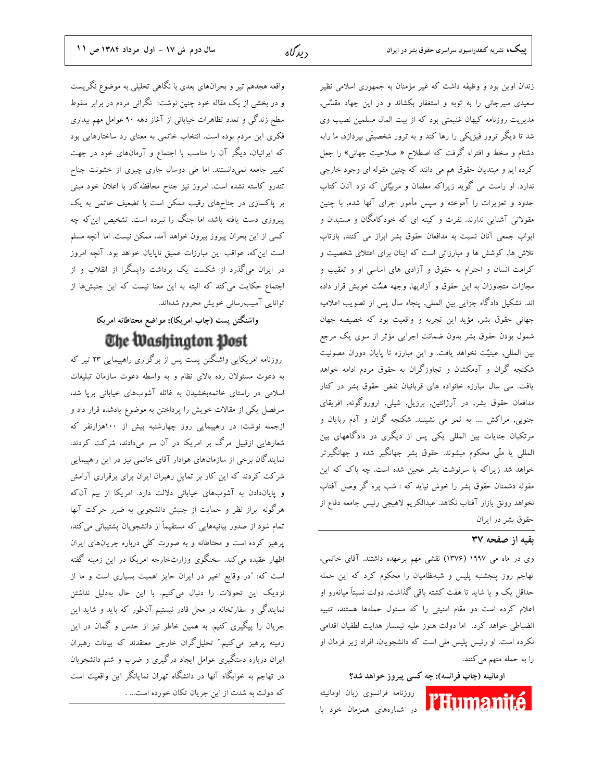زندان اوین بود و وظیفه داشت که غیر مؤمنان به جمهوری اسلامی نظیر سعیدی سیرجانی را به توبه و استغفار بکشاند و در این جهاد مقدٌس, مدیریت روزنامه کیهان غنیمتی بود که از بیت المال مسلمین نصیب وی شد تا دیگر ترور فیزیکی را رها کند و به ترور شخصیتّی بپردازد, ما رابه دشنام و سخط و افتراء گرفت که اصطلاح « صلاحیت جهانی» را جعل کرده ایم و مبتدیان حقوق هم می دانند که چنین مقوله ای وجود خارجی ندارد. او راست می گوید زیراکه معلمان و مربیٌانی که نزد آنان کتاب حدود و تعزیرات را آموخته و سپس مأمور اجرای آنها شده, با چنین مقولاتی آشنایی ندارند. نفرت و کینه ای که خودکامگان و مستبدان و ابواب جمعی آنان نسبت به مدافعان حقوق بشر ابراز می کنند, بازتاب تلاش ها, کوشش ها و مبارزاتی است که اینان برای اعتلای شخصیت و کرامت انسان و احترام به حقوق و آزادی های اساسی او و تعقیب و مجازات متجاوزان به این حقوق و آزادیها, وجهه همٌت خویش قرار داده اند. تشکیل دادگاه جزایی بین المللی, پنجاه سال پس از تصویب اعلامیه جهانی حقوق بشر, مؤید این تجربه و واقعیت بود که خصیصه جهان شمول بودن حقوق بشر بدون ضمانت اجرایی مؤثر از سوی یک مرجع بین المللی, عینیٌت نخواهد یافت. و این مبارزه تا پایان دوران مصونیت شکنجه گران و آدمکشان و تجاوزگران به حقوق مردم ادامه خواهد یافت. سی سال مبارزه خانواده های قربانیان نقض حقوق بشر در کنار مدافعان حقوق بشر, در آرژانتین, برزیل, شیلی, اروروگوئه, افریقای جنوبی, مراکش …. به ثمر می نشینند. شکنجه گران و آدم ربایان و مرتکبان جنایات بین المللی یکی پس از دیگری در دادگاههای بین المللی یا ملّی محکوم میشوند. حقوق بشر جهانگیر شده و جهانگیرتر خواهد شد زیراکه با سرنوشت بشر عجین شده است. چه باک که این مقوله دشمنان حقوق بشر را خوش نیاید که : شب پره گر وصل آفتاب نخواهد رونق بازار آفتاب نكاهد. عبدالكريم لاهيجي رئيس جامعه دفاع از حقوق بشر در ايران

#### بقيه از صفحه ٣٧

وی در ماه می ۱۹۹۷ (۱۳۷۶) نقشی مهم برعهده داشتند. آقای خاتمی، تهاجم روز پنجشنبه پلیس و شبهنظامیان را محکوم کرد که این حمله حداقل یک و یا شاید تا هفت کشته باقی گذاشت. دولت نسبتاً میانهرو او اعلام کرده است دو مقام امنیتی را که مسئول حملهها هستند، تنبیه انضباطی خواهد کرد. اما دولت هنوز علیه تیمسار هدایت لطفیان اقدامی نکرده است. او رئیس پلیس ملی است که دانشجویان، افراد زیر فرمان او را به حمله متهم می کنند.

#### اومانیته (چاپ فرانسه): چه کسی پیروز خواهد شد؟

**l'Humanit** 

روزنامه فرانسوى زبان اومانيته در شمارههای همزمان خود با

سال دوم ش ١٧ - اول مرداد ١٣٨٤ ص ١١

واقعه هجدهم تیر و بحرانهای بعدی با نگاهی تحلیلی به موضوع نگریست و در بخشی از یک مقاله خود چنین نوشت: نگرانی مردم در برابر سقوط سطح زندگی و تعدد تظاهرات خیابانی از آغاز دهه ۹۰ عوامل مهم بیداری فکری این مردم بوده است. انتخاب خاتمی به معنای رد ساختارهایی بود که ایرانیان، دیگر آن را مناسب با اجتماع و آرمانهای خود در جهت تغییر جامعه نمیدانستند. اما طی دوسال جاری چیزی از خشونت جناح تندرو كاسته نشده است. امروز نيز جناح محافظه كار با اعلان خود مبنى بر پاکسازی در جناحهای رقیب ممکن است با تضعیف خاتمی به یک پیروزی دست یافته باشد، اما جنگ را نبرده است. تشخیص این که چه كسي از اين بحران پيروز بيرون خواهد آمد، ممكن نيست. اما آنچه مسلم است این که، عواقب این مبارزات عمیق ناپایان خواهد بود. آنچه امروز در ایران میگذرد از شکست یک برداشت واپسگرا از انقلاب و از اجتماع حکایت میکند که البته به این معنا نیست که این جنبشها از توانایی آسیب رسانی خویش محروم شدهاند.

واشنگتن پست (چاپ امریکا): مواضع محتاطانه امریکا

# The Washington Post

روزنامه امریکایی واشنگتن پست پس از برگزاری راهپیمایی ۲۳ تیر که به دعوت مسئولان رده بالای نظام و به واسطه دعوت سازمان تبلیغات اسلامی در راستای خاتمهبخشیدن به غائله آشوبهای خیابانی برپا شد، سرفصل یکی از مقالات خویش را پرداختن به موضوع یادشده قرار داد و ازجمله نوشت: در راهپیمایی روز چهارشنبه بیش از ۱۰۰هزارنفر که شعارهایی ازقبیل مرگ بر امریکا در آن سر میدادند، شرکت کردند. نمایندگان برخی از سازمانهای هوادار آقای خاتمی نیز در این راهپیمایی شرکت کردند که این کار بر تمایل رهبران ایران برای برقراری آرامش و پایاندادن به آشوبهای خیابانی دلالت دارد. امریکا از بیم آن که هرگونه ابراز نظر و حمایت از جنبش دانشجویی به ضرر حرکت آنها تمام شود از صدور بیانیههایی که مستقیماً از دانشجویان پشتیبانی می کند، یرهیز کرده است و محتاطانه و به صورت کلمی درباره جریانهای ایران اظهار عقیده می کند. سخنگوی وزارتخارجه امریکا در این زمینه گفته است که: "در وقایع اخیر در ایران حایز اهمیت بسیاری است و ما از نزدیک این تحولات را دنبال میکنیم. با این حال بهدلیل نداشتن نمایندگی و سفارتخانه در محل قادر نیستیم آنطور که باید و شاید این جریان را پیگیری کنیم. به همین خاطر نیز از حدس و گمان در این زمینه پرهیز میکنیم." تحلیلگران خارجی معتقدند که بیانات رهبران ایران درباره دستگیری عوامل ایجاد درگیری و ضرب و شتم دانشجویان در تهاجم به خوابگاه آنها در دانشگاه تهران نمایانگر این واقعیت است كه دولت به شدت از اين جريان تكان خورده است... .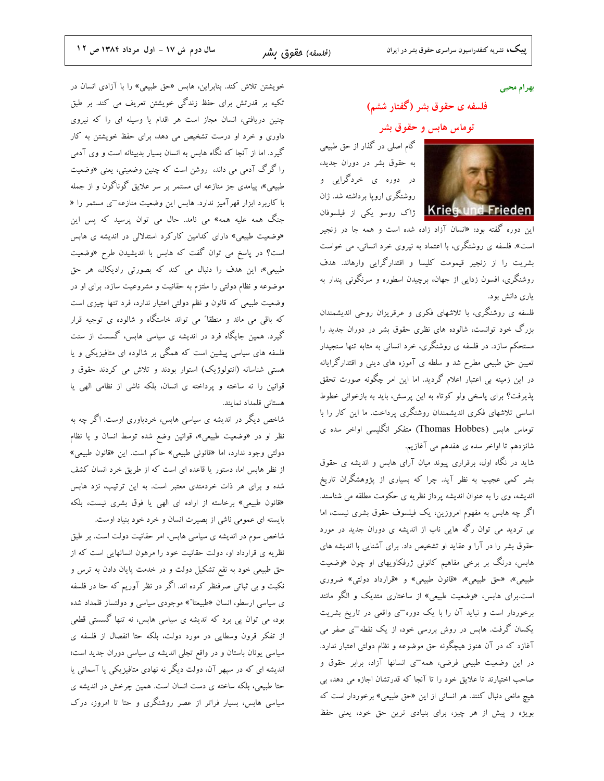بهرام محبى

# فلسفه ی حقوق بشر (گفتار ششم)

توماس هابس و حقوق بشر

گام اصلی در گذار از حق طبیعی به حقوق بشر در دوران جدید، در دوره ی خردگرایی و روشنگری اروپا برداشته شد. ژان



این دوره گفته بود: «انسان آزاد زاده شده است و همه جا در زنجیر است». فلسفه ی روشنگری، با اعتماد به نیروی خرد انسانی، می خواست بشریت را از زنجیر قیمومت کلیسا و اقتدارگرایی وارهاند. هدف روشنگری، افسون زدایی از جهان، برچیدن اسطوره و سرنگونی پندار به يارې دانش بود.

فلسفه ی روشنگری، با تلاشهای فکری و عرقریزان روحی اندیشمندان بزرگ خود توانست، شالوده های نظری حقوق بشر در دوران جدید را مستحکم سازد. در فلسفه ی روشنگری، خرد انسانی به مثابه تنها سنجیدار تعیین حق طبیعی مطرح شد و سلطه ی آموزه های دینی و اقتدارگرایانه در این زمینه بی اعتبار اعلام گردید. اما این امر چگونه صورت تحقق پذیرفت؟ برای پاسخی ولو کوتاه به این پرسش، باید به بازخوانی خطوط اساسی تلاشهای فکری اندیشمندان روشنگری پرداخت. ما این کار را با توماس هابس (Thomas Hobbes) متفكر انگليسي اواخر سده ي شانزدهم تا اواخر سده ی هفدهم می آغازیم.

شاید در نگاه اول، برقراری پیوند میان آرای هابس و اندیشه ی حقوق بشر کمی عجیب به نظر آید. چرا که بسیاری از پژوهشگران تاریخ اندیشه، وی را به عنوان اندیشه پرداز نظریه ی حکومت مطلقه می شناسند. اگر چه هابس به مفهوم امروزین، یک فیلسوف حقوق بشری نیست، اما بی تردید می توان رگه هایی ناب از اندیشه ی دوران جدید در مورد حقوق بشر را در آرا و عقاید او تشخیص داد. برای آشنایی با اندیشه های هابس، درنگ بر برخی مفاهیم کانونی ژرفکاویهای او چون «وضعیت طبیعی»، «حق طبیعی»، «قانون طبیعی» و «قرارداد دولتی» ضروری است.برای هابس، «وضعیت طبیعی» از ساختاری متدیک و الگو مانند برخوردار است و نباید آن را با یک دوره<sup>-</sup>ی واقعی در تاریخ بشریت یکسان گرفت. هابس در روش بررسی خود، از یک نقطه $^-$ ی صفر می آغازد که در آن هنوز هیچگونه حق موضوعه و نظام دولتی اعتبار ندارد. در این وضعیت طبیعی فرضی، همه¬ی انسانها آزاد، برابر حقوق و صاحب اختیارند تا علایق خود را تا آنجا که قدرتشان اجازه می دهد، بی هیچ مانعی دنبال کنند. هر انسانی از این «حق طبیعی» برخوردار است که بویژه و پیش از هر چیز، برای بنیادی ترین حق خود، یعنی حفظ

خویشتن تلاش کند. بنابراین، هابس «حق طبیعی» را با آزادی انسان در تکیه بر قدرتش برای حفظ زندگی خویشتن تعریف می کند. بر طبق چنین دریافتی، انسان مجاز است هر اقدام یا وسیله ای را که نیروی داوری و خرد او درست تشخیص می دهد، برای حفظ خویشتن به کار گیرد. اما از آنجا که نگاه هابس به انسان بسیار بدبینانه است و وی آدمی را گرگ آدمی می داند، روشن است که چنین وضعیتی، یعنی «وضعیت طبیعی»، پیامدی جز منازعه ای مستمر بر سر علایق گوناگون و از جمله با کاربرد ابزار قهرآمیز ندارد. هابس این وضعیت منازعه $_2$  مستمر را « جنگ همه علیه همه» می نامد. حال می توان پرسید که پس این «وضعیت طبیعی» دارای کدامین کارکرد استدلالی در اندیشه ی هابس است؟ در پاسخ می توان گفت که هابس با اندیشیدن طرح «وضعیت طبیعی»، این هدف را دنبال می کند که بصورتی رادیکال، هر حق موضوعه و نظام دولتی را ملتزم به حقانیت و مشروعیت سازد. برای او در وضعیت طبیعی که قانون و نظم دولتی اعتبار ندارد، فرد تنها چیزی است که باقی می ماند و منطقا" می تواند خاستگاه و شالوده ی توجیه قرار گیرد. همین جایگاه فرد در اندیشه ی سیاسی هابس، گسست از سنت فلسفه های سیاسی پیشین است که همگی بر شالوده ای متافیزیکی و یا هستی شناسانه (انتولوژیک) استوار بودند و تلاش می کردند حقوق و قوانین را نه ساخته و پرداخته ی انسان، بلکه ناشی از نظامی الهی یا هستانی قلمداد نمایند.

شاخص دیگر در اندیشه ی سیاسی هابس، خردباوری اوست. اگر چه به نظر او در «وضعیت طبیعی»، قوانین وضع شده توسط انسان و یا نظام دولتي وجود ندارد، اما «قانوني طبيعي» حاكم است. اين «قانون طبيعي» از نظر هابس اما، دستور یا قاعده ای است که از طریق خرد انسان کشف شده و برای هر ذات خردمندی معتبر است. به این ترتیب، نزد هابس «قانون طبیعی» برخاسته از اراده ای الهی یا فوق بشری نیست، بلکه بایسته ای عمومی ناشی از بصیرت انسان و خرد خود بنیاد اوست.

شاخص سوم در اندیشه ی سیاسی هابس، امر حقانیت دولت است. بر طبق نظریه ی قرارداد او، دولت حقانیت خود را مرهون انسانهایی است که از حق طبیعی خود به نفع تشکیل دولت و در خدمت پایان دادن به ترس و نکبت و بی ثباتی صرفنظر کرده اند. اگر در نظر آوریم که حتا در فلسفه ی سیاسی ارسطو، انسان «طبیعتا"» موجودی سیاسی و دولتساز قلمداد شده بود، می توان پی برد که اندیشه ی سیاسی هابس، نه تنها گسستی قطعی از تفكر قرون وسطايي در مورد دولت، بلكه حتا انفصال از فلسفه ي سیاسی یونان باستان و در واقع تجلی اندیشه ی سیاسی دوران جدید است؛ اندیشه ای که در سپهر آن، دولت دیگر نه نهادی متافیزیکی یا آسمانی یا حتا طبیعی، بلکه ساخته ی دست انسان است. همین چرخش در اندیشه ی سیاسی هابس، بسیار فراتر از عصر روشنگری و حتا تا امروز، درک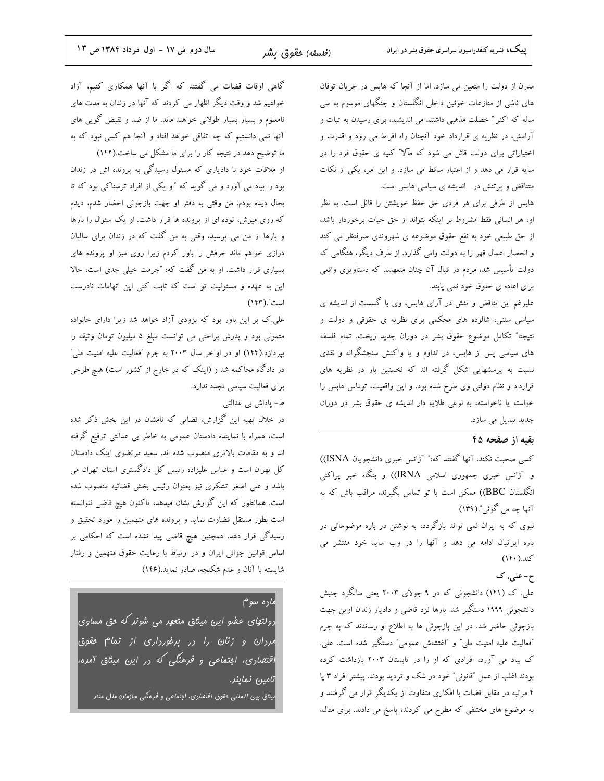مدرن از دولت را متعین می سازد. اما از آنجا که هابس در جریان توفان های ناشی از منازعات خونین داخلی انگلستان و جنگهای موسوم به سی .<br>ساله که اکثرا" خصلت مذهبی داشتند می اندیشید، برای رسیدن به ثبات و آرامش، در نظریه ی قرارداد خود آنچنان راه افراط می رود و قدرت و اختیاراتی برای دولت قائل می شود که مآلا" کلیه ی حقوق فرد را در سایه قرار می دهد و از اعتبار ساقط می سازد. و این امر، یکی از نکات متناقض و پرتنش در اندیشه ی سیاسی هابس است.

هابس از طرفی برای هر فردی حق حفظ خویشتن را قائل است. به نظر او، هر انسانی فقط مشروط بر اینکه بتواند از حق حیات برخوردار باشد، از حق طبیعی خود به نفع حقوق موضوعه ی شهروندی صرفنظر می کند و انحصار اعمال قهر را به دولت وامی گذارد. از طرف دیگر، هنگامی که دولت تأسیس شد، مردم در قبال آن چنان متعهدند که دستاویزی واقعی برای اعاده ی حقوق خود نمی یابند.

علیرغم این تناقض و تنش در آرای هابس، وی با گسست از اندیشه ی سیاسی سنتی، شالوده های محکمی برای نظریه ی حقوقی و دولت و نتيجتا" تكامل موضوع حقوق بشر در دوران جديد ريخت. تمام فلسفه های سیاسی پس از هابس، در تداوم و یا واکنش سنجشگرانه و نقدی نسبت به پرسشهایی شکل گرفته اند که نخستین بار در نظریه های قرارداد و نظام دولتی وی طرح شده بود. و این واقعیت، توماس هابس را خواسته یا ناخواسته، به نوعی طلایه دار اندیشه ی حقوق بشر در دوران جدید تبدیل می سازد.

#### بقيه از صفحه ۴۵

كسى صحبت نكند. آنها گفتند كه:" آژانس خبرى دانشجويان ISNA)) و آژانس خبری جمهوری اسلامی IRNA)) و بنگاه خبر پراکنی انگلستان BBC)) ممکن است با تو تماس بگیرند، مراقب باش که به آنها چه مي گوئي".(١٣٩)

نبوی که به ایران نمی تواند بازگردد، به نوشتن در باره موضوعاتی در باره ایرانیان ادامه می دهد و آنها را در وب ساید خود منتشر می کند.( ۱۴۰)

#### ح-علي. ک

علی. ک (۱۴۱) دانشجوئی که در ۹ جولای ۲۰۰۳ یعنی سالگرد جنبش دانشجوئی ۱۹۹۹ دستگیر شد. بارها نزد قاضی و دادیار زندان اوین جهت بازجوئی حاضر شد. در این بازجوئی ها به اطلاع او رساندند که به جرم "فعاليت عليه امنيت ملي" و "اغتشاش عمومي" دستگير شده است. علي. ک بیاد می آورد، افرادی که او را در تابستان ۲۰۰۳ بازداشت کرده بودند اغلب از عمل "قانونی" خود در شک و تردید بودند. بیشتر افراد ۳ یا ۴ مرتبه در مقابل قضات با افکاری متفاوت از یکدیگر قرار می گرفتند و به موضوع های مختلفی که مطرح می کردند، پاسخ می دادند. برای مثال،

گاهی اوقات قضات می گفتند که اگر با آنها همکاری کنیم، آزاد خواهیم شد و وقت دیگر اظهار می کردند که آنها در زندان به مدت های نامعلوم و بسیار بسیار طولانی خواهند ماند. ما از ضد و نقیض گویی های آنها نمی دانستیم که چه اتفاقی خواهد افتاد و آنجا هم کسی نبود که به ما توضیح دهد در نتیجه کار را برای ما مشکل می ساخت.(۱۴۲)

او ملاقات خود با دادیاری که مسئول رسیدگی به پرونده اش در زندان بود را بیاد می آورد و می گوید که "او یکی از افراد ترسناکی بود که تا بحال ديده بودم. من وقتى به دفتر او جهت بازجوئى احضار شدم، ديدم که روی میزش، توده ای از پرونده ها قرار داشت. او یک سئوال را بارها و بارها از من می پرسید، وقتی به من گفت که در زندان برای سالیان درازی خواهم ماند حرفش را باور کردم زیرا روی میز او پرونده های بسیاری قرار داشت. او به من گفت که: "جرمت خیلی جدی است، حالا این به عهده و مسئولیت تو است که ثابت کنی این اتهامات نادرست است".(١٢٣)

علی.ک بر این باور بود که بزودی آزاد خواهد شد زیرا دارای خانواده متمولی بود و پدرش براحتی می توانست مبلغ ۵ میلیون تومان وثیقه را بپردازد.(۱۴۴) او در اواخر سال ۲۰۰۳ به جرم "فعالیت علیه امنیت ملی" در دادگاه محاکمه شد و (اینک که در خارج از کشور است) هیچ طرحی برای فعالیت سیاسی مجدد ندارد.

ط- پاداش بي عدالتي

در خلال تهیه این گزارش، قضاتی که نامشان در این بخش ذکر شده است، همراه با نماینده دادستان عمومی به خاطر بی عدالتی ترفیع گرفته اند و به مقامات بالاتری منصوب شده اند. سعید مرتضوی اینک دادستان کل تهران است و عباس علیزاده رئیس کل دادگستری استان تهران می باشد و علی اصغر تشکری نیز بعنوان رئیس بخش قضائیه منصوب شده است. همانطور که این گزارش نشان میدهد، تاکنون هیچ قاضی نتوانسته است بطور مستقل قضاوت نماید و پرونده های متهمین را مورد تحقیق و رسیدگی قرار دهد. همچنین هیچ قاضی پیدا نشده است که احکامی بر اساس قوانین جزائی ایران و در ارتباط با رعایت حقوق متهمین و رفتار شایسته با آنان و عدم شکنجه، صادر نماید.(۱۴۶)

### ماره سوم

رولت*های عمدو این میناق متعهر می شونر که* مق م*ساوی* مرران *و زنان را در بر*فو*ر*داری از تما<sup>م</sup> مقوق<mark>|</mark> اقتصاری، امتم*اعی* و فرهن*گی که* در این میثاق آمده، تامین نماینر. بیتاق بین المللی مقوق اقتصاری، امتماعی و فرهنگی سازمان ملل متمر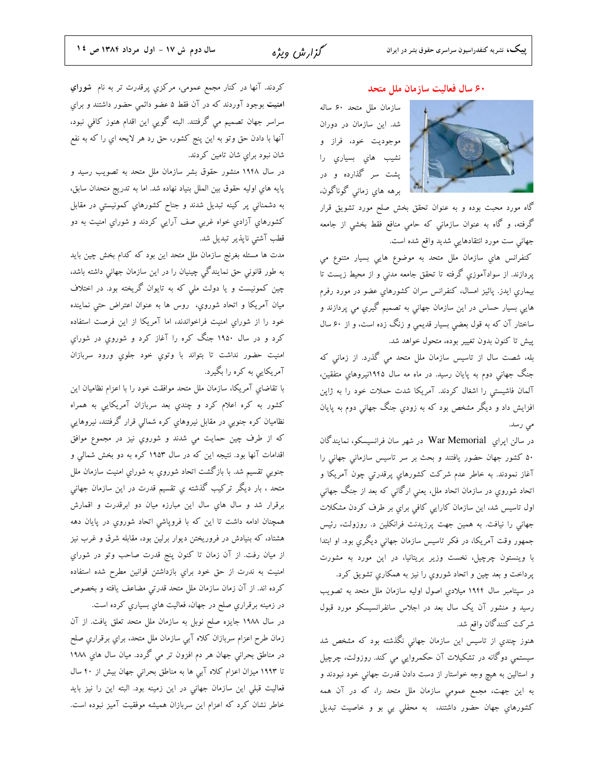#### ۶۰ سال فعالیت سازمان ملل متحد

سازمان ملل متحد ۶۰ ساله شد. این سازمان در دوران موجودیت خود، فراز و نشیب های بسیاری را پشت سر گذارده و در برهه های زمانی گوناگون،



گاه مورد محبت بوده و به عنوان تحقق بخش صلح مورد تشویق قرار گرفته، و گاه به عنوان سازمانی که حامی منافع فقط بخشی از جامعه جهانی ست مورد انتقادهایی شدید واقع شده است.

كنفرانس هاي سازمان ملل متحد به موضوع هايي بسيار متنوع مي پردازند. از سوادآموزی گرفته تا تحقق جامعه مدنی و از محیط زیست تا بيماري ايدز. پائيز امسال، كنفرانس سران كشورهاي عضو در مورد رفرم هایی بسیار حساس در این سازمان جهانی به تصمیم گیری می پردازند و ساختار آن که به قول بعضی بسیار قدیمی و زنگ زده است، و از ۶۰ سال پیش تا کنون بدون تغییر بوده، متحول خواهد شد.

بله، شصت سال از تاسیس سازمان ملل متحد می گذرد. از زمانی که جنگ جهانی دوم به پایان رسید. در ماه مه سال ۱۹۴۵نیروهای متفقین، آلمان فاشیستی را اشغال کردند. آمریکا شدت حملات خود را به ژاپن افزایش داد و دیگر مشخص بود که به زودی جنگ جهانی دوم به پایان می رسد.

در سالن اپراي War Memorial در شهر سان فرانسيسكو، نمايندگان ۵۰ کشور جهان حضور یافتند و بحث بر سر تاسیس سازمانی جهانی را .<br>آغاز نمودند. به خاطر عدم شرکت کشورهای پرقدرتی چون آمریکا و اتحاد شوروی در سازمان اتحاد ملل، یعنی ارگانی که بعد از جنگ جهانی اول تاسیس شد، این سازمان کارایی کافی برای بر طرف کردن مشکلات جهانی را نیافت. به همین جهت پرزیدنت فرانکلین د. روزولت، رئیس جمهور وقت آمریکا، در فکر تاسیس سازمان جهانی دیگري بود. او ابتدا با وینستون چرچیل، نخست وزیر بریتانیا، در این مورد به مشورت پرداخت و بعد چين و اتحاد شوروي را نيز به همکاري تشويق کرد.

در سپتامبر سال ۱۹۴۴ میلادیِ اصول اولیه سازمان ملل متحد به تصویب رسید و منشور آن یک سال بعد در اجلاس سانفرانسیسکو مورد قبول شركت كنندگان واقع شد.

هنوز چندي از تاسيس اين سازمان جهانی نگذشته بود که مشخص شد سیستمی دوگانه در تشکیلات آن حکمروایی می کند. روزولت، چرچیل و استالین به هیچ وجه خواستار از دست دادن قدرت جهانی خود نبودند و به این جهت، مجمع عمومی سازمان ملل متحد را، که در آن همه کشورهاي جهان حضور داشتند، به محفلی بی بو و خاصیت تبدیل

کردند. آنها در کنار مجمع عمومی، مرکزي پرقدرت تر به نام <mark>شوراي</mark> امنیت بوجود آوردند که در آن فقط ۵ عضو دائمی حضور داشتند و برای سراسر جهان تصمیم می گرفتند. البته گویی این اقدام هنوز کافی نبود، آنها با دادن حق وتو به اين پنج كشور، حق رد هر لايحه اي را كه به نفع شان نبود براي شان تامين كردند.

در سال ۱۹۴۸ منشور حقوق بشر سازمان ملل متحد به تصویب رسید و پايه هاي اوليه حقوق بين الملل بنياد نهاده شد. اما به تدريج متحدان سابق، به دشمنانی پر کینه تبدیل شدند و جناح کشورهاي کمونیستی در مقابل کشورهاي آزادي خواه غربي صف آرايي کردند و شوراي امنيت به دو قطب آشتی ناپذیر تبدیل شد.

مدت ها مسئله بغرنج سازمان ملل متحد این بود که کدام بخش چین باید به طور قانونی حق نمایندگی چینیان را در این سازمان جهانی داشته باشد، چین کمونیست و یا دولت ملی که به تایوان گریخته بود. در اختلاف ميان آمريكا و اتحاد شوروي، روس ها به عنوان اعتراض حتى نماينده خود را از شوراي امنيت فراخواندند، اما آمريكا از اين فرصت استفاده کرد و در سال ۱۹۵۰ جنگ کره را آغاز کرد و شوروي در شوراي امنيت حضور نداشت تا بتواند با وتوي خود جلوي ورود سربازان آمریکایی به کره را بگیرد.

با تقاضاي آمريكا، سازمان ملل متحد موافقت خود را با اعزام نظاميان اين کشور به کره اعلام کرد و چندي بعد سربازان آمريکايي به همراه نظامیان کره جنوبی در مقابل نیروهایِ کره شمالی قرار گرفتند، نیروهایی که از طرف چین حمایت می شدند و شوروی نیز در مجموع موافق اقدامات آنها بود. نتیجه این که در سال ۱۹۵۳ کره به دو بخش شمالي و جنوبی تقسیم شد. با بازگشت اتحاد شوروی به شورای امنیت سازمان ملل متحد ، بار دیگر ترکیب گذشته یِ تقسیم قدرت در این سازمان جهانی برقرار شد و سال هاي سال اين مبارزه ميان دو ابرقدرت و اقمارش همچنان ادامه داشت تا این که با فروپاشی اتحاد شوروي در پایان دهه هشتاد، که بنیادش در فروریختن دیوار برلین بود، مقابله شرق و غرب نیز از ميان رفت. از آن زمان تا كنون پنج قدرت صاحب وتو در شوراي امنیت به ندرت از حق خود براي بازداشتن قوانين مطرح شده استفاده كرده اند. از آن زمان سازمان ملل متحد قدرتي مضاعف يافته و بخصوص در زمينه برقراري صلح در جهان، فعاليت هاي بسياري كرده است.

در سال ۱۹۸۸ جایزه صلح نوبل به سازمان ملل متحد تعلق یافت. از آن زمان طرح اعزام سربازان كلاه آبي سازمان ملل متحد، براي برقراري صلح در مناطق بحراني جهان هر دم افزون تر مي گردد. ميان سال هاي ۱۹۸۸ تا ۱۹۹۳ میزان اعزام کلاه آبي ها به مناطق بحراني جهان بیش از ۴۰ سال فعالیت قبلی این سازمان جهانی در این زمینه بود. البته این را نیز باید خاطر نشان کرد که اعزام این سربازان همیشه موفقیت آمیز نبوده است.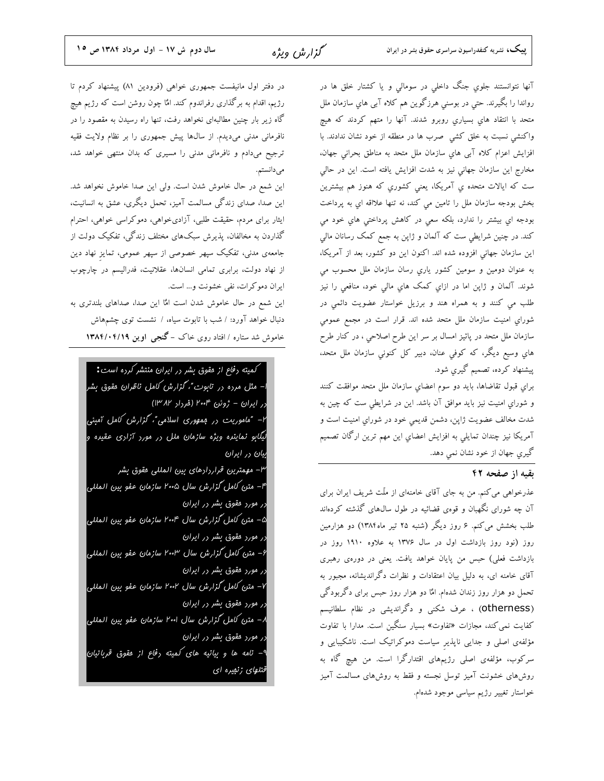آنها نتوانستند جلوی جنگ داخلی در سومالی و یا کشتار خلق ها در رواندا را بگیرند. حتی در بوسنی هرزگوین هم کلاه آبی های سازمان ملل متحد با انتقاد های بسیاری روبرو شدند. آنها را متهم کردند که هیچ واكنشى نسبت به خلق كشى صرب ها در منطقه از خود نشان ندادند. با افزایش اعزام کلاه آبی های سازمان ملل متحد به مناطق بحرانی جهان، مخارج این سازمان جهانی نیز به شدت افزایش یافته است. این در حالی ست که ایالات متحده ی آمریکا، یعنی کشوری که هنوز هم بیشترین بخش بودجه سازمان ملل را تامين مي كند، نه تنها علااقه اي به پرداخت بودجه ای بیشتر را ندارد، بلکه سعی در کاهش پرداختی های خود می کند. در چنین شرایطی ست که آلمان و ژاپن به جمع کمک رسانان مالی این سازمان جهانی افزوده شده اند. اکنون این دو کشور، بعد از آمریکا، به عنوان دومین و سومین کشور یاری رسان سازمان ملل محسوب می شوند. آلمان و ژاپن اما در ازاي كمک هاي مالی خود، منافعی را نيز طلب می کنند و به همراه هند و برزیل خواستار عضویت دائمی در شوراي امنيت سازمان ملل متحد شده اند. قرار است در مجمع عمومی سازمان ملل متحد در پائیز امسال بر سر این طرح اصلاحی ، در کنار طرح هاي وسيع ديگر، كه كوفى عنان، دبير كل كنونى سازمان ملل متحد، پیشنهاد کرده، تصمیم گیری شود.

برای قبول تقاضاها، باید دو سوم اعضای سازمان ملل متحد موافقت کنند و شوراي امنيت نيز بايد موافق آن باشد. اين در شرايطي ست كه چين به شدت مخالف عضويت ژاپن، دشمن قديمي خود در شوراي امنيت است و آمریکا نیز چندان تمایلی به افزایش اعضای این مهم ترین ارگان تصمیم گيري جهان از خود نشان نمي دهد.

#### تقيه از صفحه ۴۲

عذرخواهی می کنم. من به جای آقای خامنهای از ملّت شریف ایران برای آن چه شورای نگهبان و قوهی قضائیه در طول سال@ای گذشته کردهاند طلب بخشش می کنم. ۶ روز دیگر (شنبه ۲۵ تیر ماه۱۳۸۴) دو هزارمین روز (نود روز بازداشت اول در سال ۱۳۷۶ به علاوه ۱۹۱۰ روز در بازداشت فعلی) حبس من پایان خواهد یافت. یعنی در دورهی رهبری آقای خامنه ای، به دلیل بیان اعتقادات و نظرات دگراندیشانه، مجبور به تحمل دو هزار روز زندان شدهام. امٌا دو هزار روز حبس برای دگربودگی (otherness) ، عرف شکنی و دگراندیشی در نظام سلطانیسم کفایت نمی کند، مجازات «تفاوت» بسیار سنگین است. مدارا با تفاوت مؤلفهی اصلی و جدایی ناپذیر سیاست دموکراتیک است. ناشکیبایی و سرکوب، مؤلفهی اصلی رژیمهای اقتدارگرا است. من هیچ گاه به روشهای خشونت آمیز توسل نجسته و فقط به روشهای مسالمت آمیز خواستار تغییر رژیم سیاسی موجود شدهام.

در دفتر اول مانیفست جمهوری خواهی (فرودین ۸۱) پیشنهاد کردم تا رژیم، اقدام به برگذاری رفراندوم کند. امٌا چون روشن است که رژیم هیچ گاه زیر بار چنین مطالبهای نخواهد رفت، تنها راه رسیدن به مقصود را در نافرمانی مدنی میدیدم. از سالها پیش جمهوری را بر نظام ولایت فقیه ترجیح میدادم و نافرمانی مدنی را مسیری که بدان منتهی خواهد شد، مىدانستم.

این شمع در حال خاموش شدن است. ولی این صدا خاموش نخواهد شد. این صدا، صدای زندگی مسالمت آمیز، تحمل دیگری، عشق به انسانیت، ایثار برای مردم، حقیقت طلبی، آزادیخواهی، دموکراسی خواهی، احترام گذاردن به مخالفان، پذیرش سبکهای مختلف زندگی، تفکیک دولت از جامعهی مدنی، تفکیک سپهر خصوصی از سپهر عمومی، تمایز نهاد دین از نهاد دولت، برابری تمامی انسانها، عقلانیت، فدرالیسم در چارچوب ایران دموکرات، نفی خشونت و… است.

این شمع در حال خاموش شدن است امًّا این صدا، صداهای بلندتری به دنبال خواهد آورد: / شب با تابوت سیاه، / نشست توی چشمهاش خاموش شد ستاره / افتاد روی خاک – گنجی اوین ۱۳۸۴/۰۴/۱۹

کمیته <sub>د</sub>فاع از مقوق بشر <sub>د</sub>ر ایران منتشر کر<sub>د</sub>ه است: ا– مثل مر<sub>د</sub>ہ <sub>د</sub>ر ت*ابوت ؓ، گزارش کا*مل ن*اظران* مقوق بشر در ایران – ژوئن ۲۰۰۴ (فرداد ۱۳۸۲) ۲– "ماموریت در ممهوری اسلامی"، گزارش کامل آمیئی بیگابو نماینره ویژه سازمان ملل در مورد آزادی عقیره و یان در ایران ۳– مهمترین قرار رارهای بین المللی مقوق بشر ۴– متن کامل گزارش سال ۲۰۰۵ سازمان عفو بین المللی رر مورر مقوق بشر رر ایران ۵– متن کامل گزارش سال ۲۰۰۴ سازمان عفو بین المللی زر مورر مقوق بشر رر ایران ۶– متن کامل گزارش سال ۲۰۰۳ سازمان عفو بین المللی رر مورر مقوق بشر در ایران ۷– متن کامل گزارش سال ۲۰۰۲ سازمان عفو بین المللی رر مورر مقوق بشر رر ایران ۸ – متن کامل گزارش سال ۲۰۰۱ سازمان عفو بین المللی رر مورر مقوق بشر رر ایران ۹- نامه ها و بیانیه های کمیته <sub>د</sub>فاع از مقوق قرباتیان قتلهای زنهیره ای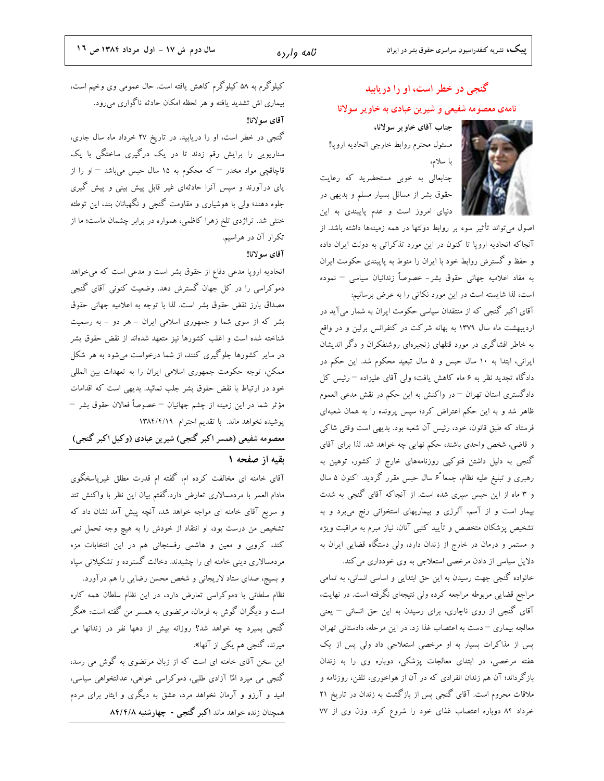# گنجی در خطر است، او را دریابید نامهی معصومه شفیعی و شیرین عبادی به خاویر سولانا

جناب آقاى خاوير سولانا، مسئول محترم روابط خارجي اتحاديه اروپا! با سلام،

جنابعالی به خوبی مستحضرید که رعایت حقوق بشر از مسائل بسیار مسلم و بدیهی در دنیای امروز است و عدم پایبندی به این



اصول می تواند تأثیر سوء بر روابط دولتها در همه زمینهها داشته باشد. از آنجاکه اتحادیه اروپا تا کنون در این مورد تذکراتی به دولت ایران داده و حفظ و گسترش روابط خود با ایران را منوط به پایبندی حکومت ایران به مفاد اعلامیه جهانی حقوق بشر– خصوصاً زندانیان سیاسی – نموده است، لذا شایسته است در این مورد نکاتی را به عرض برسانیم:

آقای اکبر گنجی که از منتقدان سیاسی حکومت ایران به شمار میآید در اردیبهشت ماه سال ۱۳۷۹ به بهانه شرکت در کنفرانس برلین و در واقع به خاطر افشاگری در مورد قتلهای زنجیرهای روشنفکران و دگر اندیشان ایرانی، ابتدا به ١٠ سال حبس و ۵ سال تبعید محکوم شد. این حکم در دادگاه تجدید نظر به ۶ ماه کاهش یافت؛ ولی آقای علیزاده  $-$ رئیس کل دادگستری استان تهران – در واکنش به این حکم در نقش مدعی العموم ظاهر شد و به این حکم اعتراض کرد؛ سپس پرونده را به همان شعبهای فرستاد که طبق قانون، خود، رئیس آن شعبه بود. بدیهی است وقتی شاکی و قاضی، شخص واحدی باشند، حکم نهایی چه خواهد شد. لذا برای آقای گنجی به دلیل داشتن فتوکپی روزنامههای خارج از کشور، توهین به رهبری و تبلیغ علیه نظام، جمعا ً۶ سال حبس مقرر گردید. اکنون ۵ سال و ۳ ماه از این حبس سپری شده است. از آنجاکه آقای گنجی به شدت بیمار است و از آسم، آلرژی و بیماریهای استخوانی رنج میبرد و به تشخیص پزشکان متخصص و تأیید کتبی آنان، نیاز مبرم به مراقبت ویژه و مستمر و درمان در خارج از زندان دارد، ولی دستگاه قضایی ایران به

دلایل سیاسی از دادن مرخصی استعلاجی به وی خودداری می کند. خانواده گنجی جهت رسیدن به این حق ابتدایی و اساسی انسانی، به تمامی مراجع قضایی مربوطه مراجعه کرده ولی نتیجهای نگرفته است. در نهایت، آقای گنجی از روی ناچاری، برای رسیدن به این حق انسانی – یعنی معالجه بیماری – دست به اعتصاب غذا زد. در این مرحله، دادستانی تهران پس از مذاکرات بسیار به او مرخصی استعلاجی داد ولی پس از یک هفته مرخصی، در ابتدای معالجات پزشکی، دوباره وی را به زندان بازگرداند؛ آن هم زندان انفرادی که در آن از هواخوری، تلفن، روزنامه و ملاقات محروم است. آقای گنجی پس از بازگشت به زندان در تاریخ ۲۱ خرداد ۸۴ دوباره اعتصاب غذای خود را شروع کرد. وزن وی از ۷۷

کیلوگرم به ۵۸ کیلوگرم کاهش یافته است. حال عمومی وی وخیم است، بیماری اش تشدید یافته و هر لحظه امکان حادثه ناگواری میرود. آقاي سولانا!

گنجی در خطر است، او را دریابید. در تاریخ ۲۷ خرداد ماه سال جاری، سناریویی را برایش رقم زدند تا در یک درگیری ساختگی با یک قاچاقچی مواد مخدر <sup>—</sup> که محکوم به ۱۵ سال حبس میباشد <sup>—</sup> او را از پای درآورند و سپس آنرا حادثهای غیر قابل پیش بینی و پیش گیری جلوه دهند؛ ولی با هوشیاری و مقاومت گنجی و نگهبانان بند، این توطئه خنثی شد. تراژدی تلخ زهرا کاظمی، همواره در برابر چشمان ماست؛ ما از تکرار آن در هراسیم.

#### آقاى سولانا!

اتحادیه اروپا مدعی دفاع از حقوق بشر است و مدعی است که می خواهد دموکراسی را در کل جهان گسترش دهد. وضعیت کنونی آقای گنجی مصداق بارز نقض حقوق بشر است. لذا با توجه به اعلامیه جهانی حقوق بشر که از سوی شما و جمهوری اسلامی ایران - هر دو - به رسمیت شناخته شده است و اغلب کشورها نیز متعهد شدهاند از نقض حقوق بشر در سایر کشورها جلوگیری کنند، از شما درخواست میشود به هر شکل ممکن، توجه حکومت جمهوری اسلامی ایران را به تعهدات بین المللی خود در ارتباط با نقض حقوق بشر جلب نمائید. بدیهی است که اقدامات مؤثر شما در این زمینه از چشم جهانیان — خصوصاً فعالان حقوق بشر — پوشیده نخواهد ماند. با تقدیم احترام ١٣٨٤/٢/١٩

معصومه شفیعی (همسر اکبر گنجی) شیرین عبادی (وکیل اکبر گنجی)

#### بقيه از صفحه ١

آقای خامنه ای مخالفت کرده ام، گفته ام قدرت مطلق غیرپاسخگوی مادام العمر با مردمسالاری تعارض دارد.گفتم بیان این نظر با واکنش تند و سریع آقای خامنه ای مواجه خواهد شد، آنچه پیش آمد نشان داد که تشخیص من درست بود، او انتقاد از خودش را به هیچ وجه تحمل نمی کند، کروبی و معین و هاشمی رفسنجانی هم در این انتخابات مزه مردمسالاری دینی خامنه ای را چشیدند. دخالت گسترده و تشکیلاتی سپاه و بسیج، صدای ستاد لاریجانی و شخص محسن رضایی را هم در آورد. نظام سلطانی با دموکراسی تعارض دارد، در این نظام سلطان همه کاره است و دیگران گوش به فرمان، مرتضوی به همسر من گفته است: «مگر گنجی بمیرد چه خواهد شد؟ روزانه بیش از دهها نفر در زندانها می میرند، گنجی هم یکی از آنها».

این سخن آقای خامنه ای است که از زبان مرتضوی به گوش می رسد، گنجی می میرد امٌا آزادی طلبی، دموکراسی خواهی، عدالتخواهی سیاسی، امید و آرزو و آرمان نخواهد مرد، عشق به دیگری و ایثار برای مردم همچنان زنده خواهد ماند اکبر گنجی - چهارشنبه ۸۴/۴/۸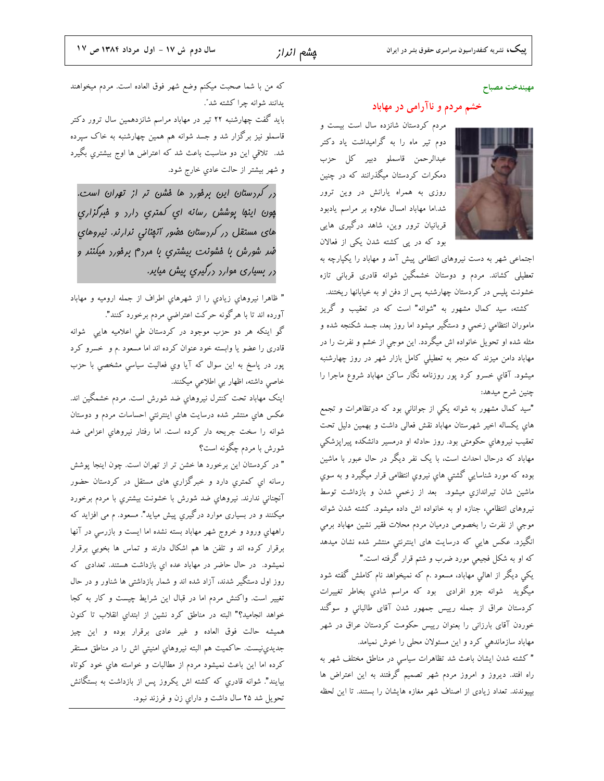#### مهيندخت مصباح

#### خشم مردم و ناآرامی در مهاباد

مردم کردستان شانزده سال است بیست و دوم تیر ماه را به گرامیداشت یاد دکتر عبدالرحمن قاسملو دبير كل حزب دمکرات کردستان میگذرانند که در چنین روزی به همراه یارانش در وین ترور شد.اما مهاباد امسال علاوه بر مراسم یادبود قربانیان ترور وین، شاهد درگیری هایی بود که در پی کشته شدن یکی از فعالان



اجتماعی شهر به دست نیروهای انتطامی پیش آمد و مهاباد را یکپارچه به تعطیلی کشاند. مردم و دوستان خشمگین شوانه قادری قربانی تازه خشونت پلیس در کردستان چهارشنبه پس از دفن او به خیابانها ریختند. کشته، سید کمال مشهور به "شوانه" است که در تعقیب و گریز ماموران انتظامی زخمی و دستگیر میشود اما روز بعد، جسد شکنجه شده و مثله شده او تحویل خانواده اش میگردد. این موجی از خشم و نفرت را در مهاباد دامن میزند که منجر به تعطیلی کامل بازار شهر در روز چهارشنبه میشود. آقای خسرو کرد پور روزنامه نگار ساکن مهاباد شروع ماجرا را چنین شرح میدهد:

"سید کمال مشهور به شوانه یکی از جوانانی بود که درتظاهرات و تجمع های یکساله اخیر شهرستان مهاباد نقش فعالی داشت و بهمین دلیل تحت تعقیب نیروهای حکومتی بود. روز حادثه او درمسیر دانشکده پیراپزشکی مهاباد که درحال احداث است، با یک نفر دیگر در حال عبور با ماشین بوده که مورد شناسایی گشتی هاي نیروي انتظامی قرار میگیرد و به سوي ماشین شان تیراندازی میشود. بعد از زخمی شدن و بازداشت توسط نیروهای انتظامی، جنازه او به خانواده اش داده میشود. کشته شدن شوانه موجي از نفرت را بخصوص درميان مردم محلات فقير نشين مهاباد برمي انگیزد. عکس هایی که درسایت های اینترنتی منتشر شده نشان میدهد که او به شکل فجیعی مورد ضرب و شتم قرار گرفته است."

یکی دیگر از اهالی مهاباد، مسعود .م که نمیخواهد نام کاملش گفته شود میگوید شوانه جزو افرادی بود که مراسم شادی بخاطر تغییرات کردستان عراق از جمله رییس جمهور شدن آقای طالبانی و سوگند خوردن آقای بارزانی را بعنوان رییس حکومت کردستان عراق در شهر مهاباد سازماندهی کرد و این مسئولان محلی را خوش نمیامد.

" كشته شدن ايشان باعث شد تظاهرات سياسي در مناطق مختلف شهر به راه افتد. دیروز و امروز مردم شهر تصمیم گرفتند به این اعتراض ها بپیوندند. تعداد زیادی از اصناف شهر مغازه هایشان را بستند. تا این لحظه

كه من با شما صحبت ميكنم وضع شهر فوق العاده است. مردم ميخواهند يدانند شوانه چرا كشته شد".

باید گفت چهارشنبه ۲۲ تیر در مهاباد مراسم شانزدهمین سال ترور دکتر قاسملو نیز برگزار شد و جسد شوانه هم همین چهارشنبه به خاک سپرده شد. تلاقی این دو مناسبت باعث شد که اعتراض ها اوج بیشتری بگیرد و شهر بیشتر از حالت عادی خارج شود.

در کردستان این برفورد ها فشن تر از تهران است. پون اینها پوشش رسانه ای کمتری دارد و فبرگزاری های مستقل <sub>د</sub>ر کر<sub>د</sub>ستان مفور آنهنانی نرارنر. نیروهای ضر شورش با فشونت بیشتری با مردم برفورد میکننر و در بسیاری موارد درگیری پیش میایر.

" ظاهرا نيروهاي زيادي را از شهرهاي اطراف از جمله اروميه و مهاباد آورده اند تا با هرگونه حرکت اعتراضی مردم برخورد کنند".

گو اینکه هر دو حزب موجود در کردستان طی اعلامیه هایی شوانه قادری را عضو یا وابسته خود عنوان کرده اند اما مسعود .م و خسرو کرد پور در پاسخ به این سوال که آیا وي فعالیت سیاسی مشخصی با حزب خاصی داشته، اظهار بی اطلاعی میکنند.

اینک مهاباد تحت کنترل نیروهای ضد شورش است. مردم خشمگین اند. عکس های منتشر شده درسایت های اینترنتی احساسات مردم و دوستان شوانه را سخت جریحه دار کرده است. اما رفتار نیروهای اعزامی ضد شورش با مردم چگونه است؟

" در کردستان این برخورد ها خشن تر از تهران است. چون اینجا پوشش رسانه ای کمتری دارد و خبرگزاری های مستقل در کردستان حضور آنچنانی ندارند. نیروهای ضد شورش با خشونت بیشتری با مردم برخورد میکنند و در بسیاری موارد درگیري پیش میاید". مسعود. م می افزاید که راههای ورود و خروج شهر مهاباد بسته نشده اما ایست و بازرسی در آنها برقرار کرده اند و تلفن ها هم اشکال دارند و تماس ها بخوبی برقرار نمیشود. در حال حاضر در مهاباد عده ای بازداشت هستند. تعدادی که روز اول دستگیر شدند، آزاد شده اند و شمار بازداشتی ها شناور و در حال تغییر است. واکنش مردم اما در قبال این شرایط چیست و کار به کجا خواهد انجامید؟" البته در مناطق کرد نشین از ابتدای انقلاب تا کنون همیشه حالت فوق العاده و غیر عادی برقرار بوده و این چیز جدیدی:نیست. حاکمیت هم البته نیروهای امنیتی اش را در مناطق مستقر کرده اما این باعث نمیشود مردم از مطالبات و خواسته های خود کوتاه بیایند". شوانه قادری که کشته اش یکروز پس از بازداشت به بستگانش تحويل شد ٢۵ سال داشت و داراي زن و فرزند نبود.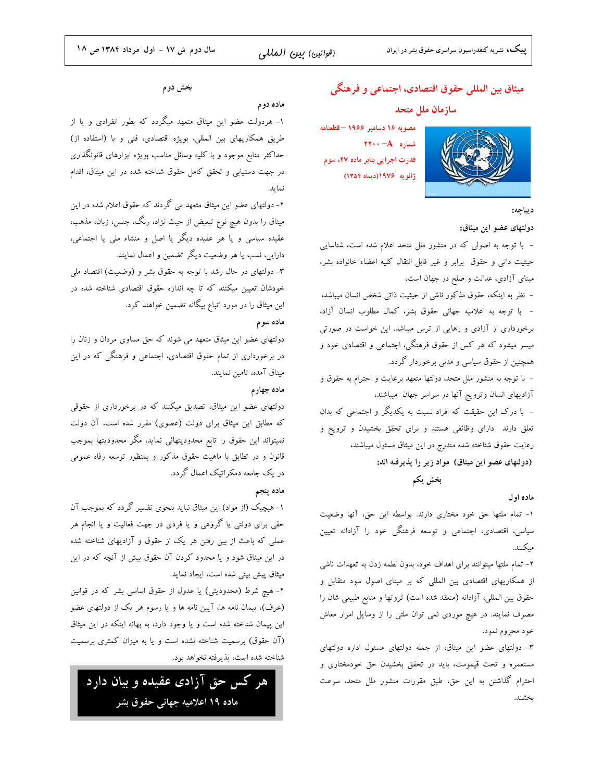# ميثاق بين المللي حقوق اقتصادي، اجتماعي و فرهنگي

### سازمان ملل متحد

مصوبه ١۶ دسامبر ١٩۶۶ - قطعنامه  $\mathbf{Y} \cdot \cdot - \mathbf{A}$  شماره قدرت اجرایی بنابر ماده ۲۷، سوم ژانویه ۱۹۷۶(دیماه ۱۳۵۴)



#### ديباچه:

دولتهاى عضو اين ميثاق:

– با توجه به اصولی که در منشور ملل متحد اعلام شده است، شناسایی حیثیت ذاتی و حقوق برابر و غیر قابل انتقال کلیه اعضاء خانواده بشر، مبنای آزادی، عدالت و صلح در جهان است،

– نظر به اینکه، حقوق مذکور ناشی از حیثیت ذاتی شخص انسان میباشد، - با توجه به اعلاميه جهاني حقوق بشر، كمال مطلوب انسان آزاد، برخورداری از آزادی و رهایی از ترس میباشد. این خواست در صورتی میسر میشود که هر کس از حقوق فرهنگی، اجتماعی و اقتصادی خود و همچنین از حقوق سیاسی و مدنی برخوردار گردد.

– با توجه به منشور ملل متحد، دولتها متعهد برعایت و احترام به حقوق و آزادیهای انسان وترویج آنها در سراسر جهان ًمیباشند، – با درک این حقیقت که افراد نسبت به یکدیگر و اجتماعی که بدان تعلق دارند دارای وظائفی هستند و برای تحقق بخشیدن و ترویج و رعایت حقوق شناخته شده مندرج در این میثاق مسئول میباشند، (دولتهای عضو این میثاق) مواد زیر را پذیرفته اند:

بخش يكم

#### ماده اول

١- تمام ملتها حق خود مختارى دارند. بواسطه اين حق، آنها وضعيت سیاسی، اقتصادی، اجتماعی و توسعه فرهنگی خود را آزادانه تعیین مىكنند.

۲- تمام ملتها میتوانند برای اهداف خود، بدون لطمه زدن به تعهدات ناشی از همکاریهای اقتصادی بین المللی که بر مبنای اصول سود متقابل و حقوق بین المللی، آزادانه (منعقد شده است) ثروتها و منابع طبیعی شان را مصرف نمایند. در هیچ موردی نمی توان ملتی را از وسایل امرار معاش خود محروم نمود.

٣- دولتهای عضو این میثاق، از جمله دولتهای مسئول اداره دولتهای مستعمره و تحت قیمومت، باید در تحقق بخشیدن حق خودمختاری و احترام گذاشتن به این حق، طبق مقررات منشور ملل متحد، سرعت بخشند.

#### بخش دوم

#### ماده دوم

۱- هردولت عضو این میثاق متعهد میگردد که بطور انفرادی و یا از طریق همکاریهای بین المللی، بویژه اقتصادی، فنی و با (استفاده از) حداکثر منابع موجود و با کلیه وسائل مناسب بویژه ابزارهای قانونگذاری در جهت دستیابی و تحقق کامل حقوق شناخته شده در این میثاق، اقدام نمايد.

۲- دولتهای عضو این میثاق متعهد می گردند که حقوق اعلام شده در این میثاق را بدون هیچ نوع تبعیض از حیث نژاد، رنگ، جنس، زبان، مذهب، عقیده سیاسی و یا هر عقیده دیگر یا اصل و منشاء ملی یا اجتماعی، دارایی، نسب یا هر وضعیت دیگر تضمین و اعمال نمایند.

۳- دولتهای در حال رشد با توجه به حقوق بشر و (وضعیت) اقتصاد ملی خودشان تعیین میکنند که تا چه اندازه حقوق اقتصادی شناخته شده در این میثاق را در مورد اتباع بیگانه تضمین خواهند کرد.

#### ماده سوم

دولتهای عضو این میثاق متعهد می شوند که حق مساوی مردان و زنان را در برخورداری از تمام حقوق اقتصادی، اجتماعی و فرهنگی که در این میثاق آمده، تامین نمایند.

#### ماده چهارم

دولتهای عضو این میثاق، تصدیق میکنند که در برخورداری از حقوقی که مطابق این میثاق برای دولت (عصوی) مقرر شده است، آن دولت نمیتواند این حقوق را تابع محدودیتهائی نماید، مگر محدودیتها بموجب .<br>قانون و در تطابق با ماهیت حقوق مذکور و بمنظور توسعه رفاه عمومی در یک جامعه دمکراتیک اعمال گردد.

#### ماده ينجم

۱- هیچیک (از مواد) این میثاق نباید بنحوی تفسیر گردد که بموجب آن حقی برای دولتی یا گروهی و یا فردی در جهت فعالیت و یا انجام هر عملی که باعث از بین رفتن هر یک از حقوق و آزادیهای شناخته شده در این میثاق شود و یا محدود کردن آن حقوق بیش از آنچه که در این میثاق پیش بینی شده است، ایجاد نماید.

۲- هیچ شرط (محدودیتی) یا عدول از حقوق اساسی بشر که در قوانین (عرف)، پیمان نامه ها، آیین نامه ها و یا رسوم هر یک از دولتهای عضو این پیمان شناخته شده است و یا وجود دارد، به بهانه اینکه در این میثاق (آن حقوق) برسمیت شناخته نشده است و یا به میزان کمتری برسمیت شناخته شده است، پذیرفته نخواهد بود.

هر کس حق آزادی عقیده و بیان دارد ماده ۱۹ اعلامیه جهانی حقوق بشر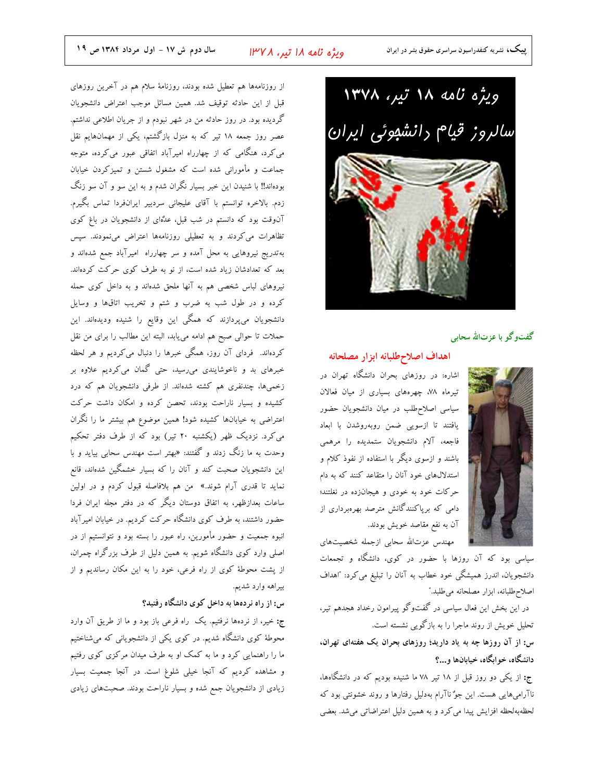ویژه نامه ۱۸ تیر، ۱۳۷۸ سالروز قیام رانشووئی ایران



#### گفتوگو با عزتالله سحابی

#### اهداف اصلاحطلبانه ابزار مصلحانه



مهندس عزتالله سحابي ازجمله شخصيتهاى

سیاسی بود که آن روزها با حضور در کوی، دانشگاه و تجمعات دانشجویان، اندرز همیشگی خود خطاب به آنان را تبلیغ می کرد: "اهداف اصلاح طلبانه، ابزار مصلحانه مي طلبد."

در این بخش این فعال سیاسی در گفتوگو پیرامون رخداد هجدهم تیر، تحلیل خویش از روند ماجرا را به بازگویی نشسته است.

س: از آن روزها چه به یاد دارید؛ روزهای بحران یک هفتهای تهران، دانشگاه، خوابگاه، خیابانها و…؟

ج: از یکی دو روز قبل از ۱۸ تیر ۷۸ ما شنیده بودیم که در دانشگاهها، ناآرامیهایی هست. این جوٌ ناآرام بهدلیل رفتارها و روند خشونتی بود که لحظهبهلحظه افزایش پیدا می کرد و به همین دلیل اعتراضاتی می شد. بعضی

از روزنامهها هم تعطیل شده بودند، روزنامهٔ سلام هم در آخرین روزهای قبل از این حادثه توقیف شد. همین مسائل موجب اعتراض دانشجویان گردیده بود. در روز حادثه من در شهر نبودم و از جریان اطلاعی نداشتم. عصر روز جمعه ۱۸ تیر که به منزل بازگشتم، یکی از مهمانهایم نقل می کرد، هنگامی که از چهارراه امیرآباد اتفاقی عبور می کرده، متوجه جماعت و مأمورانی شده است که مشغول شستن و تمیزکردن خیابان بودهاند!! با شنیدن این خبر بسیار نگران شدم و به این سو و آن سو زنگ زدم. بالاخره توانستم با آقای علیجانی سردبیر ایرانفردا تماس بگیرم. آنوقت بود که دانستم در شب قبل، عدُّهای از دانشجویان در باغ کوی تظاهرات می کردند و به تعطیلی روزنامهها اعتراض مینمودند. سپس بهتدریج نیروهایی به محل آمده و سر چهارراه امیرآباد جمع شدهاند و بعد که تعدادشان زیاد شده است، از نو به طرف کوی حرکت کردهاند. نیروهای لباس شخصی هم به آنها ملحق شدهاند و به داخل کوی حمله کرده و در طول شب به ضرب و شتم و تخریب اتاقها و وسایل دانشجویان میپردازند که همگی این وقایع را شنیده ودیدهاند. این حملات تا حوالي صبح هم ادامه مي يابد، البته اين مطالب را براي من نقل کردهاند. فردای آن روز، همگی خبرها را دنبال میکردیم و هر لحظه خبرهای بد و ناخوشایندی میرسید، حتی گمان میکردیم علاوه بر زخمیها، چندنفری هم کشته شدهاند. از طرفی دانشجویان هم که درد کشیده و بسیار ناراحت بودند، تحصن کرده و امکان داشت حرکت اعتراضی به خیابانها کشیده شود! همین موضوع هم بیشتر ما را نگران می کرد. نزدیک ظهر (یکشنبه ۲۰ تیر) بود که از طرف دفتر تحکیم وحدت به ما زنگ زدند و گفتند: «بهتر است مهندس سحابی بیاید و با این دانشجویان صحبت کند و آنان را که بسیار خشمگین شدهاند، قانع نماید تا قدری آرام شوند.» من هم بلافاصله قبول کردم و در اولین ساعات بعدازظهر، به اتفاق دوستان دیگر که در دفتر مجله ایران فردا حضور داشتند، به طرف کوی دانشگاه حرکت کردیم. در خیابان امیرآباد انبوه جمعیت و حضور مأمورین، راه عبور را بسته بود و نتوانستیم از در اصلی وارد کوی دانشگاه شویم. به همین دلیل از طرف بزرگراه چمران، از پشت محوطهٔ کوی از راه فرعی، خود را به این مکان رساندیم و از بيراهه وارد شديم.

### س: از راه نردهها به داخل کوی دانشگاه رفتید؟

ج: خیر، از نردهها نرفتیم. یک راه فرعی باز بود و ما از طریق آن وارد محوطهٔ کوی دانشگاه شدیم. در کوی یکی از دانشجویانی که میشناختیم ما را راهنمایی کرد و ما به کمک او به طرف میدان مرکزی کوی رفتیم و مشاهده کردیم که آنجا خیلی شلوغ است. در آنجا جمعیت بسیار زیادی از دانشجویان جمع شده و بسیار ناراحت بودند. صحبتهای زیادی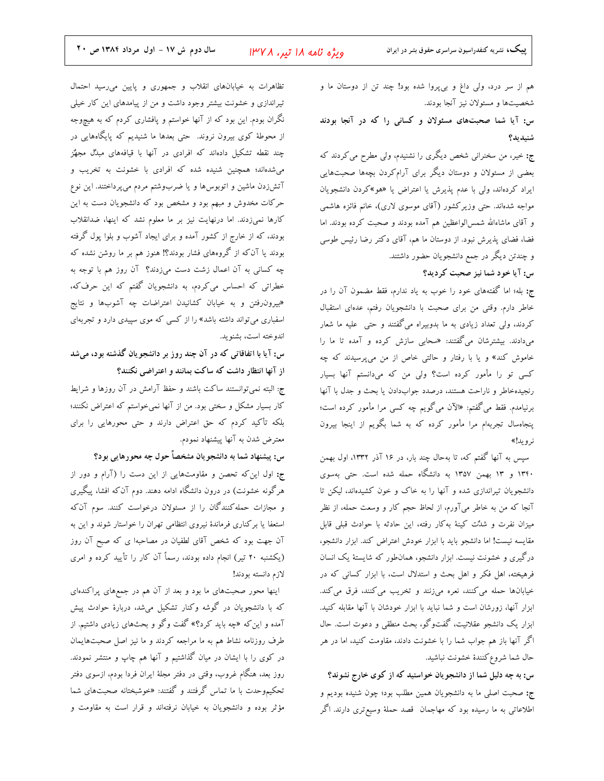هم از سر درد، ولی داغ و بیپروا شده بود! چند تن از دوستان ما و شخصیتها و مسئولان نیز آنجا بودند.

س: آیا شما صحبتهای مسئولان و کسانی را که در آنجا بودند شنىدىد؟

ج: خیر، من سخنرانی شخص دیگری را نشنیدم، ولی مطرح می کردند که بعضی از مسئولان و دوستان دیگر برای آرامکردن بچهها صحبتهایی ایراد کردهاند، ولی با عدم پذیرش یا اعتراض یا «هو»کردن دانشجویان مواجه شدهاند. حتی وزیر کشور (آقای موسوی لاری)، خانم فائزه هاشمی و آقای ماشاءالله شمس|لواعظین هم آمده بودند و صحبت کرده بودند. اما فضا، فضای پذیرش نبود. از دوستان ما هم، آقای دکتر رضا رئیس طوسی و چندتن دیگر در جمع دانشجویان حضور داشتند.

س: آیا خود شما نیز صحبت کردید؟

ج: بله؛ اما گفتههای خود را خوب به یاد ندارم، فقط مضمون آن را در خاطر دارم. وقتی من برای صحبت با دانشجویان رفتم، عدهای استقبال کردند، ولی تعداد زیادی به ما بدوبیراه میگفتند و حتی علیه ما شعار میدادند. بیشترشان میگفتند: «سحابی سازش کرده و آمده تا ما را خاموش کند» و یا با رفتار و حالتی خاص از من میپرسیدند که چه کسی تو را مأمور کرده است؟ ولی من که میدانستم آنها بسیار رنجیدهخاطر و ناراحت هستند، درصدد جوابدادن یا بحث و جدل با آنها برنیامدم. فقط می گفتم: «الآن میگویم چه کسی مرا مأمور کرده است؛ پنجاهسال تجربهام مرا مأمور كرده كه به شما بگويم از اينجا بيرون نرويد!»

سپس به آنها گفتم که، تا بهحال چند بار، در ۱۶ آذر ۱۳۳۲، اول بهمن ۱۳۴۰ و ۱۳ بهمن ۱۳۵۷ به دانشگاه حمله شده است. حتی بهسوی دانشجویان تیراندازی شده و آنها را به خاک و خون کشیدهاند، لیکن تا ۔<br>آنجا که من به خاطر میآورم، از لحاظ حجم کار و وسعت حمله، از نظر میزان نفرت و شدٌت کینهٔ بهکار رفته، این حادثه با حوادث قبلی قابل مقايسه نيست! اما دانشجو بايد با ابزار خودش اعتراض كند. ابزار دانشجو، درگیری و خشونت نیست. ابزار دانشجو، همان طور که شایستهٔ یک انسان فرهیخته، اهل فکر و اهل بحث و استدلال است، با ابزار کسانی که در خیابانها حمله می کنند، نعره میزنند و تخریب می کنند، فرق می کند. ابزار آنها، زورشان است و شما نباید با ابزار خودشان با آنها مقابله کنید. ابزار یک دانشجو عقلانیت، گفتوگو، بحث منطقی و دعوت است. حال اگر آنها باز هم جواب شما را با خشونت دادند، مقاومت کنید، اما در هر حال شما شروع كنندة خشونت نباشيد.

س: به چه دلیل شما از دانشجویان خواستید که از کوی خارج نشوند؟ ج: صحبت اصلی ما به دانشجویان همین مطلب بود؛ چون شنیده بودیم و اطلاعاتی به ما رسیده بود که مهاجمان قصد حملهٔ وسیعتری دارند. اگر

تظاهرات به خیابانهای انقلاب و جمهوری و پایین میرسید احتمال تیراندازی و خشونت بیشتر وجود داشت و من از پیامدهای این کار خیلی نگران بودم. این بود که از آنها خواستم و پافشاری کردم که به هیچوجه از محوطهٔ کوی بیرون نروند. حتی بعدها ما شنیدیم که پایگاههایی در چند نقطه تشکیل دادهاند که افرادی در آنها با قیافههای مبدُل مجهٌز می شدهاند؛ همچنین شنیده شده که افرادی با خشونت به تخریب و آتشزدن ماشین و اتوبوسها و یا ضربوشتم مردم میپرداختند. این نوع حرکات مخدوش و مبهم بود و مشخص بود که دانشجویان دست به این كارها نمىزدند. اما درنهايت نيز بر ما معلوم نشد كه اينها، ضدانقلاب بودند، که از خارج از کشور آمده و برای ایجاد آشوب و بلوا پول گرفته بودند یا آن که از گروههای فشار بودند؟! هنوز هم بر ما روشن نشده که چه کسانی به آن اعمال زشت دست میزدند؟ آن روز هم با توجه به خطراتی که احساس میکردم، به دانشجویان گفتم که این حرفکه، «بیرون٫فتن و به خیابان کشانیدن اعتراضات چه آشوبها و نتایج اسفباری میتواند داشته باشد» را از کسی که موی سپیدی دارد و تجربهای اندوخته است، بشنويد.

س: آیا با اتفاقاتی که در آن چند روز بر دانشجویان گذشته بود، میشد از آنها انتظار داشت که ساکت بمانند و اعتراضی نکنند؟

ج: البته نمیتوانستند ساکت باشند و حفظ آرامش در آن روزها و شرایط کار بسیار مشکل و سختی بود. من از آنها نمیخواستم که اعتراض نکنند؛ بلکه تأکید کردم که حق اعتراض دارند و حتی محورهایی را برای معترض شدن به آنها پیشنهاد نمودم.

س: پیشنهاد شما به دانشجویان مشخصاً حول چه محورهایی بود؟

ج: اول این که تحصن و مقاومتهایی از این دست را (آرام و دور از هرگونه خشونت) در درون دانشگاه ادامه دهند. دوم آن که افشا، پیگیری و مجازات حمله کنندگان را از مسئولان درخواست کنند. سوم آن که استعفا یا برکناری فرماندهٔ نیروی انتظامی تهران را خواستار شوند و این به آن جهت بود که شخص آقای لطفیان در مصاحبها ی که صبح آن روز (یکشنبه ۲۰ تیر) انجام داده بودند، رسماً آن کار را تأیید کرده و امری لازم دانسته بودند!

اینها محور صحبتهای ما بود و بعد از آن هم در جمعهای پراکندهای که با دانشجویان در گوشه وکنار تشکیل میشد، دربارهٔ حوادث پیش آمده و این که «چه باید کرد؟» گفت وگو و بحثهای زیادی داشتیم. از طرف روزنامه نشاط هم به ما مراجعه كردند و ما نيز اصل صحبتهايمان در کوی را با ایشان در میان گذاشتیم و آنها هم چاپ و منتشر نمودند. روز بعد، هنگام غروب، وقتی در دفتر مجلهٔ ایران فردا بودم، ازسوی دفتر تحکیمٖوحدت با ما تماس گرفتند و گفتند: «خوشبختانه صحبتهای شما مؤثر بوده و دانشجویان به خیابان نرفتهاند و قرار است به مقاومت و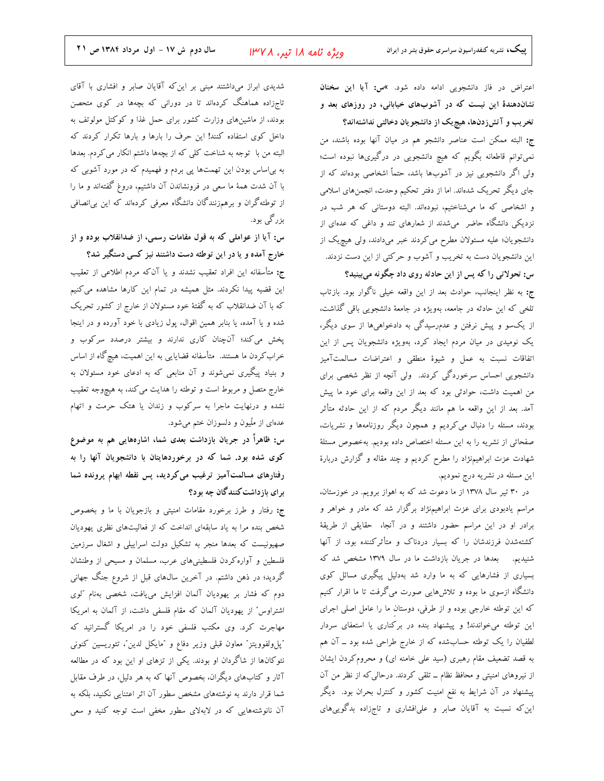اعتراض در فاز دانشجویی ادامه داده شود. »س: آیا این سخنان نشاندهندهٔ این نیست که در آشوبهای خیابانی، در روزهای بعد و تخریب و آتشزدنها، هیچیک از دانشجویان دخالتی نداشتهاند؟ ج: البته ممكن است عناصر دانشجو هم در ميان آنها بوده باشند، من نمیتوانم قاطعانه بگویم که هیچ دانشجویی در درگیریها نبوده است؛ ولی اگر دانشجویی نیز در آشوبها باشد، حتماً اشخاصی بودهاند که از جای دیگر تحریک شدهاند. اما از دفتر تحکیم وحدت، انجمنهای اسلامی و اشخاصی که ما میشناختیم، نبودهاند. البته دوستانی که هر شب در نزدیکی دانشگاه حاضر ً میشدند از شعارهای تند و داغی که عدهای از دانشجویان؛ علیه مسئولان مطرح می کردند خبر میدادند، ولی هیچ یک از این دانشجویان دست به تخریب و آشوب و حرکتی از این دست نزدند. س: تحولاتی را که پس از این حادثه روی داد چگونه میبینید؟

ج: به نظر اینجانب، حوادث بعد از این واقعه خیلی ناگوار بود. بازتاب تلخی که این حادثه در جامعه، بهویژه در جامعهٔ دانشجویی باقی گذاشت، از یکسو و پیش نرفتن و عدمرسیدگی به دادخواهیها از سوی دیگر، یک نومیدی در میان مردم ایجاد کرد، بهویژه دانشجویان پس از این .<br>اتفاقات نسبت به عمل و شیوهٔ منطقی و اعتراضات مسالمتآمیز دانشجویی احساس سرخوردگی کردند. ولی آنچه از نظر شخصی برای من اهمیت داشت، حوادثی بود که بعد از این واقعه برای خود ما پیش آمد. بعد از این واقعه ما هم مانند دیگر مردم که از این حادثه متأثر بودند، مسئله را دنبال می کردیم و همچون دیگر روزنامهها و نشریات، صفحاتی از نشریه را به این مسئله اختصاص داده بودیم. بهخصوص مسئلهٔ شهادت عزت ابراهیم;ژاد را مطرح کردیم و چند مقاله و گزارش دربارهٔ این مسئله در نشریه درج نمودیم.

در ۳۰ تیر سال ۱۳۷۸ از ما دعوت شد که به اهواز برویم. در خوزستان، مراسم یادبودی برای عزت ابراهیمنژاد برگزار شد که مادر و خواهر و برادر او در این مراسم حضور داشتند و در آنجا، حقایقی از طریقهٔ کشتهشدن فرزندشان را که بسیار دردناک و متأثرکننده بود، از آنها شنیدیم. بعدها در جریان بازداشت ما در سال ۱۳۷۹ مشخص شد که بسیاری از فشارهایی که به ما وارد شد بهدلیل پیگیری مسائل کوی دانشگاه ازسوی ما بوده و تلاش۵ایی صورت میگرفت تا ما اقرار کنیم که این توطئه خارجی بوده و از طرفی، دوستان ما را عامل اصلی اجرای این توطئه میخواندند! و پیشنهاد بنده در برکناری یا استعفای سردار لطفیان را یک توطئه حسابشده که از خارج طراحی شده بود ــ آن هم به قصد تضعیف مقام رهبری (سید علی خامنه ای) و محروم کردن ایشان از نیروهای امنیتی و محافظ نظام ــ تلقی کردند. درحالی که از نظر من آن پیشنهاد در آن شرایط به نفع امنیت کشور و کنترل بحران بود. دیگر این که نسبت به آقایان صابر و علیافشاری و تاجزاده بدگوییهای

شدیدی ابراز میداشتند مبنی بر این که آقایان صابر و افشاری با آقای تاجزاده هماهنگ کردهاند تا در دورانی که بچهها در کوی متحصن بودند، از ماشینهای وزارت کشور برای حمل غذا و کوکتل مولوتف به داخل کوی استفاده کنند! این حرف را بارها و بارها تکرار کردند که البته من با توجه به شناخت کلی که از بچهها داشتم انکار می کردم. بعدها به بی|ساس بودن این تهمتها پی بردم و فهمیدم که در مورد آشوبی که با آن شدت همهٔ ما سعی در فرونشاندن آن داشتیم، دروغ گفتهاند و ما را از توطئه گران و برهمزنندگان دانشگاه معرفی کردهاند که این بی|نصافی بزرگی بود.

س: آیا از عواملی که به قول مقامات رسمی، از ضدانقلاب بوده و از خارج آمده و یا در این توطئه دست داشتند نیز کسی دستگیر شد؟

ج: متأسفانه این افراد تعقیب نشدند و یا آنکه مردم اطلاعی از تعقیب این قضیه پیدا نکردند. مثل همیشه در تمام این کارها مشاهده میکنیم که با آن ضدانقلاب که به گفتهٔ خود مسئولان از خارج از کشور تحریک شده و یا آمده، یا بنابر همین اقوال، پول زیادی با خود آورده و در اینجا پخش میکند؛ آنچنان کاری ندارند و بیشتر درصدد سرکوب و خراب کردن ما هستند. متأسفانه قضایایی به این اهمیت، هیچ گاه از اساس و بنیاد پیگیری نمیشوند و آن منابعی که به ادعای خود مسئولان به خارج متصل و مربوط است و توطئه را هدایت می کند، به هیچوجه تعقیب نشده و درنهایت ماجرا به سرکوب و زندان یا هتک حرمت و اتهام عدهای از ملّیون و دلسوزان ختم میشود.

س: ظاهراً در جریان بازداشت بعدی شما، اشارههایی هم به موضوع کوی شده بود. شما که در برخوردهایتان با دانشجویان آنها را به رفتارهای مسالمتآمیز ترغیب می کردید، پس نقطه ابهام پرونده شما بر ای باز داشت کنند گان چه بو د؟

ج: رفتار و طرز برخورد مقامات امنیتی و بازجویان با ما و بخصوص شخص بنده مرا به یاد سابقهای انداخت که از فعالیتهای نظری یهودیان صهیونیست که بعدها منجر به تشکیل دولت اسراییلی و اشغال سرزمین فلسطین و آواره کردن فلسطینیهای عرب، مسلمان و مسیحی از وطنشان گردید؛ در ذهن داشتم. در آخرین سال@ای قبل از شروع جنگ جهانی دوم كه فشار بر يهوديان آلمان افزايش مىيافت، شخصى بهنام "لوى اشتراوس" از یهودیان آلمان که مقام فلسفی داشت، از آلمان به امریکا مهاجرت کرد. وی مکتب فلسفی خود را در امریکا گسترانید که "پلولفوويتز" معاون قبلي وزير دفاع و "مايكل لدين"، تئوريسين كنوني نئوکانها از شاگردان او بودند. یکی از تزهای او این بود که در مطالعه آثار و کتابهای دیگران، بخصوص آنها که به هر دلیل، در طرف مقابل شما قرار دارند به نوشتههای مشخص سطور آن اثر اعتنایی نکنید، بلکه به آن نانوشتههایی که در لابهلای سطور مخفی است توجه کنید و سعی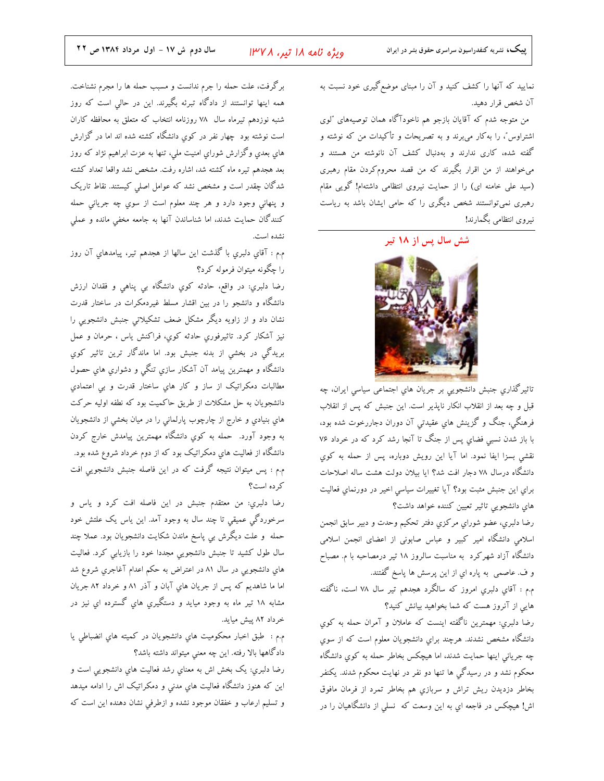نمایید که آنها را کشف کنید و آن را مبنای موضع گیری خود نسبت به آن شخص قرار دهيد.

من متوجه شدم که آقایان بازجو هم ناخودآگاه همان توصیههای ″لوی اشتراوس"، را بهکار میبرند و به تصریحات و تأکیدات من که نوشته و گفته شده، کاری ندارند و بهدنبال کشف آن نانوشته من هستند و میخواهند از من اقرار بگیرند که من قصد محرومکردن مقام رهبری (سید علی خامنه ای) را از حمایت نیروی انتظامی داشتهام! گویی مقام رهبری نمیتوانستند شخص دیگری را که حامی ایشان باشد به ریاست نيروي انتظامى بگمارند!

شش سال پس از <mark>۱۸</mark> تیر



تاثيرگذاري جنبش دانشجويي بر جريان هاي اجتماعی سياسی ايران، چه قبل و چه بعد از انقلاب انکار ناپذیر است. این جنبش که پس از انقلاب فرهنگی، جنگ و گزینش های عقیدتی آن دوران دجاررخوت شده بود، با باز شدن نسبی فضای پس از جنگ تا آنجا رشد کرد که در خرداد ۷۶ نقشی بسزا ایفا نمود. اما آیا این رویش دوباره، پس از حمله به کوی دانشگاه درسال ۷۸ دجار افت شد؟ ایا بیلان دولت هشت ساله اصلاحات برای این جنبش مثبت بود؟ آیا تغییرات سیاسی اخیر در دورنمای فعالیت های دانشجویی تاثیر تعیین کننده خواهد داشت؟

رضا دلبري، عضو شوراي مركزي دفتر تحكيم وحدت و دبير سابق انجمن اسلامی دانشگاه امیر کبیر و عباس صابونی از اعضای انجمن اسلامی دانشگاه آزاد شهرکرد به مناسبت سالروز ۱۸ تیر درمصاحبه با م. مصباح و ف. عاصمي به پاره اي از اين پرسش ها پاسخ گفتند.

م.م : آقاي دلبري امروز كه سالگرد هجدهم تير سال ٧٨ است، ناگفته هایی از آنروز هست که شما بخواهید بیانش کنید؟

رضا دلبري: مهمترين ناگفته اينست كه عاملان و آمران حمله به كوي دانشگاه مشخص نشدند. هرچند براي دانشجويان معلوم است که از سوي چه جریانی اینها حمایت شدند، اما هیچکس بخاطر حمله به کوی دانشگاه محکوم نشد و در رسیدگی ها تنها دو نفر در نهایت محکوم شدند. یکنفر بخاطر دزديدن ريش تراش و سربازي هم بخاطر تمرد از فرمان مافوق اش! هیچکس در فاجعه ای به این وسعت که نسلی از دانشگاهیان را در

برگرفت، علت حمله را جرم ندانست و مسبب حمله ها را مجرم نشناخت. همه اینها توانستند از دادگاه تبرئه بگیرند. این در حالی است که روز شنبه نوزدهم تيرماه سال ٧٨ روزنامه انتخاب كه متعلق به محافظه كاران است نوشته بود چهار نفر در کوی دانشگاه کشته شده اند اما در گزارش های بعدی وگزارش شورای امنیت ملی، تنها به عزت ابراهیم نژاد که روز بعد هجدهم تيره ماه كشته شد، اشاره رفت. مشخص نشد واقعا تعداد كشته شدگان چقدر است و مشخص نشد که عوامل اصلی کیستند. نقاط تاریک و پنهانی وجود دارد و هر چند معلوم است از سوی چه جریانی حمله کنندگان حمایت شدند، اما شناساندن آنها به جامعه مخفی مانده و عملی نشده است.

م.م : آقاي دلبري با گذشت اين سالها از هجدهم تير، پيامدهاي آن روز را چگونه میتوان فرموله کرد؟

رضا دلبري: در واقع، حادثه کوي دانشگاه بي پناهي و فقدان ارزش دانشگاه و دانشجو را در بین اقشار مسلط غیردمکرات در ساختار قدرت نشان داد و از زاویه دیگر مشکل ضعف تشکیلاتی جنبش دانشجویی را نيز آشكار كرد. تاثيرفوري حادثه كوي، فراكنش ياس ، حرمان و عمل بريدگي در بخشي از بدنه جنبش بود. اما ماندگار ترين تاثير كوي دانشگاه و مهمترین پیامد آن آشکار سازی تنگی و دشواری های حصول مطالبات دمکراتيک از ساز و کار هاي ساختار قدرت و بي اعتمادي دانشجویان به حل مشکلات از طریق حاکمیت بود که نطفه اولیه حرکت هاي بنيادي و خارج از چارچوب پارلمانی را در ميان بخشی از دانشجويان به وجود آورد. حمله به کوي دانشگاه مهمترين پيامدش خارج کردن دانشگاه از فعالیت هاي دمکراتيک بود که از دوم خرداد شروع شده بود. م.م : پس میتوان نتیجه گرفت که در این فاصله جنبش دانشجویی افت كرده است؟

رضا دلبري: من معتقدم جنبش در اين فاصله افت كرد و ياس و سرخوردگي عميقي تا چند سال به وجود آمد. اين ياس يک علتش خود حمله و علت دیگرش بی پاسخ ماندن شکایت دانشجویان بود. عملا چند سال طول کشید تا جنبش دانشجویی مجددا خود را بازیابی کرد. فعالیت های دانشجویی در سال ۸۱ در اعتراض به حکم اعدام آغاجری شروع شد اما ما شاهدیم که پس از جریان های آبان و آذر ۸۱ و خرداد ۸۲ جریان مشابه ۱۸ تیر ماه به وجود میاید و دستگیري هاي گسترده اي نیز در خرداد ۸۲ پیش میاید.

م.م : طبق اخبار محكوميت هاي دانشجويان در كميته هاي انضباطي يا دادگاهها بالا رفته. این چه معنی میتواند داشته باشد؟

رضا دلبري: يک بخش اش به معناي رشد فعاليت هاي دانشجويي است و این که هنوز دانشگاه فعالیت هاي مدني و دمکراتیک اش را ادامه میدهد و تسلیم ارعاب و خفقان موجود نشده و ازطرفی نشان دهنده این است که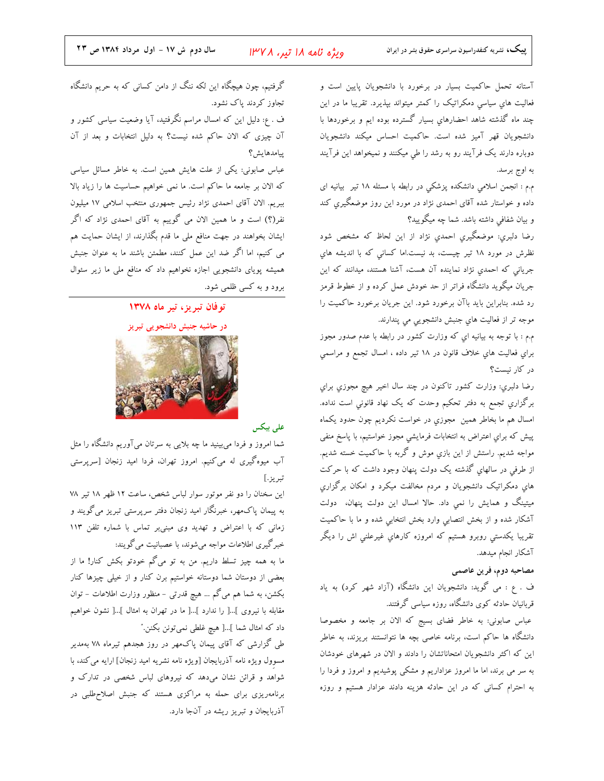ویژه نامه ۱۸ تیر، ۱۳۷۸

آستانه تحمل حاکمیت بسیار در برخورد با دانشجویان پایین است و فعالیت های سیاسی دمکراتیک را کمتر میتواند بپذیرد. تقریبا ما در این چند ماه گذشته شاهد احضارهای بسیار گسترده بوده ایم و برخوردها با دانشجویان قهر آمیز شده است. حاکمیت احساس میکند دانشجویان دوباره دارند یک فرآیند رو به رشد را طی میکنند و نمیخواهد این فرآیند به اوج برسد.

م.م : انجمن اسلامی دانشکده پزشکی در رابطه با مسئله ۱۸ تیر بیانیه ای داده و خواستار شده آقای احمدی نژاد در مورد این روز موضعگیری کند و بیان شفافی داشته باشد. شما چه میگویید؟

رضا دلبري: موضعگيري احمدي نژاد از اين لحاظ كه مشخص شود نظرش در مورد ١٨ تير چيست، بد نيست.اما كساني كه با انديشه هاي جریانی که احمدی نژاد نماینده آن هست، آشنا هستند، میدانند که این جریان میگوید دانشگاه فراتر از حد خودش عمل کرده و از خطوط قرمز رد شده. بنابراین باید باآن برخورد شود. این جریان برخورد حاکمیت را موجه تر از فعاليت هاي جنبش دانشجويي مي پندارند.

م.م : با توجه به بیانیه ای که وزارت کشور در رابطه با عدم صدور مجوز براي فعاليت هاي خلاف قانون در ١٨ تير داده ، امسال تجمع و مراسمي در کار نیست؟

رضا دلبری: وزارت کشور تاکنون در چند سال اخیر هیچ مجوزی برای برگزاری تجمع به دفتر تحکیم وحدت که یک نهاد قانونی است نداده. امسال هم ما بخاطر همين ً مجوزي در خواست نكرديم چون حدود يكماه پیش که براي اعتراض به انتخابات فرمایشی مجوز خواستیم، با پاسخ منفی مواجه شدیم. راستش از این بازي موش و گربه با حاکمیت خسته شدیم. از طرفی در سالهای گذشته یک دولت پنهان وجود داشت که با حرکت های دمکراتیک دانشجویان و مردم مخالفت میکرد و امکان برگزاری میتینگ و همایش را نمی داد. حالا امسال این دولت پنهان، دولت آشکار شده و از بخش انتصابی وارد بخش انتخابی شده و ما با حاکمیت تقریبا یکدستی روبرو هستیم که امروزه کارهایِ غیرعلنی اش را دیگر آشکار انجام میدهد.

#### مصاحبه دوم، فرين عاصمي

ف . ع : می گوید: دانشجویان این دانشگاه (آزاد شهر کرد) به یاد قربانیان حادثه کوی دانشگاه، روزه سیاسی گرفتند.

عباس صابوني: به خاطر فضاي بسيج كه الان بر جامعه و مخصوصا دانشگاه ها حاکم است، برنامه خاصی بچه ها نتوانستند بریزند، به خاطر این که اکثر دانشجویان امتحاناتشان را دادند و الان در شهرهای خودشان به سر می برند، اما ما امروز عزاداریم و مشکی پوشیدیم و امروز و فردا را به احترام کسانی که در این حادثه هزینه دادند عزادار هستیم و روزه

گرفتیم، چون هیچگاه این لکه ننگ از دامن کسانی که به حریم دانشگاه تجاوز کردند پاک نشود. ف . ع: دلیل این که امسال مراسم نگرفتید، آیا وضعیت سیاسی کشور و آن چیزی که الان حاکم شده نیست؟ به دلیل انتخابات و بعد از آن ييامدهايش؟

عباس صابونی: یکی از علت هایش همین است. به خاطر مسائل سیاسی كه الان بر جامعه ما حاكم است. ما نمي خواهيم حساسيت ها را زياد بالا ببریم. الان آقای احمدی نژاد رئیس جمهوری منتخب اسلامی ۱۷ میلیون نفر(؟) است و ما همین الان می گوییم به آقای احمدی نژاد که اگر ایشان بخواهند در جهت منافع ملی ما قدم بگذارند، از ایشان حمایت هم می کنیم، اما اگر ضد این عمل کنند، مطمئن باشند ما به عنوان جنبش همیشه پویای دانشجویی اجازه نخواهیم داد که منافع ملی ما زیر سئوال برود و به کسی ظلمی شود.

#### توفان تبريز، تير ماه ١٣٧٨





#### على بيكس

شما امروز و فردا میبینید ما چه بلایی به سرتان میآوریم دانشگاه را مثل آب میوهگیری له میکنیم. امروز تهران، فردا امید زنجان [سرپرستی تبريز.]

این سخنان را دو نفر موتور سوار لباس شخص، ساعت ١٢ ظهر ١٨ تير ٧٨ به پیمان پاکمهر، خبرنگار امید زنجان دفتر سرپرستی تبریز میگویند و زمانی که با اعتراض و تهدید وی مبنیبر تماس با شماره تلفن ١١٣ خبرگیری اطلاعات مواجه میشوند، با عصبانیت میگویند:

ما به همه چیز تسلط داریم. من به تو میگم خودتو بکش کنار! ما از بعضی از دوستان شما دوستانه خواستیم برن کنار و از خیلی چیزها کنار بکشن، به شما هم می گم … هیچ قدرتی - منظور وزارت اطلاعات - توان مقابله با نیروی ]...[ را ندارد ]...[ ما در تهران به امثال ]...[ نشون خواهیم داد که امثال شما ]…[ هیچ غلطی نمیتونن بکنن."

طی گزارشی که آقای پیمان پاکمهر در روز هجدهم تیرماه ۷۸ بهمدیر مسوول ويژه نامه آذربايجان [ويژه نامه نشريه اميد زنجان] ارايه مي كند، با شواهد و قرائن نشان میدهد که نیروهای لباس شخصی در تدارک و برنامهریزی برای حمله به مراکزی هستند که جنبش اصلاح طلبی در آذربایجان و تبریز ریشه در آنجا دارد.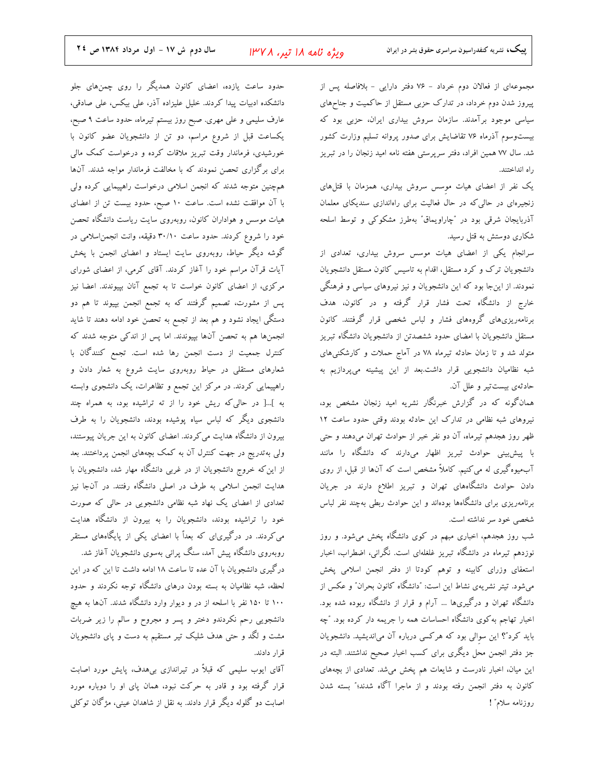مجموعهای از فعالان دوم خرداد - ۷۶ دفتر دارایی - بلافاصله پس از پیروز شدن دوم خرداد، در تدارک حزبی مستقل از حاکمیت و جناحهای سیاسی موجود برآمدند. سازمان سروش بیداری ایران، حزبی بود که بیستوسوم آذرماه ۷۶ تقاضایش برای صدور پروانه تسلیم وزارت کشور شد. سال ۷۷ همین افراد، دفتر سرپرستی هفته نامه امید زنجان را در تبریز راه انداختند.

یک نفر از اعضای هیات موسس سروش بیداری، همزمان با قتلهای زنجیرهای در حالی که در حال فعالیت برای راهاندازی سندیکای معلمان آذربایجان شرقی بود در ″چاراویماق″ بهطرز مشکوکی و توسط اسلحه شکاری دوستش به قتل رسید.

سرانجام یکی از اعضای هیات موسس سروش بیداری، تعدادی از دانشجویان ترک و کرد مستقل، اقدام به تاسیس کانون مستقل دانشجویان نمودند. از اینجا بود که این دانشجویان و نیز نیروهای سیاسی و فرهنگی خارج از دانشگاه تحت فشار قرار گرفته و در کانون، هدف برنامهریزیهای گروههای فشار و لباس شخصی قرار گرفتند. کانون مستقل دانشجویان با امضای حدود ششصدتن از دانشجویان دانشگاه تبریز متولد شد و تا زمان حادثه تیرماه ۷۸ در آماج حملات و کارشکنیهای شبه نظامیان دانشجویی قرار داشت.بعد از این پیشینه میپردازیم به حادثهي بيست تير و علل آن.

همانگونه که در گزارش خبرنگار نشریه امید زنجان مشخص بود، نیروهای شبه نظامی در تدارک این حادثه بودند وقتی حدود ساعت ١٢ ظهر روز هجدهم تیرماه، آن دو نفر خبر از حوادث تهران میدهند و حتی با پیش،بینی حوادث تبریز اظهار میدارند که دانشگاه را مانند آبمیوهگیری له می کنیم. کاملاً مشخص است که آنها از قبل، از روی دادن حوادث دانشگاههای تهران و تبریز اطلاع دارند در جریان برنامهریزی برای دانشگاهها بودهاند و این حوادث ربطی بهچند نفر لباس شخصی خود سر نداشته است.

شب روز هجدهم، اخباری مبهم در کوی دانشگاه پخش میشود. و روز نوزدهم تیرماه در دانشگاه تبریز غلغلهای است. نگرانی، اضطراب، اخبار استعفای وزرای کابینه و توهم کودتا از دفتر انجمن اسلامی پخش می شود. تیتر نشریهی نشاط این است: "دانشگاه کانون بحران" و عکس از دانشگاه تهران و درگیریها … آرام و قرار از دانشگاه ربوده شده بود. اخبار تهاجم به کوی دانشگاه احساسات همه را جریمه دار کرده بود. ″چه باید کرد"؟ این سوالی بود که هرکسی درباره آن میاندیشید. دانشجویان جز دفتر انجمن محل دیگری برای کسب اخبار صحیح نداشتند. البته در این میان، اخبار نادرست و شایعات هم پخش میشد. تعدادی از بچههای كانون به دفتر انجمن رفته بودند و از ماجرا آگاه شدند؛" بسته شدن روزنامه سلام" !

حدود ساعت یازده، اعضای کانون همدیگر را روی چمنهای جلو دانشکده ادبیات پیدا کردند. خلیل علیزاده آذر، علی بیکس، علی صادقی، عارف سلیمی و علی مهری. صبح روز بیستم تیرماه، حدود ساعت ۹ صبح، یکساعت قبل از شروع مراسم، دو تن از دانشجویان عضو کانون با خورشیدی، فرماندار وقت تبریز ملاقات کرده و درخواست کمک مالی برای برگزاری تحصن نمودند که با مخالفت فرماندار مواجه شدند. آنها همچنین متوجه شدند که انجمن اسلامی درخواست راهپیمایی کرده ولی با آن موافقت نشده است. ساعت ١٠ صبح، حدود بيست تن از اعضاى هیات موسس و هواداران کانون، روبهروی سایت ریاست دانشگاه تحصن خود را شروع کردند. حدود ساعت ۳۰/۱۰ دقیقه، وانت انجمن اسلامی در گوشه دیگر حیاط، روبهروی سایت ایستاد و اعضای انجمن با پخش آیات قرآن مراسم خود را آغاز کردند. آقای کرمی، از اعضای شورای مرکزی، از اعضای کانون خواست تا به تجمع آنان بپیوندند. اعضا نیز پس از مشورت، تصمیم گرفتند که به تجمع انجمن بپیوند تا هم دو دستگی ایجاد نشود و هم بعد از تجمع به تحصن خود ادامه دهند تا شاید انجمنها هم به تحصن آنها بپیوندند. اما پس از اندکی متوجه شدند که كنترل جمعيت از دست انجمن رها شده است. تجمع كنندگان با شعارهای مستقلی در حیاط روبهروی سایت شروع به شعار دادن و راهپیمایی کردند. در مرکز این تجمع و تظاهرات، یک دانشجوی وابسته به ]...[ در حالی که ریش خود را از ته تراشیده بود، به همراه چند دانشجوی دیگر که لباس سیاه پوشیده بودند، دانشجویان را به طرف بیرون از دانشگاه هدایت می کردند. اعضای کانون به این جریان پیوستند، ولی بهتدریج در جهت کنترل آن به کمک بچههای انجمن پرداختند. بعد از این که خروج دانشجویان از در غربی دانشگاه مهار شد، دانشجویان با هدایت انجمن اسلامی به طرف در اصلی دانشگاه رفتند. در آنجا نیز تعدادی از اعضای یک نهاد شبه نظامی دانشجویی در حالی که صورت خود را تراشیده بودند، دانشجویان را به بیرون از دانشگاه هدایت می کردند. در درگیری|ی که بعداً با اعضای یکی از پایگاههای مستقر روبهروی دانشگاه پیش آمد، سنگ پرانی بهسوی دانشجویان آغاز شد. درگیری دانشجویان با آن عده تا ساعت ۱۸ ادامه داشت تا این که در این لحظه، شبه نظامیان به بسته بودن درهای دانشگاه توجه نکردند و حدود ۱۰۰ تا ۱۵۰ نفر با اسلحه از در و دیوار وارد دانشگاه شدند. آنها به هیچ دانشجویی رحم نکردندو دختر و پسر و مجروح و سالم را زیر ضربات مشت و لگد و حتی هدف شلیک تیر مستقیم به دست و پای دانشجویان قرار دادند.

آقای ایوب سلیمی که قبلاً در تیراندازی بیهدف، پایش مورد اصابت قرار گرفته بود و قادر به حرکت نبود، همان پای او را دوباره مورد اصابت دو گلوله دیگر قرار دادند. به نقل از شاهدان عینی، مژگان توکلی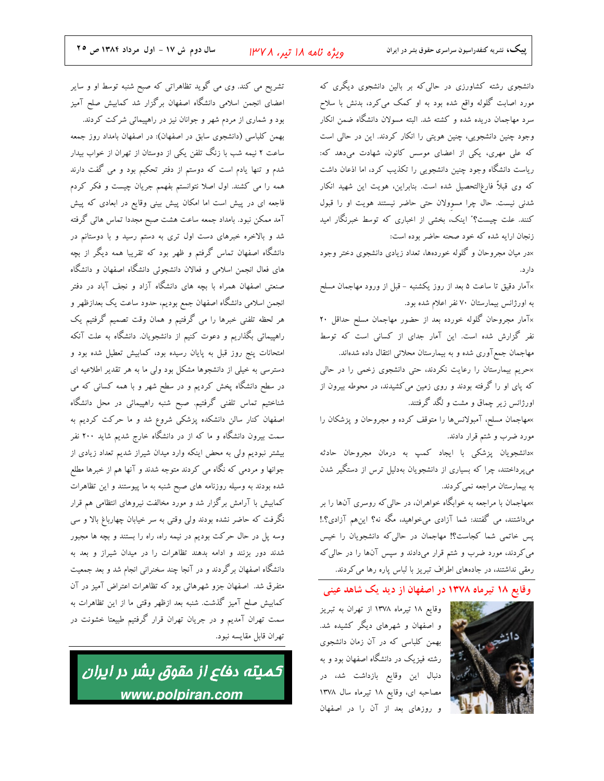تشریح می کند. وی می گوید تظاهراتی که صبح شنبه توسط او و سایر اعضای انجمن اسلامی دانشگاه اصفهان برگزار شد کمابیش صلح آمیز بود و شماری از مردم شهر و جوانان نیز در راهپیمائی شرکت کردند. بهمن کلباسی (دانشجوی سابق در اصفهان): در اصفهان بامداد روز جمعه ساعت ۲ نیمه شب با زنگ تلفن یکی از دوستان از تهران از خواب بیدار شدم و تنها یادم است که دوستم از دفتر تحکیم بود و می گفت دارند همه را می کشند. اول اصلا نتوانستم بفهمم جریان چیست و فکر کردم فاجعه ای در پیش است اما امکان پیش بینی وقایع در ابعادی که پیش آمد ممکن نبود. بامداد جمعه ساعت هشت صبح مجددا تماس هائی گرفته شد و بالاخره خبرهای دست اول تری به دستم رسید و با دوستانم در دانشگاه اصفهان تماس گرفتم و ظهر بود که تقریبا همه دیگر از بچه های فعال انجمن اسلامی و فعالان دانشجوئی دانشگاه اصفهان و دانشگاه صنعتی اصفهان همراه با بچه های دانشگاه آزاد و نجف آباد در دفتر انجمن اسلامی دانشگاه اصفهان جمع بودیم، حدود ساعت یک بعدازظهر و هر لحظه تلفنی خبرها را می گرفتیم و همان وقت تصمیم گرفتیم یک راهپیمائی بگذاریم و دعوت کنیم از دانشجویان. دانشگاه به علت آنکه امتحانات پنج روز قبل به پایان رسیده بود، کمابیش تعطیل شده بود و دسترسی به خیلی از دانشجوها مشکل بود ولی ما به هر تقدیر اطلاعیه ای در سطح دانشگاه پخش کردیم و در سطح شهر و با همه کسانی که می شناختیم تماس تلفنی گرفتیم. صبح شنبه راهپیمائی در محل دانشگاه اصفهان کنار سالن دانشکده پزشکی شروع شد و ما حرکت کردیم به سمت بیرون دانشگاه و ما که از در دانشگاه خارج شدیم شاید ۲۰۰ نفر بیشتر نبودیم ولی به محض اینکه وارد میدان شیراز شدیم تعداد زیادی از جوانها و مردمی که نگاه می کردند متوجه شدند و آنها هم از خبرها مطلع شده بودند به وسیله روزنامه های صبح شنبه به ما پیوستند و این تظاهرات کمابیش با آرامش برگزار شد و مورد مخالفت نیروهای انتظامی هم قرار نگرفت که حاضر نشده بودند ولی وقتی به سر خیابان چهارباغ بالا و سی وسه پل در حال حرکت بودیم در نیمه راه، راه را بستند و بچه ها مجبور شدند دور بزنند و ادامه بدهند تظاهرات را در میدان شیراز و بعد به دانشگاه اصفهان برگردند و در آنجا چند سخنرانی انجام شد و بعد جمعیت متفرق شد. اصفهان جزو شهرهائی بود که تظاهرات اعتراض آمیز در آن كمابيش صلح آميز گذشت. شنبه بعد ازظهر وقتى ما از اين تظاهرات به سمت تهران آمدیم و در جریان تهران قرار گرفتیم طبیعتا خشونت در تهران قابل مقايسه نبود.

كميته دفاع از مقوق بشر در ايران www.polpiran.com

دانشجوی رشته کشاورزی در حالی که بر بالین دانشجوی دیگری که مورد اصابت گلوله واقع شده بود به او کمک میکرد، بدنش با سلاح سرد مهاجمان دریده شده و کشته شد. البته مسولان دانشگاه ضمن انکار وجود چنین دانشجویی، چنین هویتی را انکار کردند. این در حالی است که علی مهری، یکی از اعضای موسس کانون، شهادت میدهد که: ریاست دانشگاه وجود چنین دانشجویی را تکذیب کرد، اما اذعان داشت که وی قبلاً فارغ|لتحصیل شده است. بنابراین، هویت این شهید انکار شدنی نیست. حال چرا مسوولان حتی حاضر نیستند هویت او را قبول کنند. علت چیست؟" اینک، بخشی از اخباری که توسط خبرنگار امید زنجان ارایه شده که خود صحنه حاضر بوده است:

×در میان مجروحان و گلوله خوردهها، تعداد زیادی دانشجوی دختر وجود دارد.

×آمار دقیق تا ساعت ۵ بعد از روز یکشنبه – قبل از ورود مهاجمان مسلح به اورژانس بیمارستان ۷۰ نفر اعلام شده بود.

×آمار مجروحان گلوله خورده بعد از حضور مهاجمان مسلح حداقل ۲۰ نفر گزارش شده است. این آمار جدای از کسانی است که توسط مهاجمان جمع آوری شده و به بیمارستان محلاتی انتقال داده شدهاند.

×حریم بیمارستان را رعایت نکردند، حتی دانشجوی زخمی را در حالی که پای او را گرفته بودند و روی زمین میکشیدند، در محوطه بیرون از اورژانس زیر چماق و مشت و لگد گرفتند.

×مهاجمان مسلح، آمبولانسها را متوقف کرده و مجروحان و پزشکان را مورد ضرب و شتم قرار دادند.

×دانشجویان پزشکی با ایجاد کمپ به درمان مجروحان حادثه می پرداختند، چرا که بسیاری از دانشجویان بهدلیل ترس از دستگیر شدن به بیمارستان مراجعه نمی کردند.

×مهاجمان با مراجعه به خوابگاه خواهران، در حال<sub>ی</sub> که روسری آنها را بر میداشتند، می گفتند: شما آزادی میخواهید، مگه نه؟ اینهم آزادی؟.! پس خاتمی شما کجاست؟! مهاجمان در حالی که دانشجویان را خیس می کردند، مورد ضرب و شتم قرار میدادند و سپس آنها را در حالی که رمقی نداشتند، در جادههای اطراف تبریز با لباس پاره رها می کردند.

وقایع ۱۸ تیرماه ۱۳۷۸ در اصفهان از دید یک شاهد عینی



| وقایع ۱۸ تیرماه ۱۳۷۸ از تهران به تبریز و اصفهان و شهرهای دیگر کشیده شد. بهمن کلباسی که در آن زمان دانشجوی رشته فیزیک در دانشگاه اصفهان بود و به دنبال این وقایع بازداشت شد، در مصاحبه ای، وقایع ۱۸ تیرماه سال ۱۳۷۸ و روزهای بعد از آن را در اصفهان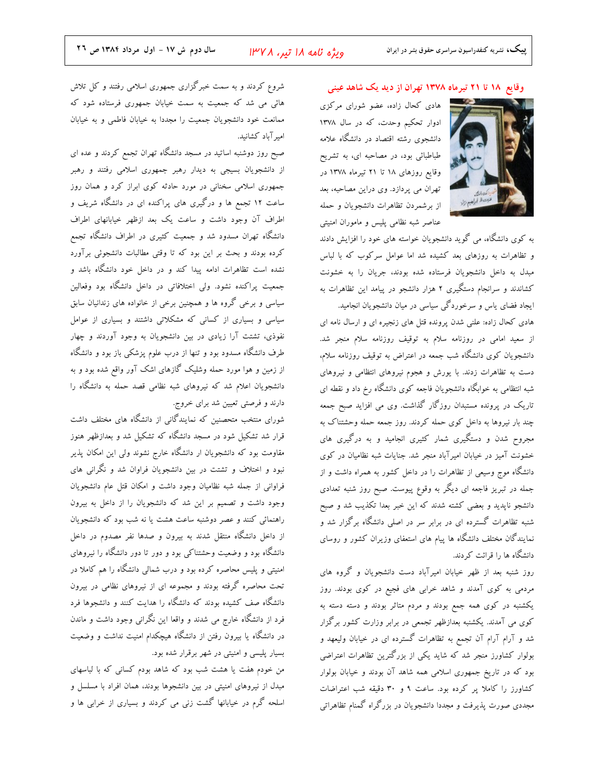وقایع ۱۸ تا ۲۱ تیرماه ۱۳۷۸ تهران از دید یک شاهد عینی

هادی کحال زاده، عضو شورای مرکزی ادوار تحکیم وحدت، که در سال ۱۳۷۸ دانشجوی رشته اقتصاد در دانشگاه علامه طباطبائی بود، در مصاحبه ای، به تشریح وقایع روزهای ۱۸ تا ۲۱ تیرماه ۱۳۷۸ در تهران می پردازد. وی دراین مصاحبه، بعد از برشمردن تظاهرات دانشجویان و حمله عناصر شبه نظامی پلیس و ماموران امنیتی

به کوی دانشگاه، می گوید دانشجویان خواسته های خود را افزایش دادند و تظاهرات به روزهای بعد کشیده شد اما عوامل سرکوب که با لباس مبدل به داخل دانشجویان فرستاده شده بودند، جریان را به خشونت کشاندند و سرانجام دستگیری ۲ هزار دانشجو در پیامد این تظاهرات به ایجاد فضای یاس و سرخوردگی سیاسی در میان دانشجویان انجامید.

هادی کحال زاده: علنی شدن پرونده قتل های زنجیره ای و ارسال نامه ای از سعید امام<sub>ی</sub> در روزنامه سلام به توقیف روزنامه سلام منجر شد. دانشجویان کوی دانشگاه شب جمعه در اعتراض به توقیف روزنامه سلام، دست به تظاهرات زدند. با یورش و هجوم نیروهای انتظامی و نیروهای شبه انتظامی به خوابگاه دانشجویان فاجعه کوی دانشگاه رخ داد و نقطه ای تاریک در پرونده مستبدان روزگار گذاشت. وی می افزاید صبح جمعه .<br>چند بار نیروها به داخل کوی حمله کردند. روز جمعه حمله وحشتناک به مجروح شدن و دستگیری شمار کثیری انجامید و به درگیری های خشونت آمیز در خیابان امیرآباد منجر شد. جنایات شبه نظامیان در کوی دانشگاه موج وسیعی از تظاهرات را در داخل کشور به همراه داشت و از جمله در تبریز فاجعه ای دیگر به وقوع پیوست. صبح روز شنبه تعدادی دانشجو ناپدید و بعضی کشته شدند که این خبر بعدا تکذیب شد و صبح .<br>شنبه تظاهرات گسترده ای در برابر سر در اصلی دانشگاه برگزار شد و نمایندگان مختلف دانشگاه ها پیام های استعفای وزیران کشور و روسای دانشگاه ها را قرائت کردند.

روز شنبه بعد از ظهر خیابان امیرآباد دست دانشجویان و گروه های مردمی به کوی آمدند و شاهد خرابی های فجیع در کوی بودند. روز یکشنبه در کوی همه جمع بودند و مردم متاثر بودند و دسته دسته به کوی می آمدند. یکشنبه بعدازظهر تجمعی در برابر وزارت کشور برگزار شد و آرام آرام آن تجمع به تظاهرات گسترده ای در خیابان ولیعهد و بولوار کشاورز منجر شد که شاید یکی از بزرگترین تظاهرات اعتراضی بود که در تاریخ جمهوری اسلامی همه شاهد آن بودند و خیابان بولوار کشاورز را کاملا پر کرده بود. ساعت ۹ و ۳۰ دقیقه شب اعتراضات مجددی صورت پذیرفت و مجددا دانشجویان در بزرگراه گمنام تظاهراتی

شروع کردند و به سمت خبرگزاری جمهوری اسلامی رفتند و کل تلاش هائی می شد که جمعیت به سمت خیابان جمهوری فرستاده شود که ممانعت خود دانشجويان جمعيت را مجددا به خيابان فاطمى و به خيابان امیر آباد کشانید.

صبح روز دوشنبه اساتید در مسجد دانشگاه تهران تجمع کردند و عده ای از دانشجویان بسیجی به دیدار رهبر جمهوری اسلامی رفتند و رهبر جمهوری اسلامی سخنانی در مورد حادثه کوی ابراز کرد و همان روز ساعت ۱۲ تجمع ها و درگیری های پراکنده ای در دانشگاه شریف و اطراف آن وجود داشت و ساعت یک بعد ازظهر خیابانهای اطراف دانشگاه تهران مسدود شد و جمعیت کثیری در اطراف دانشگاه تجمع کرده بودند و بحث بر این بود که تا وقتی مطالبات دانشجوئی برآورد نشده است تظاهرات ادامه پیدا کند و در داخل خود دانشگاه باشد و جمعیت پراکنده نشود. ولی اختلافاتی در داخل دانشگاه بود وفعالین سیاسی و برخی گروه ها و همچنین برخی از خانواده های زندانیان سابق سیاسی و بسیاری از کسانی که مشکلاتی داشتند و بسیاری از عوامل نفوذی، تشتت آرا زیادی در بین دانشجویان به وجود آوردند و چهار طرف دانشگاه مسدود بود و تنها از درب علوم پزشکی باز بود و دانشگاه از زمین و هوا مورد حمله وشلیک گازهای اشک آور واقع شده بود و به دانشجویان اعلام شد که نیروهای شبه نظامی قصد حمله به دانشگاه را دارند و فرصتی تعیین شد برای خروج.

شورای منتخب متحصنین که نمایندگانی از دانشگاه های مختلف داشت قرار شد تشکیل شود در مسجد دانشگاه که تشکیل شد و بعدازظهر هنوز مقاومت بود که دانشجویان ار دانشگاه خارج نشوند ولی این امکان پذیر نبود و اختلاف و تشتت در بین دانشجویان فراوان شد و نگرانی های فراوانی از جمله شبه نظامیان وجود داشت و امکان قتل عام دانشجویان وجود داشت و تصمیم بر این شد که دانشجویان را از داخل به بیرون راهنمائی کنند و عصر دوشنبه ساعت هشت یا نه شب بود که دانشجویان از داخل دانشگاه منتقل شدند به بیرون و صدها نفر مصدوم در داخل دانشگاه بود و وضعیت وحشتناکی بود و دور تا دور دانشگاه را نیروهای امنیتی و پلیس محاصره کرده بود و درب شمالی دانشگاه را هم کاملا در تحت محاصره گرفته بودند و مجموعه ای از نیروهای نظامی در بیرون دانشگاه صف کشیده بودند که دانشگاه را هدایت کنند و دانشجوها فرد فرد از دانشگاه خارج می شدند و واقعا این نگرانی وجود داشت و ماندن در دانشگاه یا بیرون رفتن از دانشگاه هیچکدام امنیت نداشت و وضعیت بسیار پلیسی و امنیتی در شهر برقرار شده بود.

من خودم هفت یا هشت شب بود که شاهد بودم کسانی که با لباسهای مبدل از نیروهای امنیتی در بین دانشجوها بودند، همان افراد با مسلسل و اسلحه گرم در خیابانها گشت زنی می کردند و بسیاری از خرابی ها و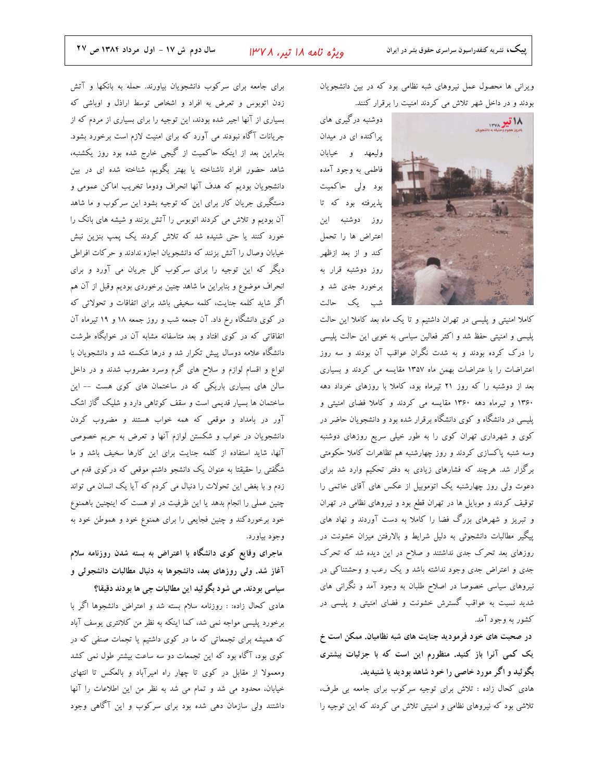ویرانی ها محصول عمل نیروهای شبه نظامی بود که در بین دانشجویان بودند و در داخل شهر تلاش می کردند امنیت را برقرار کنند.



یراکنده ای در میدان وليعهد و خيابان فاطمي به وجود آمده بود ولي حاكميت پذیرفته بود که تا روز دوشنبه این اعتراض ها را تحمل كند و از بعد ازظهر روز دوشنبه قرار به برخورد جدی شد و شب یک حالت

کاملا امنیتی و پلیسی در تهران داشتیم و تا یک ماه بعد کاملا این حالت پلیسی و امنیتی حفظ شد و اکثر فعالین سیاسی به خوبی این حالت پلیسی را درک کرده بودند و به شدت نگران عواقب آن بودند و سه روز اعتراضات را با عتراضات بهمن ماه ۱۳۵۷ مقایسه می کردند و بسیاری بعد از دوشنبه را که روز ۲۱ تیرماه بود، کاملا با روزهای خرداد دهه ۱۳۶۰ و تیرماه دهه ۱۳۶۰ مقایسه می کردند و کاملا فضای امنیتی و پلیسی در دانشگاه و کوی دانشگاه برقرار شده بود و دانشجویان حاضر در کوی و شهرداری تهران کوی را به طور خیلی سریع روزهای دوشنبه وسه شنبه پاکسازی کردند و روز چهارشنبه هم تظاهرات کاملا حکومتی برگزار شد. هرچند که فشارهای زیادی به دفتر تحکیم وارد شد برای دعوت ولی روز چهارشنبه یک اتوموبیل از عکس های آقای خاتمی را توقیف کردند و موبایل ها در تهران قطع بود و نیروهای نظامی در تهران و تبریز و شهرهای بزرگ فضا را کاملا به دست آوردند و نهاد های پیگیر مطالبات دانشجوئی به دلیل شرایط و بالارفتن میزان خشونت در روزهای بعد تحرک جدی نداشتند و صلاح در این دیده شد که تحرک جدی و اعتراض جدی وجود نداشته باشد و یک رعب و وحشتناکی در نیروهای سیاسی خصوصا در اصلاح طلبان به وجود آمد و نگرانی های شدید نسبت به عواقب گسترش خشونت و فضای امنیتی و پلیسی در کشور به وجود آمد.

در صحبت های خود فرمودید جنایت های شبه نظامیان. ممکن است خ یک کمی آنرا باز کنید. منظورم این است که با جزئیات بیشتری بگوئید و اگر مورد خاصی را خود شاهد بودید یا شنیدید.

هادی کحال زاده : تلاش برای توجیه سرکوب برای جامعه بی طرف، تلاشی بود که نیروهای نظامی و امنیتی تلاش می کردند که این توجیه را

برای جامعه برای سرکوب دانشجویان بیاورند. حمله به بانکها و آتش زدن اتوبوس و تعرض به افراد و اشخاص توسط اراذل و اوباشی که بسیاری از آنها اجیر شده بودند، این توجیه را برای بسیاری از مردم که از جریانات آگاه نبودند می آورد که برای امنیت لازم است برخورد بشود. بنابراین بعد از اینکه حاکمیت از گیجی خارج شده بود روز یکشنبه، شاهد حضور افراد ناشناخته یا بهتر بگویم، شناخته شده ای در بین دانشجويان بوديم كه هدف آنها انحراف ودوما تخريب اماكن عمومي و دستگیری جریان کار برای این که توجیه بشود این سرکوب و ما شاهد آن بودیم و تلاش می کردند اتوبوس را آتش بزنند و شیشه های بانک را خورد کنند یا حتی شنیده شد که تلاش کردند یک پمپ بنزین نبش خیابان وصال را آتش بزنند که دانشجویان اجازه ندادند و حرکات افراطی دیگر که این توجیه را برای سرکوب کل جریان می آورد و برای انحراف موضوع و بنابراین ما شاهد چنین برخوردی بودیم وقبل از آن هم اگر شاید کلمه جنایت، کلمه سخیفی باشد برای اتفاقات و تحولاتی که در کوی دانشگاه رخ داد. آن جمعه شب و روز جمعه ۱۸ و ۱۹ تیرماه آن اتفاقاتی که در کوی افتاد و بعد متاسفانه مشابه آن در خوابگاه طرشت دانشگاه علامه دوسال پیش تکرار شد و درها شکسته شد و دانشجویان با انواع و اقسام لوازم و سلاح های گرم وسرد مضروب شدند و در داخل سالن های بسیاری باریکی که در ساختمان های کوی هست -- این ساختمان ها بسیار قدیمی است و سقف کوتاهی دارد و شلیک گاز اشک آور در بامداد و موقعی که همه خواب هستند و مضروب کردن دانشجویان در خواب و شکستن لوازم آنها و تعرض به حریم خصوصی آنها، شاید استفاده از کلمه جنایت برای این کارها سخیف باشد و ما شگفتی را حقیقتا به عنوان یک دانشجو داشتم موقعی که درکوی قدم می زدم و با بغض این تحولات را دنبال می کردم که آیا یک انسان می تواند چنین عملی را انجام بدهد یا این ظرفیت در او هست که اینچنین باهمنوع خود برخوردکند و چنین فجایعی را برای همنوع خود و هموطن خود به وجود بياورد.

ماجرای وقایع کوی دانشگاه با اعتراض به بسته شدن روزنامه سلام آغاز شد. ولی روزهای بعد، دانشجوها به دنبال مطالبات دانشجوئی و

سیاسی بودند. می شود بگوئید این مطالبات چی ها بودند دقیقا؟ هادی کحال زاده: : روزنامه سلام بسته شد و اعتراض دانشجوها اگر با برخورد پلیسی مواجه نمی شد، کما اینکه به نظر من کلانتری یوسف آباد که همیشه برای تجمعاتی که ما در کوی داشتیم یا تجمات صنفی که در کوی بود، آگاه بود که این تجمعات دو سه ساعت بیشتر طول نمی کشد ومعمولا از مقابل در کوی تا چهار راه امیرآباد و بالعکس تا انتهای خیابان، محدود می شد و تمام می شد به نظر من این اطلاعات را آنها داشتند ولی سازمان دهی شده بود برای سرکوب و این آگاهی وجود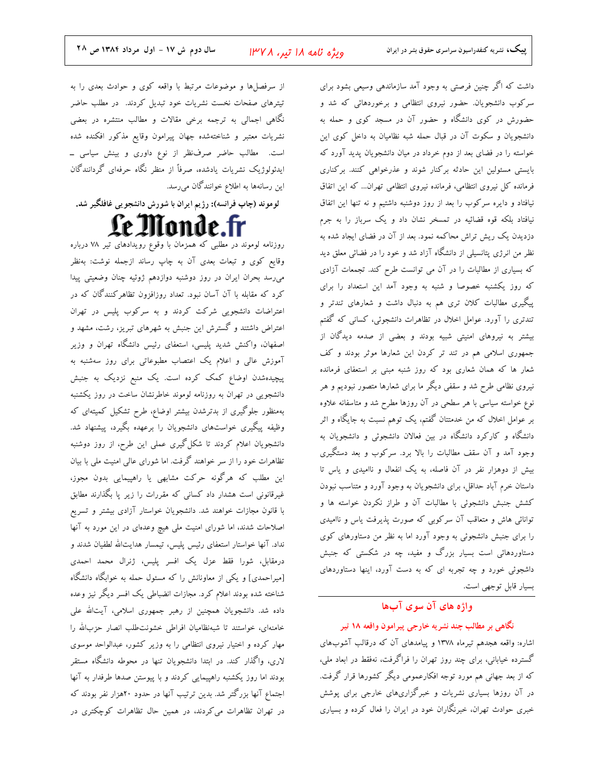ويژه نامه ۱۸ تير، ۱۳۷۸

داشت که اگر چنین فرصتی به وجود آمد سازماندهی وسیعی بشود برای سرکوب دانشجویان. حضور نیروی انتظامی و برخوردهائی که شد و حضورش در کوی دانشگاه و حضور آن در مسجد کوی و حمله به دانشجویان و سکوت آن در قبال حمله شبه نظامیان به داخل کوی این خواسته را در فضای بعد از دوم خرداد در میان دانشجویان پدید آورد که بایستی مسئولین این حادثه برکنار شوند و عذرخواهی کنند. برکناری فرمانده کل نیروی انتظامی، فرمانده نیروی انتظامی تهران... که این اتفاق نیافتاد و دایره سرکوب را بعد از روز دوشنبه داشتیم و نه تنها این اتفاق نیافتاد بلکه قوه قضائیه در تمسخر نشان داد و یک سرباز را به جرم دزدیدن یک ریش تراش محاکمه نمود. بعد از آن در فضای ایجاد شده به نظر من انرژی پتانسیلی از دانشگاه آزاد شد و خود را در فضائی معلق دید که بسیاری از مطالبات را در آن می توانست طرح کند. تجمعات آزادی که روز یکشنبه خصوصا و شنبه به وجود آمد این استعداد را برای پیگیری مطالبات کلان تری هم به دنبال داشت و شعارهای تندتر و تندتری را آورد. عوامل اخلال در تظاهرات دانشجوئی، کسانی که گفتم بیشتر به نیروهای امنیتی شبیه بودند و بعضی از صدمه دیدگان از جمهوری اسلامی هم در تند تر کردن این شعارها موثر بودند و کف شعار ها که همان شعاری بود که روز شنبه مبنی بر استعفای فرمانده نیروی نظامی طرح شد و سقفی دیگر ما برای شعارها متصور نبودیم و هر نوع خواسته سیاسی با هر سطحی در آن روزها مطرح شد و متاسفانه علاوه بر عوامل اخلال که من خدمتتان گفتم، یک توهم نسبت به جایگاه و اثر دانشگاه و کارکرد دانشگاه در بین فعالان دانشجوئی و دانشجویان به وجود آمد و آن سقف مطالبات را بالا برد. سرکوب و بعد دستگیری بیش از دوهزار نفر در آن فاصله، به یک انفعال و ناامیدی و یاس تا داستان خرم آباد حداقل، برای دانشجویان به وجود آورد و متناسب نبودن کشش جنبش دانشجوئی با مطالبات آن و طراز نکردن خواسته ها و توانائی هاش و متعاقب آن سرکوبی که صورت پذیرفت یاس و ناامیدی را برای جنبش دانشجوئی به وجود آورد اما به نظر من دستاورهای کوی دستاوردهائی است بسیار بزرگ و مفید، چه در شکستی که جنبش داشجوئی خورد و چه تجربه ای که به دست آورد، اینها دستاوردهای بسيار قابل توجهي است.

#### واژه های آن سوی آبها

نگاهی بر مطالب چند نشریه خارجی پیرامون واقعه ۱۸ تیر اشاره: واقعه هجدهم تیرماه ۱۳۷۸ و پیامدهای آن که درقالب آشوبهای گسترده خیابانی، برای چند روز تهران را فراگرفت، نهفقط در ابعاد ملی، که از بعد جهانی هم مورد توجه افکارعمومی دیگر کشورها قرار گرفت. در آن روزها بسیاری نشریات و خبرگزاریهای خارجی برای پوشش

خبری حوادث تهران، خبرنگاران خود در ایران را فعال کرده و بسیاری

از سرفصلها و موضوعات مرتبط با واقعه کوی و حوادث بعدی را به تیترهای صفحات نخست نشریات خود تبدیل کردند. در مطلب حاضر نگاهی اجمالی به ترجمه برخی مقالات و مطالب منتشره در بعضی نشريات معتبر و شناختهشده جهان پيرامون وقايع مذكور افكنده شده است. مطالب حاضر صرفنظر از نوع داوری و بینش سیاسی ــ ایدئولوژیک نشریات یادشده، صرفاً از منظر نگاه حرفهای گردانندگان این رسانهها به اطلاع خوانندگان میرسد.

لوموند (چاپ فرانسه): رژیم ایران با شورش دانشجویی غافلگیر شد.

Le Monde.fr

روزنامه لوموند در مطلبی که همزمان با وقوع رویدادهای تیر ۷۸ درباره وقایع کوی و تبعات بعدی آن به چاپ رساند ازجمله نوشت: بهنظر می رسد بحران ایران در روز دوشنبه دوازدهم ژوئیه چنان وضعیتی پیدا کرد که مقابله با آن آسان نبود. تعداد روزافزون تظاهرکنندگان که در اعتراضات دانشجویی شرکت کردند و به سرکوب پلیس در تهران اعتراض داشتند و گسترش این جنبش به شهرهای تبریز، رشت، مشهد و اصفهان، واکنش شدید پلیسی، استعفای رئیس دانشگاه تهران و وزیر آموزش عالی و اعلام یک اعتصاب مطبوعاتی برای روز سهشنبه به پیچیدهشدن اوضاع کمک کرده است. یک منبع نزدیک به جنبش دانشجویی در تهران به روزنامه لوموند خاطرنشان ساخت در روز یکشنبه بهمنظور جلوگیری از بدترشدن بیشتر اوضاع، طرح تشکیل کمیتهای که وظیفه پیگیری خواستهای دانشجویان را برعهده بگیرد، پیشنهاد شد. دانشجویان اعلام کردند تا شکل گیری عملی این طرح، از روز دوشنبه تظاهرات خود را از سر خواهند گرفت. اما شورای عالی امنیت ملی با بیان این مطلب که هرگونه حرکت مشابهی یا راهپیمایی بدون مجوز، غیرقانونی است هشدار داد کسانی که مقررات را زیر پا بگذارند مطابق با قانون مجازات خواهند شد. دانشجویان خواستار آزادی بیشتر و تسریع اصلاحات شدند، اما شورای امنیت ملی هیچ وعدهای در این مورد به آنها نداد. آنها خواستار استعفای رئیس پلیس، تیمسار هدایتالله لطفیان شدند و درمقابل، شورا فقط عزل یک افسر پلیس، ژنرال محمد احمدی [میراحمدی] و یکی از معاونانش را که مسئول حمله به خوابگاه دانشگاه شناخته شده بودند اعلام کرد. مجازات انضباطی یک افسر دیگر نیز وعده داده شد. دانشجویان همچنین از رهبر جمهوری اسلامی، آیتالله علی خامنهای، خواستند تا شبهنظامیان افراطی خشونتطلب انصار حزبالله را مهار کرده و اختیار نیروی انتظامی را به وزیر کشور، عبدالواحد موسوی لاری، واگذار کند. در ابتدا دانشجویان تنها در محوطه دانشگاه مستقر بودند اما روز یکشنبه راهپیمایی کردند و با پیوستن صدها طرفدار به آنها اجتماع آنها بزرگتر شد. بدین ترتیب آنها در حدود ۲۰هزار نفر بودند که در تهران تظاهرات میکردند، در همین حال تظاهرات کوچکتری در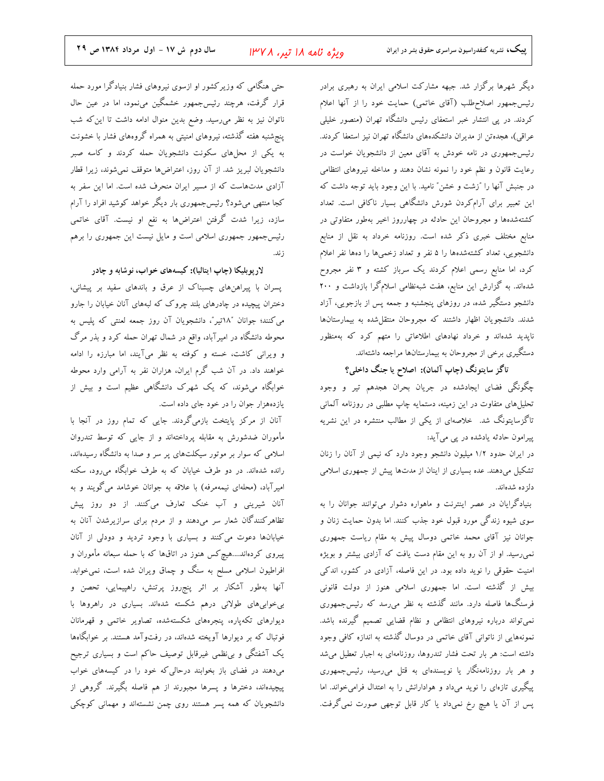ویژه نامه ۱۸ تیر، ۱۳۷۸

دیگر شهرها برگزار شد. جبهه مشارکت اسلامی ایران به رهبری برادر رئیس جمهور اصلاح طلب (آقای خاتمی) حمایت خود را از آنها اعلام کردند. در یی انتشار خبر استعفای رئیس دانشگاه تهران (منصور خلیلی عراقی)، هجدهتن از مدیران دانشکدههای دانشگاه تهران نیز استعفا کردند. رئیسجمهوری در نامه خودش به آقای معین از دانشجویان خواست در رعایت قانون و نظم خود را نمونه نشان دهند و مداخله نیروهای انتظامی در جنبش آنها را "زشت و خشن" نامید. با این وجود باید توجه داشت که این تعبیر برای آرامکردن شورش دانشگاهی بسیار ناکافی است. تعداد کشتهشدهها و مجروحان این حادثه در چهارروز اخیر بهطور متفاوتی در منابع مختلف خبری ذکر شده است. روزنامه خرداد به نقل از منابع دانشجویی، تعداد کشتهشدهها را ۵ نفر و تعداد زخمیها را دهها نفر اعلام کرد، اما منابع رسمی اعلام کردند یک سرباز کشته و ۳ نفر مجروح شدهاند. به گزارش این منابع، هفت شبهنظامی اسلامگرا بازداشت و ۲۰۰ دانشجو دستگیر شده، در روزهای پنجشنبه و جمعه پس از بازجویی، آزاد شدند. دانشجویان اظهار داشتند که مجروحان منتقل شده به بیمارستانها ناپدید شدهاند و خرداد نهادهای اطلاعاتی را متهم کرد که بهمنظور دستگیری برخی از مجروحان به بیمارستانها مراجعه داشتهاند.

تاگز سایتونگ (چاپ آلمان): اصلاح یا جنگ داخلی؟

چگونگی فضای ایجادشده در جریان بحران هجدهم تیر و وجود تحلیلهای متفاوت در این زمینه، دستمایه چاپ مطلبی در روزنامه آلمانی تاگزسایتونگ شد. خلاصهای از یکی از مطالب منتشره در این نشریه پیرامون حادثه یادشده در پی میآید:

در ایران حدود ۱/۲ میلیون دانشجو وجود دارد که نیمی از آنان را زنان تشکیل میدهند. عده بسیاری از اینان از مدتها پیش از جمهوری اسلامی دلز ده شدهاند.

بنیادگرایان در عصر اینترنت و ماهواره دشوار میتوانند جوانان را به سوی شیوه زندگی مورد قبول خود جذب کنند. اما بدون حمایت زنان و جوانان نیز آقای محمد خاتمی دوسال پیش به مقام ریاست جمهوری نمی رسید. او از آن رو به این مقام دست یافت که آزادی بیشتر و بویژه امنیت حقوقی را نوید داده بود. در این فاصله، آزادی در کشور، اندکی بیش از گذشته است. اما جمهوری اسلامی هنوز از دولت قانونی فرسنگها فاصله دارد. مانند گذشته به نظر می رسد که رئیس جمهوری نمیتواند درباره نیروهای انتظامی و نظام قضایی تصمیم گیرنده باشد. نمونههایی از ناتوانی آقای خاتمی در دوسال گذشته به اندازه کافی وجود داشته است: هر بار تحت فشار تندروها، روزنامهای به اجبار تعطیل میشد و هر بار روزنامهنگار یا نویسندهای به قتل میرسید، رئیسجمهوری پیگیری تازهای را نوید میداد و هوادارانش را به اعتدال فرامیخواند. اما پس از آن یا هیچ رخ نمیداد یا کار قابل توجهی صورت نمیگرفت.

حتی هنگامی که وزیرکشور او ازسوی نیروهای فشار بنیادگرا مورد حمله قرار گرفت، هرچند رئیسجمهور خشمگین مینمود، اما در عین حال ناتوان نیز به نظر میرسید. وضع بدین منوال ادامه داشت تا این که شب پنج شنبه هفته گذشته، نیروهای امنیتی به همراه گروههای فشار با خشونت به یکی از محلهای سکونت دانشجویان حمله کردند و کاسه صبر دانشجویان لبریز شد. از آن روز، اعتراضها متوقف نمیشوند، زیرا قطار آزادی مدتهاست که از مسیر ایران منحرف شده است. اما این سفر به کجا منتهی میشود؟ رئیسجمهوری بار دیگر خواهد کوشید افراد را آرام سازد، زیرا شدت گرفتن اعتراضها به نفع او نیست. آقای خاتمی رئیس جمهور جمهوری اسلامی است و مایل نیست این جمهوری را برهم ; ند.

لارپوبلیکا (چاپ ایتالیا): کیسههای خواب، نوشابه و چادر

پسران با پیراهنهای چسبناک از عرق و باندهای سفید بر پیشانی، دختران پیچیده در چادرهای بلند چروک که لبههای آنان خیابان را جارو می کنند؛ جوانان "۱۸تیر"، دانشجویان آن روز جمعه لعنتی که پلیس به محوطه دانشگاه در امیرآباد، واقع در شمال تهران حمله کرد و بذر مرگ و ویرانی کاشت، خسته و کوفته به نظر میآیند، اما مبارزه را ادامه خواهند داد. در آن شب گرم ایران، هزاران نفر به آرامی وارد محوطه خوابگاه میشوند، که یک شهرک دانشگاهی عظیم است و بیش از یازدههزار جوان را در خود جای داده است.

آنان از مرکز پایتخت بازمیگردند. جایی که تمام روز در آنجا با مأموران ضدشورش به مقابله پرداختهاند و از جایی که توسط تندروان اسلامی که سوار بر موتور سیکلتهای پر سر و صدا به دانشگاه رسیدهاند، رانده شدهاند. در دو طرف خیابان که به طرف خوابگاه می رود، سکنه امیرآباد، (محلهای نیمهمرفه) با علاقه به جوانان خوشامد میگویند و به آنان شیرینی و آب خنک تعارف میکنند. از دو روز پیش تظاهرکنندگان شعار سر میدهند و از مردم برای سرازیرشدن آنان به خیابانها دعوت می کنند و بسیاری با وجود تردید و دودلی از آنان پیروی کردهاند....هیچکس هنوز در اتاقها که با حمله سبعانه مأموران و افراطیون اسلامی مسلح به سنگ و چماق ویران شده است، نمیخوابد. آنها بهطور آشکار بر اثر پنجروز پرتنش، راهپیمایی، تحصن و بیخوابیهای طولانی درهم شکسته شدهاند. بسیاری در راهروها با دیوارهای تکهپاره، پنجرههای شکستهشده، تصاویر خاتمی و قهرمانان فوتبال که بر دیوارها آویخته شدهاند، در رفتوآمد هستند. بر خوابگاهها یک آشفتگی و بی نظمی غیرقابل توصیف حاکم است و بسیاری ترجیح میدهند در فضای باز بخوابند درحالی که خود را در کیسههای خواب پیچیدهاند، دخترها و پسرها مجبورند از هم فاصله بگیرند. گروهی از دانشجویان که همه پسر هستند روی چمن نشستهاند و مهمانی کوچکی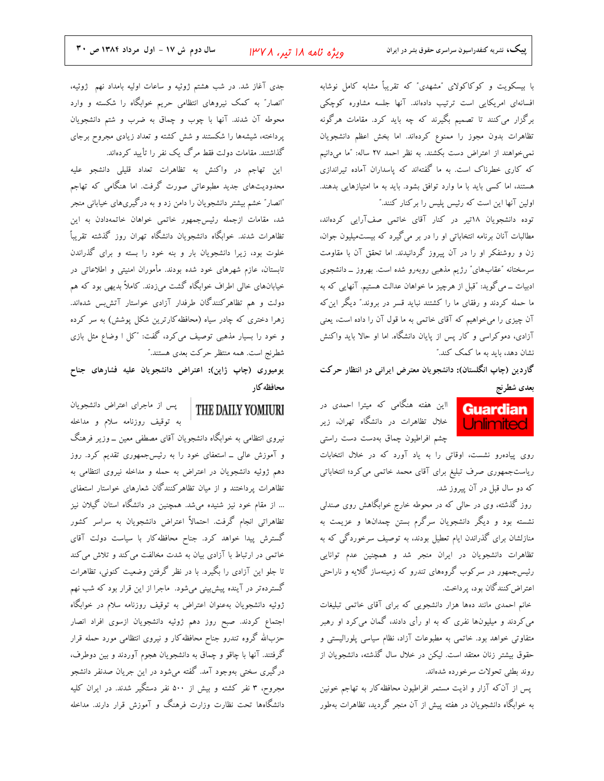با بیسکویت و کوکاکولای "مشهدی" که تقریباً مشابه کامل نوشابه افسانهای امریکایی است ترتیب دادهاند. آنها جلسه مشاوره کوچکی برگزار می کنند تا تصمیم بگیرند که چه باید کرد. مقامات هرگونه تظاهرات بدون مجوز را ممنوع كردهاند. اما بخش اعظم دانشجويان نمی خواهند از اعتراض دست بکشند. به نظر احمد ۲۷ ساله: "ما میدانیم که کاری خطرناک است. به ما گفتهاند که پاسداران آماده تیراندازی هستند، اما کسی باید با ما وارد توافق بشود. باید به ما امتیازهایی بدهند. اولین آنها این است که رئیس پلیس را برکنار کنند."

توده دانشجویان ۱۸تیر در کنار آقای خاتمی صفآرایی کردهاند، مطالبات آنان برنامه انتخاباتی او را در بر میگیرد که بیستمیلیون جوان، زن و روشنفکر او را در آن پیروز گردانیدند. اما تحقق آن با مقاومت سرسختانه "عقابهای" رژیم مذهبی روبهرو شده است. بهروز ــ دانشجوی ادبیات ــ میگوید: "قبل از هرچیز ما خواهان عدالت هستیم. آنهایی که به ما حمله کردند و رفقای ما را کشتند نباید قسر در بروند." دیگر این که آن چیزی را میخواهیم که آقای خاتمی به ما قول آن را داده است، یعنی آزادی، دموکراسی و کار پس از پایان دانشگاه. اما او حالا باید واکنش نشان دهد، باید به ما کمک کند."

گاردین (چاپ انگلستان): دانشجویان معترض ایرانی در انتظار حرکت بعدى شطرنج

> **Guardian Unlimited**

ااین هفته هنگامی که میترا احمدی در خلال تظاهرات در دانشگاه تهران، زیر چشم افراطیون چماق بهدست دست راستی

روی پیادهرو نشست، اوقاتی را به یاد آورد که در خلال انتخابات ریاستجمهوری صرف تبلیغ برای آقای محمد خاتمی می کرد؛ انتخاباتی که دو سال قبل در آن پیروز شد.

روز گذشته، وی در حالی که در محوطه خارج خوابگاهش روی صندلی نشسته بود و دیگر دانشجویان سرگرم بستن چمدانها و عزیمت به منازلشان برای گذراندن ایام تعطیل بودند، به توصیف سرخوردگی که به .<br>تظاهرات دانشجویان در ایران منجر شد و همچنین عدم توانایی رئیس جمهور در سرکوب گروههای تندرو که زمینهساز گلایه و ناراحتی اعتراض كنندگان بود، پرداخت.

خانم احمدی مانند دهها هزار دانشجویی که برای آقای خاتمی تبلیغات می کردند و میلیونها نفری که به او رأی دادند، گمان می کرد او رهبر متفاوتی خواهد بود. خاتمی به مطبوعات آزاد، نظام سیاسی پلورالیستی و حقوق بیشتر زنان معتقد است. لیکن در خلال سال گذشته، دانشجویان از روند بطئي تحولات سرخورده شدهاند.

پس از آنکه آزار و اذیت مستمر افراطیون محافظهکار به تهاجم خونین به خوابگاه دانشجویان در هفته پیش از آن منجر گردید، تظاهرات بهطور

جدی آغاز شد. در شب هشتم ژوئیه و ساعات اولیه بامداد نهم ژوئیه، "انصار" به کمک نیروهای انتظامی حریم خوابگاه را شکسته و وارد محوطه آن شدند. آنها با چوب و چماق به ضرب و شتم دانشجویان پرداخته، شیشهها را شکستند و شش کشته و تعداد زیادی مجروح برجای گذاشتند. مقامات دولت فقط مرگ یک نفر را تأیید کردهاند.

این تهاجم در واکنش به تظاهرات تعداد قلیلی دانشجو علیه محدودیتهای جدید مطبوعاتی صورت گرفت. اما هنگامی که تهاجم .<br>"انصار" خشم بیشتر دانشجویان را دامن زد و به درگیریهای خیابانی منجر شد، مقامات ازجمله رئیسجمهور خاتمی خواهان خاتمهدادن به این تظاهرات شدند. خوابگاه دانشجويان دانشگاه تهران روز گذشته تقريباً خلوت بود، زیرا دانشجویان بار و بنه خود را بسته و برای گذراندن تابستان، عازم شهرهای خود شده بودند. مأموران امنیتی و اطلاعاتی در خیابانهای خالی اطراف خوابگاه گشت میزدند. کاملاً بدیهی بود که هم دولت و هم تظاهرکنندگان طرفدار آزادی خواستار آتشبس شدهاند. زهرا دختری که چادر سیاه (محافظه کارترین شکل پوشش) به سر کرده و خود را بسیار مذهبی توصیف میکرد، گفت: "کل ا وضاع مثل بازی شطرنج است. همه منتظر حرکت بعدی هستند."

یومیوری (چاپ ژاپن): اعتراض دانشجویان علیه فشارهای جناح محافظه کار

THE DAILY YOMIURI

پس از ماجرای اعتراض دانشجویان به توقیف روزنامه سلام و مداخله

نیروی انتظامی به خوابگاه دانشجویان آقای مصطفی معین ــ وزیر فرهنگ و آموزش عالی ـ استعفای خود را به رئیسجمهوری تقدیم کرد. روز دهم ژوئیه دانشجویان در اعتراض به حمله و مداخله نیروی انتظامی به تظاهرات پرداختند و از میان تظاهرکنندگان شعارهای خواستار استعفای ... از مقام خود نیز شنیده میشد. همچنین در دانشگاه استان گیلان نیز تظاهراتی انجام گرفت. احتمالاً اعتراض دانشجویان به سراسر کشور گسترش پیدا خواهد کرد. جناح محافظه کار با سیاست دولت آقای خاتمی در ارتباط با آزادی بیان به شدت مخالفت می کند و تلاش می کند تا جلو این آزادی را بگیرد. با در نظر گرفتن وضعیت کنونی، تظاهرات گستردهتر در آینده پیشبینی میشود. ماجرا از این قرار بود که شب نهم ژوئیه دانشجویان بهعنوان اعتراض به توقیف روزنامه سلام در خوابگاه اجتماع كردند. صبح روز دهم ژوئيه دانشجويان ازسوى افراد انصار حزبالله گروه تندرو جناح محافظه کار و نیروی انتظامی مورد حمله قرار گرفتند. آنها با چاقو و چماق به دانشجویان هجوم آوردند و بین دوطرف، درگیری سختی بهوجود آمد. گفته میشود در این جریان صدنفر دانشجو مجروح، ۳ نفر کشته و بیش از ۵۰۰ نفر دستگیر شدند. در ایران کلیه دانشگاهها تحت نظارت وزارت فرهنگ و آموزش قرار دارند. مداخله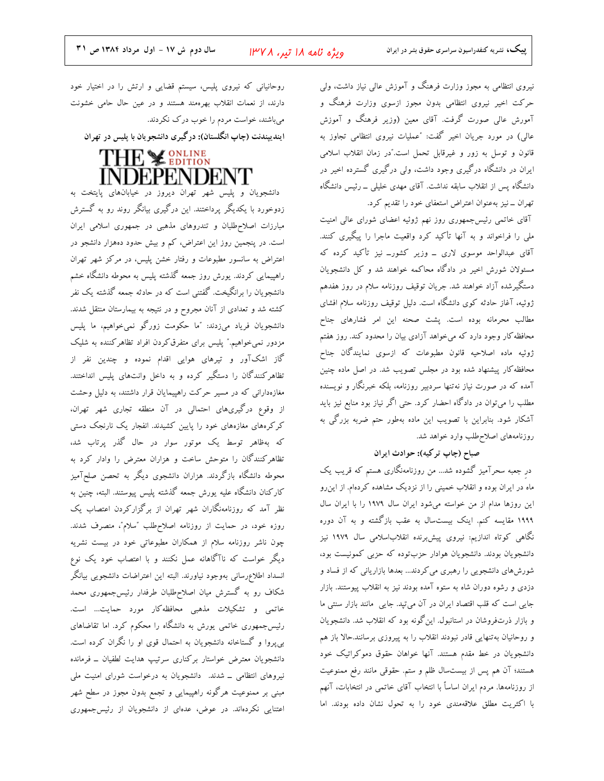نیروی انتظامی به مجوز وزارت فرهنگ و آموزش عالی نیاز داشت، ولی حرکت اخیر نیروی انتظامی بدون مجوز ازسوی وزارت فرهنگ و آمورش عالی صورت گرفت. آقای معین (وزیر فرهنگ و آموزش عالی) در مورد جریان اخیر گفت: "عملیات نیروی انتظامی تجاوز به قانون و توسل به زور و غیرقابل تحمل است."در زمان انقلاب اسلامی ایران در دانشگاه درگیری وجود داشت، ولی درگیری گسترده اخیر در دانشگاه پس از انقلاب سابقه نداشت. آقای مهدی خلیلی ــ رئیس دانشگاه تهران ــ نیز بهعنوان اعتراض استعفای خود را تقدیم کرد.

آقای خاتمی رئیسجمهوری روز نهم ژوئیه اعضای شورای عالی امنیت ملی را فراخواند و به آنها تأکید کرد واقعیت ماجرا را پیگیری کنند. آقای عبدالواحد موسوی لاری ــ وزیر کشورــ نیز تأکید کرده که مسئولان شورش اخیر در دادگاه محاکمه خواهند شد و کل دانشجویان دستگیرشده آزاد خواهند شد. جریان توقیف روزنامه سلام در روز هفدهم ژوئیه، آغاز حادثه کوی دانشگاه است. دلیل توقیف روزنامه سلام افشای مطالب محرمانه بوده است. پشت صحنه این امر فشارهای جناح محافظه کار وجود دارد که میخواهد آزادی بیان را محدود کند. روز هفتم ژوئیه ماده اصلاحیه قانون مطبوعات که ازسوی نمایندگان جناح محافظه کار پیشنهاد شده بود در مجلس تصویب شد. در اصل ماده چنین آمده که در صورت نیاز نهتنها سردبیر روزنامه، بلکه خبرنگار و نویسنده مطلب را میتوان در دادگاه احضار کرد. حتی اگر نیاز بود منابع نیز باید آشکار شود. بنابراین با تصویب این ماده بهطور حتم ضربه بزرگی به روزنامههای اصلاح طلب وارد خواهد شد.

#### صباح (چاپ ترکیه): حوادث ایران

در جعبه سحرآمیز گشوده شد… من روزنامهنگاری هستم که قریب یک ماه در ایران بوده و انقلاب خمینی را از نزدیک مشاهده کردهام. از این رو این روزها مدام از من خواسته میشود ایران سال ۱۹۷۹ را با ایران سال ۱۹۹۹ مقایسه کنم. اینک بیستسال به عقب بازگشته و به آن دوره نگاهی کوتاه اندازیم: نیروی پیشبرنده انقلاباسلامی سال ۱۹۷۹ نیز دانشجویان بودند. دانشجویان هوادار حزبتوده که حزبی کمونیست بود، شورشهای دانشجویی را رهبری می کردند... بعدها بازاریانی که از فساد و دزدی و رشوه دوران شاه به ستوه آمده بودند نیز به انقلاب پیوستند. بازار جایی است که قلب اقتصاد ایران در آن می تپد. جایی مانند بازار سنتی ما و بازار ذرتفروشان در استانبول. این گونه بود که انقلاب شد. دانشجویان و روحانیان به تنهایی قادر نبودند انقلاب را به پیروزی برسانند.حالا باز هم دانشجویان در خط مقدم هستند. آنها خواهان حقوق دموکراتیک خود هستند؛ آن هم پس از بیستسال ظلم و ستم. حقوقی مانند رفع ممنوعیت از روزنامهها. مردم ایران اساساً با انتخاب آقای خاتمی در انتخابات، آنهم با اکثریت مطلق علاقهمندی خود را به تحول نشان داده بودند. اما

روحانیانی که نیروی پلیس، سیستم قضایی و ارتش را در اختیار خود دارند، از نعمات انقلاب بهرهمند هستند و در عین حال حامی خشونت میباشند، خواست مردم را خوب درک نکردند. ایندیپندنت (چاپ انگلستان): درگیری دانشجویان با پلیس در تهران

# THE Y ONLINE **INDEPENDENT**

دانشجویان و پلیس شهر تهران دیروز در خیابانهای پایتخت به زدوخورد با یکدیگر پرداختند. این درگیری بیانگر روند رو به گسترش مبارزات اصلاح طلبان و تندروهای مذهبی در جمهوری اسلامی ایران است. در پنجمین روز این اعتراض، کم و بیش حدود دهفزار دانشجو در اعتراض به سانسور مطبوعات و رفتار خشن پلیس، در مرکز شهر تهران راهپیمایی کردند. یورش روز جمعه گذشته پلیس به محوطه دانشگاه خشم دانشجویان را برانگیخت. گفتنی است که در حادثه جمعه گذشته یک نفر کشته شد و تعدادی از آنان مجروح و در نتیجه به بیمارستان منتقل شدند. دانشجویان فریاد میزدند: "ما حکومت زورگو نمیخواهیم، ما پلیس مزدور نمی خواهیم." پلیس برای متفرق کردن افراد تظاهر کننده به شلیک گاز اشکآور و تیرهای هوایی اقدام نموده و چندین نفر از تظاهرکنندگان را دستگیر کرده و به داخل وانتهای پلیس انداختند. مغازهدارانی که در مسیر حرکت راهپیمایان قرار داشتند، به دلیل وحشت از وقوع درگیریهای احتمالی در آن منطقه تجاری شهر تهران، کرکرههای مغازههای خود را پایین کشیدند. انفجار یک نارنجک دستی که بهظاهر توسط یک موتور سوار در حال گذر پرتاب شد، تظاهرکنندگان را متوحش ساخت و هزاران معترض را وادار کرد به محوطه دانشگاه بازگردند. هزاران دانشجوی دیگر به تحصن صلحآمیز کارکنان دانشگاه علیه یورش جمعه گذشته پلیس پیوستند. البته، چنین به نظر آمد که روزنامهنگاران شهر تهران از برگزارکردن اعتصاب یک روزه خود، در حمایت از روزنامه اصلاحطلب "سلام"، منصرف شدند. چون ناشر روزنامه سلام از همکاران مطبوعاتی خود در بیست نشریه دیگر خواست که ناآگاهانه عمل نکنند و با اعتصاب خود یک نوع انسداد اطلاع٫رسانی بهوجود نیاورند. البته این اعتراضات دانشجویی بیانگر شکاف رو به گسترش میان اصلاحطلبان طرفدار رئیسجمهوری محمد خاتمی و تشکیلات مذهبی محافظهکار مورد حمایت… است. رئیسجمهوری خاتمی یورش به دانشگاه را محکوم کرد. اما تقاضاهای بی پروا و گستاخانه دانشجویان به احتمال قوی او را نگران کرده است. دانشجویان معترض خواستار برکناری سرتیپ هدایت لطفیان \_ فرمانده نیروهای انتظامی ــ شدند. دانشجویان به درخواست شورای امنیت ملی مبنی بر ممنوعیت هرگونه راهپیمایی و تجمع بدون مجوز در سطح شهر اعتنایی نکردهاند. در عوض، عدهای از دانشجویان از رئیسجمهوری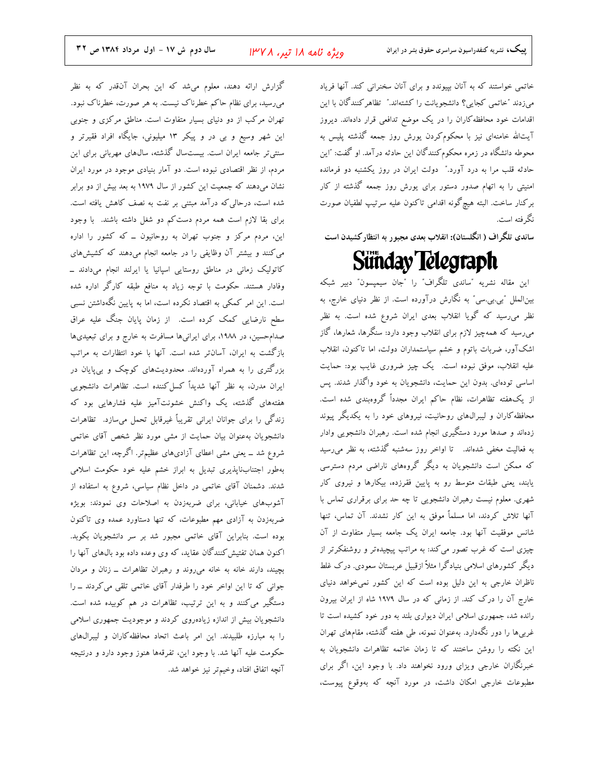خاتمی خواستند که به آنان بپیوندد و برای آنان سخنرانی کند. آنها فریاد میزدند "خاتمی کجایی؟ دانشجویانت را کشتهاند." تظاهرکنندگان با این اقدامات خود محافظه کاران را در یک موضع تدافعی قرار دادهاند. دیروز آیتالله خامنهای نیز با محکوم کردن یورش روز جمعه گذشته پلیس به محوطه دانشگاه در زمره محکوم کنندگان این حادثه درآمد. او گفت: "این حادثه قلب مرا به درد آورد." دولت ایران در روز یکشنبه دو فرمانده امنیتی را به اتهام صدور دستور برای یورش روز جمعه گذشته از کار بركنار ساخت. البته هيچگونه اقدامي تاكنون عليه سرتيپ لطفيان صورت نگه فته است.

ساندی تلگراف ( انگلستان): انقلاب بعدی مجبور به انتظارکشیدن است

# Sünday Telegraph

این مقاله نشریه "ساندی تلگراف" را "جان سیمپسون" دبیر شبکه بین|لملل "بی.بی.سی" به نگارش درآورده است. از نظر دنیای خارج، به نظر میرسید که گویا انقلاب بعدی ایران شروع شده است. به نظر میرسید که همهچیز لازم برای انقلاب وجود دارد: سنگرها، شعارها، گاز اشکآور، ضربات باتوم و خشم سیاستمداران دولت، اما تاکنون، انقلاب علیه انقلاب، موفق نبوده است. یک چیز ضروری غایب بود: حمایت اساسی تودهای. بدون این حمایت، دانشجویان به خود واگذار شدند. پس از یکهفته تظاهرات، نظام حاکم ایران مجدداً گروهبندی شده است. محافظه کاران و لیبرال $\epsilon$ ای روحانیت، نیروهای خود را به یکدیگر پیوند زدهاند و صدها مورد دستگیری انجام شده است. رهبران دانشجویی وادار به فعالیت مخفی شدهاند. تا اواخر روز سهشنبه گذشته، به نظر میرسید که ممکن است دانشجویان به دیگر گروههای ناراضی مردم دسترسی یابند، یعنی طبقات متوسط رو به پایین فقرزده، بیکارها و نیروی کار شهری. معلوم نیست رهبران دانشجویی تا چه حد برای برقراری تماس با آنها تلاش کردند، اما مسلماً موفق به این کار نشدند. آن تماس، تنها شانس موفقیت آنها بود. جامعه ایران یک جامعه بسیار متفاوت از آن چیزی است که غرب تصور میکند: به مراتب پیچیدهتر و روشنفکرتر از دیگر کشورهای اسلامی بنیادگرا مثلاً ازقبیل عربستان سعودی. درک غلط ناظران خارجی به این دلیل بوده است که این کشور نمیخواهد دنیای خارج آن را درک کند. از زمانی که در سال ۱۹۷۹ شاه از ایران بیرون رانده شد، جمهوری اسلامی ایران دیواری بلند به دور خود کشیده است تا غربیها را دور نگهدارد. بهعنوان نمونه، طی هفته گذشته، مقامهای تهران این نکته را روشن ساختند که تا زمان خاتمه تظاهرات دانشجویان به خبرنگاران خارجی ویزای ورود نخواهند داد. با وجود این، اگر برای مطبوعات خارجی امکان داشت، در مورد آنچه که بهوقوع پیوست،

گزارش ارائه دهند، معلوم میشد که این بحران آنقدر که به نظر میرسید، برای نظام حاکم خطرناک نیست. به هر صورت، خطرناک نبود. تهران مرکب از دو دنیای بسیار متفاوت است. مناطق مرکزی و جنوبی این شهر وسیع و بی در و پیکر ۱۳ میلیونی، جایگاه افراد فقیرتر و سنتیتر جامعه ایران است. بیستسال گذشته، سال&ای مهربانی برای این مردم، از نظر اقتصادی نبوده است. دو آمار بنیادی موجود در مورد ایران نشان میدهند که جمعیت این کشور از سال ۱۹۷۹ به بعد بیش از دو برابر شده است، درحالی که درآمد مبتنی بر نفت به نصف کاهش یافته است. برای بقا لازم است همه مردم دست کم دو شغل داشته باشند. با وجود این، مردم مرکز و جنوب تهران به روحانیون ــ که کشور را اداره می کنند و بیشتر آن وظایفی را در جامعه انجام میدهند که کشیش های کاتولیک زمانی در مناطق روستایی اسپانیا یا ایرلند انجام میدادند ــ وفادار هستند. حکومت با توجه زیاد به منافع طبقه کارگر اداره شده است. این امر کمکی به اقتصاد نکرده است، اما به پایین نگهداشتن نسبی سطح نارضایی کمک کرده است. از زمان پایان جنگ علیه عراق صدامحسین، در ۱۹۸۸، برای ایرانیها مسافرت به خارج و برای تبعیدیها بازگشت به ایران، آسانتر شده است. آنها با خود انتظارات به مراتب بزرگتری را به همراه آوردهاند. محدودیتهای کوچک و بی پایان در ایران مدرن، به نظر آنها شدیداً کسل کننده است. تظاهرات دانشجویی هفتههای گذشته، یک واکنش خشونتآمیز علیه فشارهایی بود که زندگی را برای جوانان ایرانی تقریباً غیرقابل تحمل میسازد. تظاهرات دانشجویان بهعنوان بیان حمایت از مشی مورد نظر شخص آقای خاتمی شروع شد ــ یعنی مشی اعطای آزادیهای عظیمتر. اگرچه، این تظاهرات بهطور اجتنابiاپذیری تبدیل به ابراز خشم علیه خود حکومت اسلامی شدند. دشمنان آقای خاتمی در داخل نظام سیاسی، شروع به استفاده از آشوبهای خیابانی، برای ضربهزدن به اصلاحات وی نمودند: بویژه ضربهزدن به آزادی مهم مطبوعات، که تنها دستاورد عمده وی تاکنون بوده است. بنابراین آقای خاتمی مجبور شد بر سر دانشجویان بکوبد. اکنون همان تفتیش کنندگان عقاید، که وی وعده داده بود بال0های آنها را بچیند، دارند خانه به خانه میروند و رهبران تظاهرات ـ زنان و مردان جوانی که تا این اواخر خود را طرفدار آقای خاتمی تلقی می کردند ــ را دستگیر می کنند و به این ترتیب، تظاهرات در هم کوبیده شده است. دانشجویان بیش از اندازه زیادهروی کردند و موجودیت جمهوری اسلامی را به مبارزه طلبیدند. این امر باعث اتحاد محافظه کاران و لیبرالهای حکومت علیه آنها شد. با وجود این، تفرقهها هنوز وجود دارد و درنتیجه آنچه اتفاق افتاد، وخیمتر نیز خواهد شد.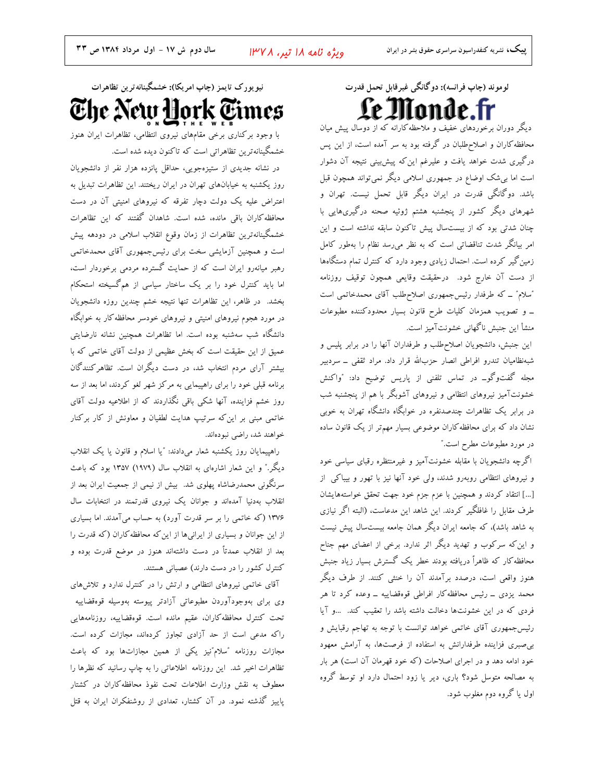نیو یورک تایمز (چاپ امریکا): خشمگینانه تر ین تظاهرات The New York Times

با وجود برکناری برخی مقامهای نیروی انتظامی، تظاهرات ایران هنوز خشمگینانهترین تظاهراتی است که تاکنون دیده شده است.

در نشانه جدیدی از ستیزهجویی، حداقل پانزده هزار نفر از دانشجویان روز یکشنبه به خیابانهای تهران در ایران ریختند. این تظاهرات تبدیل به اعتراض علیه یک دولت دچار تفرقه که نیروهای امنیتی آن در دست محافظه کاران باقی مانده، شده است. شاهدان گفتند که این تظاهرات خشمگینانهترین تظاهرات از زمان وقوع انقلاب اسلامی در دودهه پیش است و همچنین آزمایشی سخت برای رئیس جمهوری آقای محمدخاتمی رهبر میانهرو ایران است که از حمایت گسترده مردمی برخوردار است، اما باید کنترل خود را بر یک ساختار سیاسی از همگسیخته استحکام بخشد. در ظاهر، این تظاهرات تنها نتیجه خشم چندین روزه دانشجویان در مورد هجوم نیروهای امنیتی و نیروهای خودسر محافظه کار به خوابگاه دانشگاه شب سهشنبه بوده است. اما تظاهرات همچنین نشانه نارضایتی عمیق از این حقیقت است که بخش عظیمی از دولت آقای خاتمی که با بیشتر آرای مردم انتخاب شد، در دست دیگران است. تظاهرکنندگان برنامه قبلی خود را برای راهپیمایی به مرکز شهر لغو کردند، اما بعد از سه روز خشم فزاینده، آنها شکی باقی نگذاردند که از اطلاعیه دولت آقای خاتمی مبنی بر این که سرتیپ هدایت لطفیان و معاونش از کار برکنار خواهند شد، راضی نبودهاند.

راهپیمایان روز یکشنبه شعار میدادند: "یا اسلام و قانون یا یک انقلاب دیگر." و این شعار اشارهای به انقلاب سال (۱۹۷۹) ۱۳۵۷ بود که باعث سرنگونی محمدرضاشاه پهلوی شد. بیش از نیمی از جمعیت ایران بعد از انقلاب بهدنیا آمدهاند و جوانان یک نیروی قدرتمند در انتخابات سال ۱۳۷۶ (که خاتمی را بر سر قدرت آورد) به حساب میآمدند. اما بسیاری از این جوانان و بسیاری از ایرانیها از این که محافظه کاران (که قدرت را بعد از انقلاب عمدتاً در دست داشتهاند هنوز در موضع قدرت بوده و کنترل کشور را در دست دارند) عصبانی هستند.

آقای خاتمی نیروهای انتظامی و ارتش را در کنترل ندارد و تلاش های وی برای بهوجودآوردن مطبوعاتی آزادتر پیوسته بهوسیله قوهقضاییه تحت كنترل محافظه كاران، عقيم مانده است. قوهقضاييه، روزنامههايي راکه مدعی است از حد آزادی تجاوز کردهاند، مجازات کرده است. مجازات روزنامه "سلام"نیز یکی از همین مجازاتها بود که باعث تظاهرات اخیر شد. این روزنامه اطلاعاتی را به چاپ رسانید که نظرها را معطوف به نقش وزارت اطلاعات تحت نفوذ محافظه كاران در كشتار پاییز گذشته نمود. در آن کشتار، تعدادی از روشنفکران ایران به قتل لوموند (چاپ فرانسه): دوگانگی غیرقابل تحمل قدرت

دیگر دوران برخوردهای خفیف و ملاحظه کارانه که از دوسال پیش میان محافظه کاران و اصلاحطلبان در گرفته بود به سر آمده است، از این پس درگیری شدت خواهد یافت و علیرغم این که پیش بینی نتیجه آن دشوار است اما بی شک اوضاع در جمهوری اسلامی دیگر نمیتواند همچون قبل باشد. دوگانگی قدرت در ایران دیگر قابل تحمل نیست. تهران و شهرهای دیگر کشور از پنجشنبه هشتم ژوئیه صحنه درگیریهایی با چنان شدتی بود که از بیستسال پیش تاکنون سابقه نداشته است و این امر بیانگر شدت تناقضاتی است که به نظر میرسد نظام را بهطور کامل زمین گیر کرده است. احتمال زیادی وجود دارد که کنترل تمام دستگاهها از دست آن خارج شود. درحقیقت وقایعی همچون توقیف روزنامه "سلام" ــ كه طرفدار رئيس جمهوري اصلاح طلب آقاي محمدخاتمي است \_ و تصويب همزمان كليات طرح قانون بسيار محدودكننده مطبوعات منشأ اين جنبش ناگهاني خشونتآميز است.

این جنبش، دانشجویان اصلاح طلب و طرفداران آنها را در برابر پلیس و شبهنظامیان تندرو افراطی انصار حزبالله قرار داد. مراد ثقفی ــ سردبیر مجله گفتوگو\_ در تماس تلفنی از پاریس توضیح داد: "واکنش خشونتآمیز نیروهای انتظامی و نیروهای آشوبگر با هم از پنجشنبه شب در برابر یک تظاهرات چندصدنفره در خوابگاه دانشگاه تهران به خوبی نشان داد که برای محافظه کاران موضوعی بسیار مهم تر از یک قانون ساده در مورد مطبوعات مطرح است."

اگرچه دانشجویان با مقابله خشونتآمیز و غیرمنتظره رقبای سیاسی خود و نیروهای انتظامی روبهرو شدند، ولی خود آنها نیز با تهور و بیباکی از […] انتقاد كردند و همچنين با عزم جزم خود جهت تحقق خواستههايشان طرف مقابل را غافلگیر کردند. این شاهد این مدعاست، (البته اگر نیازی به شاهد باشد)، که جامعه ایران دیگر همان جامعه بیستسال پیش نیست و این که سرکوب و تهدید دیگر اثر ندارد. برخی از اعضای مهم جناح محافظه کار که ظاهراً دریافته بودند خطر یک گسترش بسیار زیاد جنبش هنوز واقعی است، درصدد برآمدند آن را خنثی کنند. از طرف دیگر محمد یزدی ــ رئیس محافظه کار افراطی قوهقضاییه ــ وعده کرد تا هر فردی که در این خشونتها دخالت داشته باشد را تعقیب کند. ...و آیا رئیسجمهوری آقای خاتمی خواهد توانست با توجه به تهاجم رقبایش و بی صبری فزاینده طرفدارانش به استفاده از فرصتها، به آرامش معهود خود ادامه دهد و در اجرای اصلاحات (که خود قهرمان آن است) هر بار به مصالحه متوسل شود؟ باری، دیر یا زود احتمال دارد او توسط گروه اول یا گروه دوم مغلوب شود.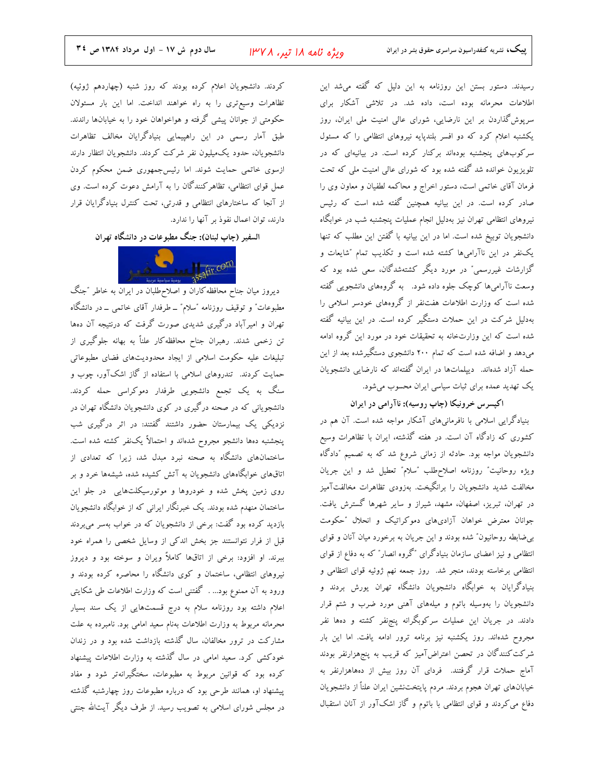ویژه نامه ۱۸ تیر، ۱۳۷۸

رسیدند. دستور بستن این روزنامه به این دلیل که گفته میشد این اطلاعات محرمانه بوده است، داده شد. در تلاشی آشکار برای سریوش گذاردن بر این نارضایی، شورای عالی امنیت ملی ایران، روز یکشنبه اعلام کرد که دو افسر بلندپایه نیروهای انتظامی را که مسئول سرکوبهای پنجشنبه بودهاند برکنار کرده است. در بیانیهای که در تلویزیون خوانده شد گفته شده بود که شورای عالی امنیت ملی که تحت فرمان آقای خاتمی است، دستور اخراج و محاکمه لطفیان و معاون وی را صادر کرده است. در این بیانیه همچنین گفته شده است که رئیس نیروهای انتظامی تهران نیز بهدلیل انجام عملیات پنجشنبه شب در خوابگاه دانشجویان توبیخ شده است. اما در این بیانیه با گفتن این مطلب که تنها .<br>یکنفر در این ناآرامیها کشته شده است و تکذیب تمام <sup>"</sup>شایعات و گزارشات غیررسمی" در مورد دیگر کشتهشدگان، سعی شده بود که وسعت ناآرامیها کوچک جلوه داده شود. به گروههای دانشجویی گفته شده است که وزارت اطلاعات هفتنفر از گروههای خودسر اسلامی را بهدلیل شرکت در این حملات دستگیر کرده است. در این بیانیه گفته شده است که این وزارتخانه به تحقیقات خود در مورد این گروه ادامه میدهد و اضافه شده است که تمام ۲۰۰ دانشجوی دستگیرشده بعد از این حمله آزاد شدهاند. دیپلماتها در ایران گفتهاند که نارضایی دانشجویان یک تهدید عمده برای ثبات سیاسی ایران محسوب میشود.

اکپسرس خرونیکا (چاپ روسیه): ناآرامی در ایران

بنیادگرایی اسلامی با نافرمانیهای آشکار مواجه شده است. آن هم در کشوری که زادگاه آن است. در هفته گذشته، ایران با تظاهرات وسیع دانشجویان مواجه بود. حادثه از زمانی شروع شد که به تصمیم ″دادگاه ويژه روحانيت" روزنامه اصلاح طلب "سلام" تعطيل شد و اين جريان مخالفت شدید دانشجویان را برانگیخت. بهزودی تظاهرات مخالفتآمیز در تهران، تبریز، اصفهان، مشهد، شیراز و سایر شهرها گسترش یافت. جوانان معترض خواهان آزادی،ای دموکراتیک و انحلال ″حکومت بی ضابطه روحانیون″ شده بودند و این جریان به برخورد میان آنان و قوای انتظامی و نیز اعضای سازمان بنیادگرای "گروه انصار" که به دفاع از قوای انتظامی برخاسته بودند، منجر شد. روز جمعه نهم ژوئیه قوای انتظامی و بنیادگرایان به خوابگاه دانشجویان دانشگاه تهران یورش بردند و دانشجویان را بهوسیله باتوم و میلههای آهنی مورد ضرب و شتم قرار دادند. در جریان این عملیات سرکوبگرانه پنجنفر کشته و دهها نفر مجروح شدهاند. روز یکشنبه نیز برنامه ترور ادامه یافت. اما این بار شرکت کنندگان در تحصن اعتراضآمیز که قریب به پنجهزارنفر بودند آماج حملات قرار گرفتند. فردای آن روز بیش از دههاهزارنفر به خیابانهای تهران هجوم بردند. مردم پایتختنشین ایران علناً از دانشجویان دفاع میکردند و قوای انتظامی با باتوم و گاز اشکآور از آنان استقبال

کردند. دانشجویان اعلام کرده بودند که روز شنبه (چهاردهم ژوئیه) تظاهرات وسيع ترى را به راه خواهند انداخت. اما اين بار مسئولان حکومتی از جوانان پیشی گرفته و هواخواهان خود را به خیابانها راندند. طبق آمار رسمی در این راهپیمایی بنیادگرایان مخالف تظاهرات دانشجویان، حدود یکمیلیون نفر شرکت کردند. دانشجویان انتظار دارند ازسوی خاتمی حمایت شوند. اما رئیسجمهوری ضمن محکوم کردن عمل قوای انتظامی، تظاهرکنندگان را به آرامش دعوت کرده است. وی از آنجا که ساختارهای انتظامی و قدرتی، تحت کنترل بنیادگرایان قرار دارند، توان اعمال نفوذ بر آنها را ندارد.

السفیر (چاپ لبنان): جنگ مطبوعات در دانشگاه تهران



دیروز میان جناح محافظه کاران و اصلاحطلبان در ایران به خاطر ″جنگ مطبوعات ؒ و توقیف روزنامه ″سلام″ ــ طرفدار آقای خاتمی ــ در دانشگاه تهران و امیرآباد درگیری شدیدی صورت گرفت که درنتیجه آن دهها تن زخمی شدند. رهبران جناح محافظه کار علناً به بهانه جلوگیری از تبلیغات علیه حکومت اسلامی از ایجاد محدودیتهای فضای مطبوعاتی حمایت کردند. تندروهای اسلامی با استفاده از گاز اشکآور، چوب و سنگ به یک تجمع دانشجویی طرفدار دموکراسی حمله کردند. دانشجویانی که در صحنه درگیری در کوی دانشجویان دانشگاه تهران در نزدیکی یک بیمارستان حضور داشتند گفتند: در اثر درگیری شب پنجشنبه دهها دانشجو مجروح شدهاند و احتمالاً یکنفر کشته شده است. ساختمانهای دانشگاه به صحنه نبرد مبدل شد، زیرا که تعدادی از .<br>اتاقهای خوابگاههای دانشجویان به آتش کشیده شده، شیشهها خرد و بر روی زمین پخش شده و خودروها و موتورسیکلتهایی در جلو این ساختمان منهدم شده بودند. یک خبرنگار ایرانی که از خوابگاه دانشجویان بازدید کرده بود گفت: برخی از دانشجویان که در خواب بهسر می,بردند قبل از فرار نتوانستند جز بخش اندکی از وسایل شخصی را همراه خود ببرند. او افزود: برخی از اتاقها کاملاً ویران و سوخته بود و دیروز نیروهای انتظامی، ساختمان و کوی دانشگاه را محاصره کرده بودند و ورود به آن ممنوع بود... . گفتنی است که وزارت اطلاعات طی شکایتی اعلام داشته بود روزنامه سلام به درج قسمتهایی از یک سند بسیار محرمانه مربوط به وزارت اطلاعات بهنام سعيد امامي بود. نامبرده به علت مشارکت در ترور مخالفان، سال گذشته بازداشت شده بود و در زندان خودکشی کرد. سعید امامی در سال گذشته به وزارت اطلاعات پیشنهاد کرده بود که قوانین مربوط به مطبوعات، سختگیرانهتر شود و مفاد پیشنهاد او، همانند طرحی بود که درباره مطبوعات روز چهارشنبه گذشته در مجلس شورای اسلامی به تصویب رسید. از طرف دیگر آیتالله جنتی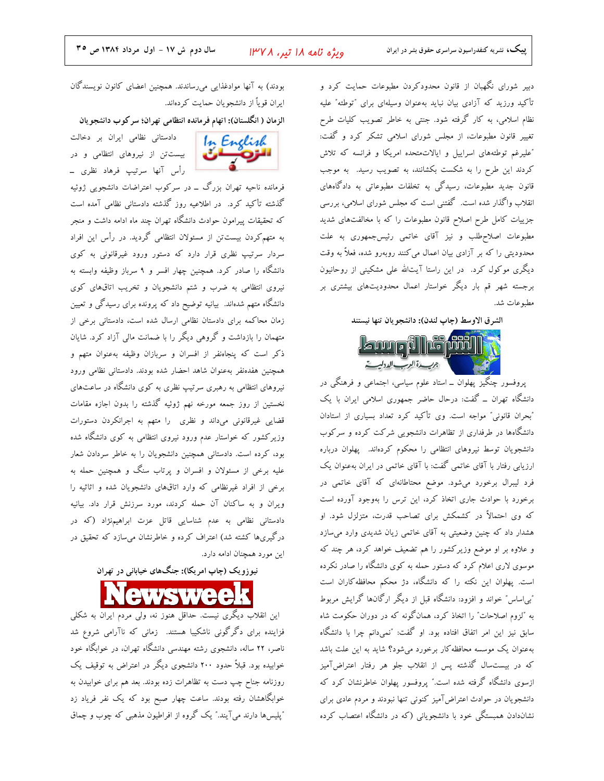ویژه نامه ۱۸ تیر، ۱۳۷۸

دبیر شورای نگهبان از قانون محدودکردن مطبوعات حمایت کرد و تأكيد ورزيد كه آزادى بيان نبايد بهعنوان وسيلهاى براى "توطئه" عليه نظام اسلامی، به کار گرفته شود. جنتی به خاطر تصویب کلیات طرح تغییر قانون مطبوعات، از مجلس شورای اسلامی تشکر کرد و گفت: "عليرغم توطئههاى اسراييل و ايالات متحده امريكا و فرانسه كه تلاش کردند این طرح را به شکست بکشانند، به تصویب رسید. به موجب قانون جدید مطبوعات، رسیدگی به تخلفات مطبوعاتی به دادگاههای انقلاب واگذار شده است. گفتنی است که مجلس شورای اسلامی، بررسی جزییات کامل طرح اصلاح قانون مطبوعات را که با مخالفتهای شدید مطبوعات اصلاح،طلب و نیز آقای خاتمی رئیسجمهوری به علت محدودیتی را که بر آزادی بیان اعمال می کنند روبهرو شده، فعلاً به وقت دیگری موکول کرد. در این راستا آیتالله علی مشکینی از روحانیون برجسته شهر قم بار دیگر خواستار اعمال محدودیتهای بیشتری بر مطبوعات شد.

الشرق الاوسط (چاپ لندن): دانشجو يان تنها نيستند



پروفسور چنگیز پهلوان ــ استاد علوم سیاسی، اجتماعی و فرهنگی در دانشگاه تهران \_ گفت: درحال حاضر جمهوری اسلامی ایران با یک "بحران قانونی" مواجه است. وی تأکید کرد تعداد بسیاری از استادان دانشگاهها در طرفداری از تظاهرات دانشجویی شرکت کرده و سرکوب دانشجویان توسط نیروهای انتظامی را محکوم کردهاند. پهلوان درباره ارزیابی رفتار با آقای خاتمی گفت: با آقای خاتمی در ایران بهعنوان یک فرد لیبرال برخورد میشود. موضع محتاطانهای که آقای خاتمی در برخورد با حوادث جاری اتخاذ کرد، این ترس را بهوجود آورده است که وی احتمالاً در کشمکش برای تصاحب قدرت، متزلزل شود. او هشدار داد که چنین وضعیتی به آقای خاتمی زیان شدیدی وارد میسازد و علاوه بر او موضع وزیرکشور را هم تضعیف خواهد کرد، هر چند که موسوی لاری اعلام کرد که دستور حمله به کوی دانشگاه را صادر نکرده است. پهلوان این نکته را که دانشگاه، دژ محکم محافظه کاران است "بی|ساس" خواند و افزود: دانشگاه قبل از دیگر ارگانها گرایش مربوط به "لزوم اصلاحات" را اتخاذ کرد، همانگونه که در دوران حکومت شاه سابق نیز این امر اتفاق افتاده بود. او گفت: "نمیدانم چرا با دانشگاه بهعنوان یک موسسه محافظه کار برخورد میشود؟ شاید به این علت باشد که در بیستسال گذشته پس از انقلاب جلو هر رفتار اعتراضآمیز ازسوی دانشگاه گرفته شده است." پروفسور پهلوان خاطرنشان کرد که دانشجویان در حوادث اعتراضآمیز کنونی تنها نبودند و مردم عادی برای نشاندادن همبستگی خود با دانشجویانی (که در دانشگاه اعتصاب کرده

بودند) به آنها موادغذایی می٫ساندند. همچنین اعضای کانون نویسندگان ايران قوياً از دانشجويان حمايت كردهاند.

الزمان ( انگلستان): اتهام فرمانده انتظامی تهران؛ سرکوب دانشجو یان

In English

سره

دادستانی نظامی ایران بر دخالت بیستتن از نیروهای انتظامی و در رأس آنها سرتيپ فرهاد نظرى \_

فرمانده ناحیه تهران بزرگ ــ در سرکوب اعتراضات دانشجویی ژوئیه گذشته تأکید کرد. در اطلاعیه روز گذشته دادستانی نظامی آمده است که تحقیقات پیرامون حوادث دانشگاه تهران چند ماه ادامه داشت و منجر به متهم کردن بیستتن از مسئولان انتظامی گردید. در رأس این افراد سردار سرتیپ نظری قرار دارد که دستور ورود غیرقانونی به کوی دانشگاه را صادر کرد. همچنین چهار افسر و ۹ سرباز وظیفه وابسته به نیروی انتظامی به ضرب و شتم دانشجویان و تخریب اتاقهای کوی دانشگاه متهم شدهاند. بیانیه توضیح داد که پرونده برای رسیدگی و تعیین زمان محاکمه برای دادستان نظامی ارسال شده است، دادستانی برخی از متهمان را بازداشت و گروهی دیگر را با ضمانت مالی آزاد کرد. شایان ذکر است که پنجاهنفر از افسران و سربازان وظیفه بهعنوان متهم و همچنین هفدهنفر بهعنوان شاهد احضار شده بودند. دادستانی نظامی ورود نیروهای انتظامی به رهبری سرتیپ نظری به کوی دانشگاه در ساعتهای نخستین از روز جمعه مورخه نهم ژوئیه گذشته را بدون اجازه مقامات قضایی غیرقانونی میداند و نظری را متهم به اجرانکردن دستورات وزیرکشور که خواستار عدم ورود نیروی انتظامی به کوی دانشگاه شده بود، کرده است. دادستانی همچنین دانشجویان را به خاطر سردادن شعار علیه برخی از مسئولان و افسران و پرتاب سنگ و همچنین حمله به برخی از افراد غیرنظامی که وارد اتاقهای دانشجویان شده و اثاثیه را ویران و به ساکنان آن حمله کردند، مورد سرزنش قرار داد. بیانیه دادستانی نظامی به عدم شناسایی قاتل عزت ابراهیمنژاد (که در درگیریها کشته شد) اعتراف کرده و خاطرنشان میسازد که تحقیق در این مورد همچنان ادامه دارد.

نیوزویک (چاپ امریکا): جنگهای خیابانی در تهران

این انقلاب دیگری نیست. حداقل هنوز نه، ولی مردم ایران به شکلی فزاینده برای دگرگونی ناشکیبا هستند. زمانی که ناآرامی شروع شد ناصر، ۲۲ ساله، دانشجوی رشته مهندسی دانشگاه تهران، در خوابگاه خود خوابیده بود. قبلاً حدود ۲۰۰ دانشجوی دیگر در اعتراض به توقیف یک روزنامه جناح چپ دست به تظاهرات زده بودند. بعد هم برای خوابیدن به خوابگاهشان رفته بودند. ساعت چهار صبح بود که یک نفر فریاد زد "پلیسها دارند میآیند.″ یک گروه از افراطیون مذهبی که چوب و چماق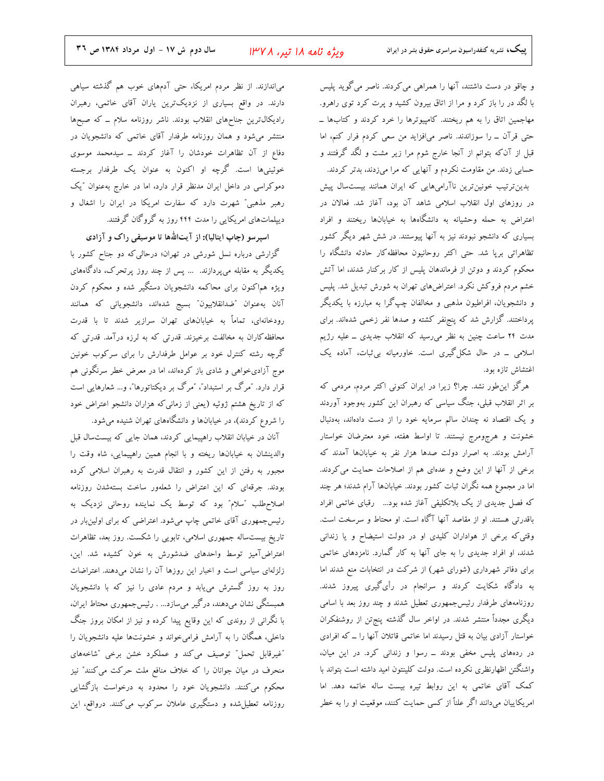و چاقو در دست داشتند، آنها را همراهی می کردند. ناصر می گوید پلیس با لگد در را باز کرد و مرا از اتاق بیرون کشید و پرت کرد توی راهرو. مهاجمین اتاق را به هم ریختند. کامپیوترها را خرد کردند و کتابها \_ حتی قرآن \_ را سوزاندند. ناصر می|فزاید من سعی کردم فرار کنم، اما قبل از آنکه بتوانم از آنجا خارج شوم مرا زیر مشت و لگد گرفتند و حسابی زدند. من مقاومت نکردم و آنهایی که مرا میزدند، بدتر کردند. بدین ترتیب خونین ترین ناآرامیهایی که ایران همانند بیست سال پیش در روزهای اول انقلاب اسلامی شاهد آن بود، آغاز شد. فعالان در اعتراض به حمله وحشیانه به دانشگاهها به خیابانها ریختند و افراد بسیاری که دانشجو نبودند نیز به آنها پیوستند. در شش شهر دیگر کشور تظاهراتی برپا شد. حتی اکثر روحانیون محافظه کار حادثه دانشگاه را محکوم کردند و دوتن از فرماندهان پلیس از کار برکنار شدند، اما آتش خشم مردم فروکش نکرد. اعتراضهای تهران به شورش تبدیل شد. پلیس و دانشجویان، افراطیون مذهبی و مخالفان چپگرا به مبارزه با یکدیگر پرداختند. گزارش شد که پنجنفر کشته و صدها نفر زخمی شدهاند. برای مدت ۲۴ ساعت چنین به نظر میرسید که انقلاب جدیدی ــ علیه رژیم اسلامی \_ در حال شکل گیری است. خاورمیانه بی ثبات، آماده یک اغتشاش تازه بود.

هرگز این طور نشد. چرا؟ زیرا در ایران کنونی اکثر مردم، مردمی که بر اثر انقلاب قبلی، جنگ سیاسی که رهبران این کشور بهوجود آوردند و یک اقتصاد نه چندان سالم سرمایه خود را از دست دادهاند، بهدنبال خشونت و هرجومرج نیستند. تا اواسط هفته، خود معترضان خواستار آرامش بودند. به اصرار دولت صدها هزار نفر به خیابانها آمدند که برخی از آنها از این وضع و عدهای هم از اصلاحات حمایت می کردند. اما در مجموع همه نگران ثبات کشور بودند. خیابانها آرام شدند؛ هر چند که فصل جدیدی از یک بلاتکلیفی آغاز شده بود... رقبای خاتمی افراد باقدرتی هستند. او از مقاصد آنها آگاه است. او محتاط و سرسخت است. وقتی که برخی از هواداران کلیدی او در دولت استیضاح و یا زندانی شدند، او افراد جدیدی را به جای آنها به کار گمارد. نامزدهای خاتمی برای دفاتر شهرداری (شورای شهر) از شرکت در انتخابات منع شدند اما به دادگاه شکایت کردند و سرانجام در رأیگیری پیروز شدند. روزنامههای طرفدار رئیسجمهوری تعطیل شدند و چند روز بعد با اسامی دیگری مجدداً منتشر شدند. در اواخر سال گذشته پنج $تن از روشنفکران$ خواستار آزادی بیان به قتل رسیدند اما خاتمی قاتلان آنها را ـ که افرادی در ردههای پلیس مخفی بودند ــ رسوا و زندانی کرد. در این میان، واشنگتن اظهارنظری نکرده است. دولت کلینتون امید داشته است بتواند با كمك آقاي خاتمي به اين روابط تيره بيست ساله خاتمه دهد. اما امریکاییان میدانند اگر علناً از کسی حمایت کنند، موقعیت او را به خطر

می|ندازند. از نظر مردم امریکا، حتی آدمهای خوب هم گذشته سیاهی دارند. در واقع بسیاری از نزدیکترین یاران آقای خاتمی، رهبران رادیکال ترین جناحهای انقلاب بودند. ناشر روزنامه سلام ــ که صبحها منتشر میشود و همان روزنامه طرفدار آقای خاتمی که دانشجویان در دفاع از آن تظاهرات خودشان را آغاز کردند ــ سیدمحمد موسوی خوئینیها است. گرچه او اکنون به عنوان یک طرفدار برجسته دموکراسی در داخل ایران مدنظر قرار دارد، اما در خارج به عنوان "یک رهبر مذهبی" شهرت دارد که سفارت امریکا در ایران را اشغال و دیپلماتهای امریکایی را مدت ۴۴۴ روز به گروگان گرفتند.

اسپرسو (چاپ ایتالیا): از آیتاللهها تا موسیقی راک و آزادی

گزارشی درباره نسل شورشی در تهران؛ درحالی که دو جناح کشور با یکدیگر به مقابله میپردازند. … پس از چند روز پرتحرک، دادگاههای ویژه هم|کنون برای محاکمه دانشجویان دستگیر شده و محکوم کردن آنان به عنوان "ضدانقلابيون" بسيج شدهاند، دانشجوياني كه همانند رودخانهای، تماماً به خیابانهای تهران سرازیر شدند تا با قدرت محافظه کاران به مخالفت برخیزند. قدرتی که به لرزه درآمد. قدرتی که گرچه رشته کنترل خود بر عوامل طرفدارش را برای سرکوب خونین موج آزادیخواهی و شادی باز کردهاند، اما در معرض خطر سرنگونی هم قرار دارد. "مرگ بر استبداد"، "مرگ بر دیکتاتورها"، و… شعارهایی است که از تاریخ هشتم ژوئیه (یعنی از زمانی که هزاران دانشجو اعتراض خود را شروع کردند)، در خیابانها و دانشگاههای تهران شنیده میشود.

آنان در خیابان انقلاب راهپیمایی کردند، همان جایی که بیستسال قبل والدينشان به خيابانها ريخته و با انجام همين راهپيمايي، شاه وقت را مجبور به رفتن از این کشور و انتقال قدرت به رهبران اسلامی کرده بودند. جرقهای که این اعتراض را شعلهور ساخت بستهشدن روزنامه اصلاح طلب "سلام" بود که توسط یک نماینده روحانی نزدیک به رئیسجمهوری آقای خاتمی چاپ میشود. اعتراضی که برای اولین بار در تاریخ بیستساله جمهوری اسلامی، تابویی را شکست. روز بعد، تظاهرات اعتراضآمیز توسط واحدهای ضدشورش به خون کشیده شد. این، زلزلهای سیاسی است و اخبار این روزها آن را نشان میدهند. اعتراضات روز به روز گسترش می یابد و مردم عادی را نیز که با دانشجویان همبستگی نشان میدهند، درگیر میسازد... . رئیس جمهوری محتاط ایران، با نگرانی از روندی که این وقایع پیدا کرده و نیز از امکان بروز جنگ داخلی، همگان را به آرامش فرامیخواند و خشونتها علیه دانشجویان را "غیرقابل تحمل" توصیف میکند و عملکرد خشن برخی "شاخههای منحرف در میان جوانان را که خلاف منافع ملت حرکت می کنند" نیز محکوم می کنند. دانشجویان خود را محدود به درخواست بازگشایی روزنامه تعطیل شده و دستگیری عاملان سرکوب میکنند. درواقع، این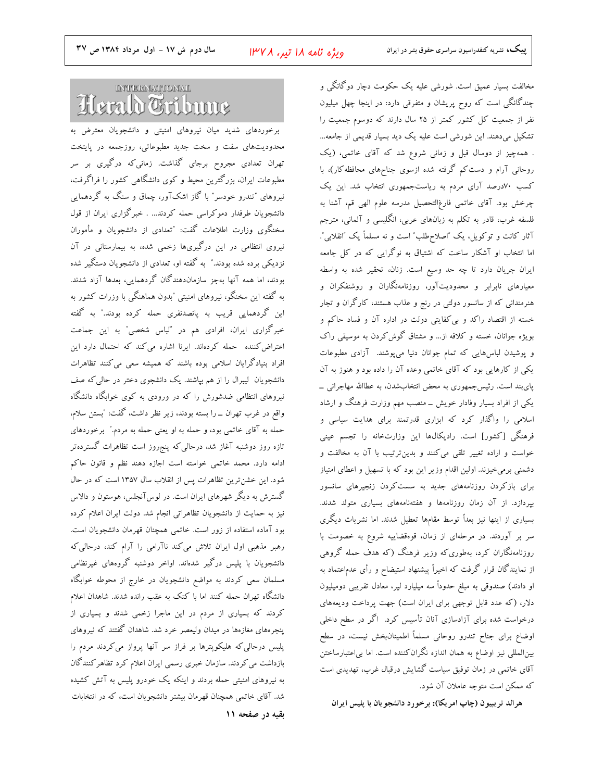سال دوم ش ١٧ - اول مرداد ١٣٨٤ ص ٣٧

ویژه نامه ۱۸ تیر، ۱۳۷۸

پییک، نشریه کنفدراسیون سراسری حقوق بشر در ایران

# **INTERNATIONAL** Herdd Oribune

برخوردهای شدید میان نیروهای امنیتی و دانشجویان معترض به محدودیتهای سفت و سخت جدید مطبوعاتی، روزجمعه در پایتخت تهران تعدادی مجروح برجای گذاشت. زمانیکه درگیری بر سر مطبوعات ایران، بزرگترین محیط و کوی دانشگاهی کشور را فراگرفت، نیروهای ″تندرو خودسر″ با گاز اشکآور، چماق و سنگ به گردهمایی دانشجویان طرفدار دموکراسی حمله کردند... . خبرگزاری ایران از قول سخنگوی وزارت اطلاعات گفت: "تعدادی از دانشجویان و مأموران نیروی انتظامی در این درگیریها زخمی شده، به بیمارستانی در آن نزدیکی برده شده بودند." به گفته او، تعدادی از دانشجویان دستگیر شده بودند، اما همه آنها بهجز سازماندهندگان گردهمایی، بعدها آزاد شدند. به گفته این سخنگو، نیروهای امنیتی ″بدون هماهنگی با وزرات کشور به این گردهمایی قریب به پانصدنفری حمله کرده بودند." به گفته خبرگزاری ایران، افرادی هم در "لباس شخصی" به این جماعت اعتراض کننده حمله کردهاند. ایرنا اشاره می کند که احتمال دارد این افراد بنیادگرایان اسلامی بوده باشند که همیشه سعی میکنند تظاهرات دانشجویان گیبرال را از هم بپاشند. یک دانشجوی دختر در حالی که صف نیروهای انتظامی ضدشورش را که در ورودی به کوی خوابگاه دانشگاه واقع در غرب تهران \_ را بسته بودند، زير نظر داشت، گفت: "بستن سلام، حمله به آقای خاتمی بود، و حمله به او یعنی حمله به مردم." برخوردهای تازه روز دوشنبه آغاز شد، درحالی که پنجروز است تظاهرات گستردهتر ادامه دارد. محمد خاتمی خواسته است اجازه دهند نظم و قانون حاکم شود. این خشن ترین تظاهرات پس از انقلاب سال ۱۳۵۷ است که در حال گسترش به دیگر شهرهای ایران است. در لوسآنجلس، هوستون و دالاس نیز به حمایت از دانشجویان تظاهراتی انجام شد. دولت ایران اعلام کرده بود آماده استفاده از زور است. خاتمی همچنان قهرمان دانشجویان است. رهبر مذهبی اول ایران تلاش می کند ناآرامی را آرام کند، درحالی که دانشجویان با پلیس درگیر شدهاند. اواخر دوشنبه گروههای غیرنظامی مسلمان سعی کردند به مواضع دانشجویان در خارج از محوطه خوابگاه دانشگاه تهران حمله کنند اما با کتک به عقب رانده شدند. شاهدان اعلام کردند که بسیاری از مردم در این ماجرا زخمی شدند و بسیاری از پنجرههای مغازهها در میدان ولیعصر خرد شد. شاهدان گفتند که نیروهای پلیس درحالی که هلیکوپترها بر فراز سر آنها پرواز می کردند مردم را بازداشت می کردند. سازمان خبری رسمی ایران اعلام کرد تظاهر کنندگان به نیروهای امنیتی حمله بردند و اینکه یک خودرو پلیس به آتش کشیده شد. آقای خاتمی همچنان قهرمان بیشتر دانشجویان است، که در انتخابات بقیه در صفحه ۱۱

مخالفت بسیار عمیق است. شورشی علیه یک حکومت دچار دوگانگی و چندگانگی است که روح پریشان و متفرقی دارد: در اینجا چهل میلیون نفر از جمعیت کل کشور کمتر از ۲۵ سال دارند که دوسوم جمعیت را تشکیل میدهند. این شورشی است علیه یک دید بسیار قدیمی از جامعه... . همهچیز از دوسال قبل و زمانی شروع شد که آقای خاتمی، (یک روحانی آرام و دست کم گرفته شده ازسوی جناحهای محافظه کار)، با کسب ۷۰درصد آرای مردم به ریاستجمهوری انتخاب شد. این یک چرخش بود. آقای خاتمی فارغ|لتحصیل مدرسه علوم الهی قم، آشنا به فلسفه غرب، قادر به تکلم به زبانهای عربی، انگلیسی و آلمانی، مترجم آثار كانت و توكويل، يك "اصلاحطلب" است و نه مسلماً يك "انقلابي". اما انتخاب او آشکار ساخت که اشتیاق به نوگرایی که در کل جامعه ايران جريان دارد تا چه حد وسيع است. زنان، تحقير شده به واسطه معیارهای نابرابر و محدودیتآور، روزنامهنگاران و روشنفکران و هنرمندانی که از سانسور دولتی در رنج و عذاب هستند، کارگران و تجار خسته از اقتصاد راکد و بی کفایتی دولت در اداره آن و فساد حاکم و بویژه جوانان، خسته و کلافه از... و مشتاق گوش کردن به موسیقی راک و پوشیدن لباسهایی که تمام جوانان دنیا میپوشند. آزادی مطبوعات یکی از کارهایی بود که آقای خاتمی وعده آن را داده بود و هنوز به آن پایبند است. رئیسجمهوری به محض انتخابشدن، به عطاالله مهاجرانی \_ یکی از افراد بسیار وفادار خویش ــ منصب مهم وزارت فرهنگ و ارشاد اسلامی را واگذار کرد که ابزاری قدرتمند برای هدایت سیاسی و فرهنگی [کشور] است. رادیکالها این وزارتخانه را تجسم عینی خواست و اراده تغییر تلقی می کنند و بدینترتیب با آن به مخالفت و دشمنی برمیخیزند. اولین اقدام وزیر این بود که با تسهیل و اعطای امتیاز برای بازکردن روزنامههای جدید به سست کردن زنجیرهای سانسور بپردازد. از آن زمان روزنامهها و هفتهنامههای بسیاری متولد شدند. بسیاری از اینها نیز بعداً توسط مقامها تعطیل شدند. اما نشریات دیگری سر بر آوردند. در مرحلهای از زمان، قوهقضاییه شروع به خصومت با روزنامهنگاران کرد، بهطوری که وزیر فرهنگ (که هدف حمله گروهی از نمایندگان قرار گرفت که اخیراً پیشنهاد استیضاح و رأی عدماعتماد به او دادند) صندوقی به مبلغ حدوداً سه میلیارد لیر، معادل تقریبی دومیلیون دلار، (كه عدد قابل توجهي براي ايران است) جهت پرداخت وديعههاي درخواست شده برای آزادسازی آنان تأسیس کرد. اگر در سطح داخلی اوضاع برای جناح تندرو روحانی مسلماً اطمینانبخش نیست، در سطح بین|لمللی نیز اوضاع به همان اندازه نگران کننده است. اما بی|عتبارساختن آقای خاتمی در زمان توفیق سیاست گشایش درقبال غرب، تهدیدی است که ممکن است متوجه عاملان آن شود.

هرالد تریبیون (چاپ امریکا): برخورد دانشجویان با پلیس ایران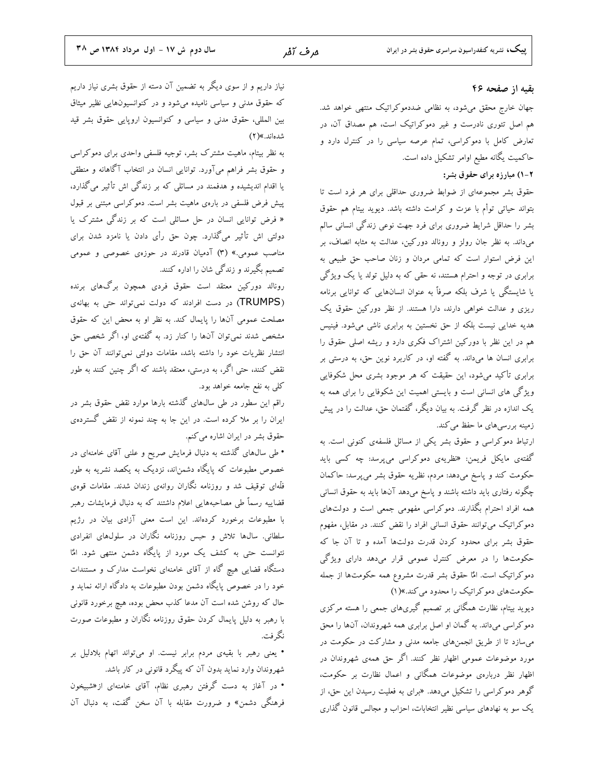#### بقیه از صفحه ۴۶

جهان خارج محقق میشود، به نظامی ضددموکراتیک منتهی خواهد شد. هم اصل تئوری نادرست و غیر دموکراتیک است، هم مصداق آن، در تعارض کامل با دموکراسی، تمام عرصه سیاسی را در کنترل دارد و حاكميت يگانه مطيع اوامر تشكيل داده است.

#### ۲-۱) مبارزه برای حقوق بشر:

حقوق بشر مجموعهای از ضوابط ضروری حداقلی برای هر فرد است تا بتواند حیاتی توأم با عزت و کرامت داشته باشد. دیوید بیتام هم حقوق بشر را حداقل شرایط ضروری برای فرد جهت نوعی زندگی انسانی سالم میداند. به نظر جان رولز و رونالد دورکین، عدالت به مثابه انصاف، بر این فرض استوار است که تمامی مردان و زنان صاحب حق طبیعی به برابری در توجه و احترام هستند، نه حقی که به دلیل تولد یا یک ویژگی یا شایستگی یا شرف بلکه صرفاً به عنوان انسانهایی که توانایی برنامه ریزی و عدالت خواهی دارند، دارا هستند. از نظر دورکین حقوق یک هدیه خدایی نیست بلکه از حق نخستین به برابری ناشی میشود. فینیس هم در این نظر با دورکین اشتراک فکری دارد و ریشه اصلی حقوق را برابری انسان ها میداند. به گفته او، در کاربرد نوین حق، به درستی بر برابری تأکید میشود، این حقیقت که هر موجود بشری محل شکوفایی ویژگی های انسانی است و بایستی اهمیت این شکوفایی را برای همه به یک اندازه در نظر گرفت. به بیان دیگر، گفتمان حق، عدالت را در پیش زمینه بررسیهای ما حفظ می کند.

ارتباط دموکراسی و حقوق بشر یکی از مسائل فلسفهی کنونی است. به گفتهی مایکل فریمن: «نظریهی دموکراسی میپرسد: چه کسی باید حکومت کند و پاسخ میدهد: مردم، نظریه حقوق بشر میپرسد: حاکمان چگونه رفتاری باید داشته باشند و پاسخ میدهد آنها باید به حقوق انسانی همه افراد احترام بگذارند. دموکراسی مفهومی جمعی است و دولتهای دموکراتیک میتوانند حقوق انسانی افراد را نقض کنند. در مقابل، مفهوم حقوق بشر برای محدود کردن قدرت دولتها آمده و تا آن جا که حکومتها را در معرض کنترل عمومی قرار میدهد دارای ویژگی دموکراتیک است. امٌا حقوق بشر قدرت مشروع همه حکومتها از جمله حکومتهای دموکراتیک را محدود می کند.»(۱)

دیوید بیتام، نظارت همگانی بر تصمیم گیریهای جمعی را هسته مرکزی دموکراسی میداند. به گمان او اصل برابری همه شهروندان، آنها را محق می سازد تا از طریق انجمنهای جامعه مدنی و مشارکت در حکومت در مورد موضوعات عمومی اظهار نظر کنند. اگر حق همهی شهروندان در اظهار نظر دربارهی موضوعات همگانی و اعمال نظارت بر حکومت، گوهر دموکراسی را تشکیل میدهد. «برای به فعلیت رسیدن این حق، از یک سو به نهادهای سیاسی نظیر انتخابات، احزاب و مجالس قانون گذاری

نیاز داریم و از سوی دیگر به تضمین آن دسته از حقوق بشری نیاز داریم که حقوق مدنی و سیاسی نامیده میشود و در کنوانسیونهایی نظیر میثاق بین المللی، حقوق مدنی و سیاسی و کنوانسیون اروپایی حقوق بشر قید شدهاند.»(۲)

به نظر بیتام، ماهیت مشترک بشر، توجیه فلسفی واحدی برای دموکراسی و حقوق بشر فراهم میآورد. توانایی انسان در انتخاب آگاهانه و منطقی یا اقدام اندیشیده و هدفمند در مسائلی که بر زندگی اش تأثیر میگذارد، پیش فرض فلسفی در بارهی ماهیت بشر است. دموکراسی مبتنی بر قبول « فرض توانایی انسان در حل مسائلی است که بر زندگی مشترک یا دولتی اش تأثیر میگذارد. چون حق رأی دادن یا نامزد شدن برای مناصب عمومی.» (۳) آدمیان قادرند در حوزهی خصوصی و عمومی تصمیم بگیرند و زندگی شان را اداره کنند.

رونالد دورکین معتقد است حقوق فردی همچون برگهای برنده (TRUMPS) در دست افرادند که دولت نمیتواند حتی به بهانهی مصلحت عمومی آنها را پایمال کند. به نظر او به محض این که حقوق مشخص شدند نمیتوان آنها را کنار زد. به گفتهی او، اگر شخصی حق انتشار نظریات خود را داشته باشد، مقامات دولتی نمیتوانند آن حق را نقض کنند، حتی اگر، به درستی، معتقد باشند که اگر چنین کنند به طور کلی به نفع جامعه خواهد بود.

راقم این سطور در طی سال0های گذشته بارها موارد نقض حقوق بشر در ایران را بر ملا کرده است. در این جا به چند نمونه از نقض گستردهی حقوق بشر در ایران اشاره می کنم.

• طی سال@ای گذشته به دنبال فرمایش صریح و علنی آقای خامنهای در خصوص مطبوعات که پایگاه دشمن|ند، نزدیک به یکصد نشریه به طور فلَّهای توقیف شد و روزنامه نگاران روانهی زندان شدند. مقامات قوهی قضاییه رسماً طی مصاحبههایی اعلام داشتند که به دنبال فرمایشات رهبر با مطبوعات برخورد كردهاند. اين است معنى آزادى بيان در رژيم سلطانی. سال@ا تلاش و حبس روزنامه نگاران در سلولهای انفرادی نتوانست حتی به کشف یک مورد از پایگاه دشمن منتهی شود. امٌا دستگاه قضایی هیچ گاه از آقای خامنهای نخواست مدارک و مستندات خود را در خصوص پایگاه دشمن بودن مطبوعات به دادگاه ارائه نماید و حال که روشن شده است آن مدعا کذب محض بوده، هیچ برخورد قانونی با رهبر به دلیل پایمال کردن حقوق روزنامه نگاران و مطبوعات صورت نگر فت.

• یعنی رهبر با بقیهی مردم برابر نیست. او میتواند اتهام بلادلیل بر شهروندان وارد نماید بدون آن که پیگرد قانونی در کار باشد.

• در آغاز به دست گرفتن رهبری نظام، آقای خامنهای از«شبیخون فرهنگی دشمن» و ضرورت مقابله با آن سخن گفت، به دنبال آن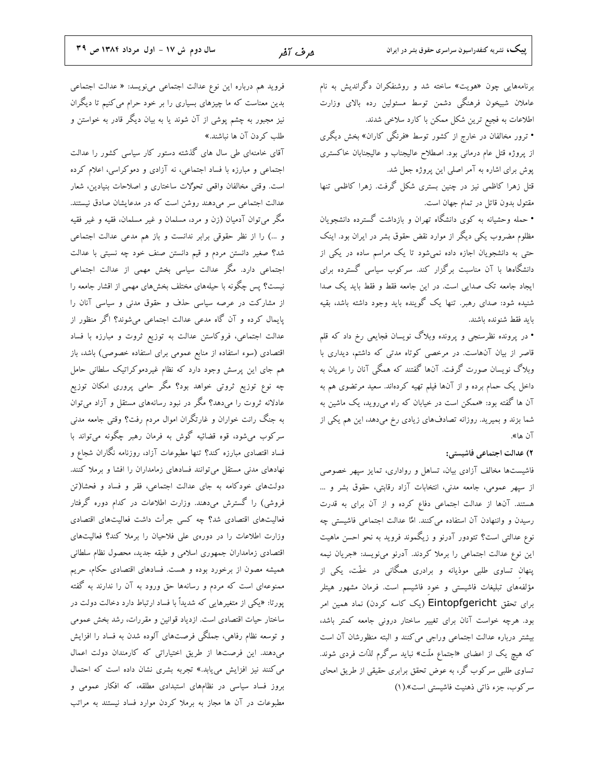برنامههایی چون «هویت» ساخته شد و روشنفکران دگراندیش به نام عاملان شبیخون فرهنگی دشمن توسط مسئولین رده بالای وزارت اطلاعات به فجیع ترین شکل ممکن با کارد سلاخی شدند. • ترور مخالفان در خارج از کشور توسط «فرنگی کاران» بخش دیگری از پروژه قتل عام درمانی بود. اصطلاح عالیجناب و عالیجنابان خاکستری

پوش برای اشاره به آمر اصلی این پروژه جعل شد. قتل زهرا کاظمی نیز در چنین بستری شکل گرفت. زهرا کاظمی تنها مقتول بدون قاتل در تمام جهان است.

• حمله وحشیانه به کوی دانشگاه تهران و بازداشت گسترده دانشجویان مظلوم مضروب یکی دیگر از موارد نقض حقوق بشر در ایران بود. اینک حتی به دانشجویان اجازه داده نمیشود تا یک مراسم ساده در یکی از دانشگاهها با آن مناسبت برگزار کند. سرکوب سیاسی گسترده برای ایجاد جامعه تک صدایی است. در این جامعه فقط و فقط باید یک صدا شنیده شود: صدای رهبر. تنها یک گوینده باید وجود داشته باشد، بقیه بايد فقط شنونده باشند.

• در پرونده نظرسنجی و پرونده وبلاگ نویسان فجایعی رخ داد که قلم قاصر از بیان آنهاست. در مرخصی کوتاه مدتی که داشتم، دیداری با وبلاگ نویسان صورت گرفت. آنها گفتند که همگی آنان را عریان به داخل یک حمام برده و از آنها فیلم تهیه کردهاند. سعید مرتضوی هم به آن ها گفته بود: «ممکن است در خیابان که راه می روید، یک ماشین به شما بزند و بمیرید. روزانه تصادفهای زیادی رخ میدهد، این هم یکی از آن ها».

#### ٢) عدالت اجتماعي فاشيستي:

فاشیستها مخالف آزادی بیان، تساهل و رواداری، تمایز سپهر خصوصی از سپهر عمومي، جامعه مدني، انتخابات آزاد رقابتي، حقوق بشر و ... هستند. آنها از عدالت اجتماعی دفاع کرده و از آن برای به قدرت رسیدن و واننهادن آن استفاده میکنند. امٌا عدالت اجتماعی فاشیستی چه نوع عدالتی است؟ تئودور آدرنو و زیگموند فروید به نحو احسن ماهیت این نوع عدالت اجتماعی را برملا کردند. آدرنو مینویسد: «جریان نیمه پنهان تساوی طلبی موذیانه و برادری همگانی در خفّت، یکی از مؤلفههای تبلیغات فاشیستی و خود فاشیسم است. فرمان مشهور هیتلر برای تحقق Eintopfgericht (یک کاسه کردن) نماد همین امر بود. هرچه خواست آنان برای تغییر ساختار درونی جامعه کمتر باشد، بیشتر درباره عدالت اجتماعی وراجی می کنند و البته منظورشان آن است که هیچ یک از اعضای «اجتماع ملّت» نباید سرگرم لذّات فردی شوند. تساوی طلبی سرکوب گر، به عوض تحقق برابری حقیقی از طریق امحای سركوب، جزء ذاتي ذهنيت فاشيستي است».(١)

فروید هم درباره این نوع عدالت اجتماعی مینویسد: « عدالت اجتماعی بدین معناست که ما چیزهای بسیاری را بر خود حرام می کنیم تا دیگران نیز مجبور به چشم یوشی از آن شوند یا به بیان دیگر قادر به خواستن و طلب كردن آن ها نباشند.»

آقای خامنهای طی سال های گذشته دستور کار سیاسی کشور را عدالت اجتماعی و مبارزه با فساد اجتماعی، نه آزادی و دموکراسی، اعلام کرده است. وقتى مخالفان واقعى تحوُلات ساختارى و اصلاحات بنيادين، شعار عدالت اجتماعی سر میدهند روشن است که در مدعایشان صادق نیستند. مگر میتوان آدمیان (زن و مرد، مسلمان و غیر مسلمان، فقیه و غیر فقیه و ...) را از نظر حقوقی برابر ندانست و باز هم مدعی عدالت اجتماعی شد؟ صغیر دانستن مردم و قیم دانستن صنف خود چه نسبتی با عدالت اجتماعی دارد. مگر عدالت سیاسی بخش مهمی از عدالت اجتماعی نیست؟ پس چگونه با حیلههای مختلف بخشهای مهمی از اقشار جامعه را از مشارکت در عرصه سیاسی حذف و حقوق مدنی و سیاسی آنان را پایمال کرده و آن گاه مدعی عدالت اجتماعی میشوند؟ اگر منظور از عدالت اجتماعی، فروکاستن عدالت به توزیع ثروت و مبارزه با فساد اقتصادی (سوء استفاده از منابع عمومی برای استفاده خصوصی) باشد، باز هم جای این پرسش وجود دارد که نظام غیردموکراتیک سلطانی حامل چه نوع توزیع ثروتی خواهد بود؟ مگر حامی پروری امکان توزیع عادلانه ثروت را میدهد؟ مگر در نبود رسانههای مستقل و آزاد میتوان به جنگ رانت خواران و غارتگران اموال مردم رفت؟ وقتی جامعه مدنی سرکوب میشود، قوه قضائیه گوش به فرمان رهبر چگونه میتواند با فساد اقتصادی مبارزه کند؟ تنها مطبوعات آزاد، روزنامه نگاران شجاع و نهادهای مدنی مستقل میتوانند فسادهای زمامداران را افشا و برملا کنند. دولتهای خودکامه به جای عدالت اجتماعی، فقر و فساد و فحشا(تن فروشی) را گسترش میدهند. وزارت اطلاعات در کدام دوره گرفتار فعالیتهای اقتصادی شد؟ چه کسی جرأت داشت فعالیتهای اقتصادی وزارت اطلاعات را در دورهی علی فلاحیان را برملا کند؟ فعالیتهای اقتصادی زمامداران جمهوری اسلامی و طبقه جدید، محصول نظام سلطانی همیشه مصون از برخورد بوده و هست. فسادهای اقتصادی حکام، حریم ممنوعهای است که مردم و رسانهها حق ورود به آن را ندارند به گفته پورتا: «یکی از متغیرهایی که شدیداً با فساد ارتباط دارد دخالت دولت در ساختار حیات اقتصادی است. ازدیاد قوانین و مقررات، رشد بخش عمومی و توسعه نظام رفاهی، جملگی فرصتهای آلوده شدن به فساد را افزایش میدهند. این فرصتها از طریق اختیاراتی که کارمندان دولت اعمال می کنند نیز افزایش میbیابد.» تجربه بشری نشان داده است که احتمال بروز فساد سیاسی در نظامهای استبدادی مطلقه، که افکار عمومی و مطبوعات در آن ها مجاز به برملا کردن موارد فساد نیستند به مراتب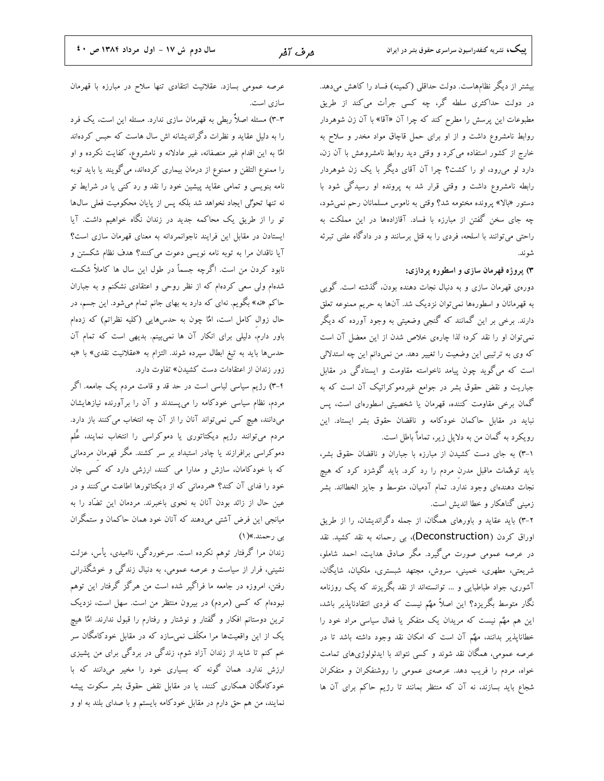بیشتر از دیگر نظامهاست. دولت حداقلی (کمینه) فساد را کاهش میدهد. در دولت حداکثری سلطه گر، چه کسی جرأت میکند از طریق مطبوعات این پرسش را مطرح کند که چرا آن «آقا» با آن زن شوهردار روابط نامشروع داشت و از او برای حمل قاچاق مواد مخدر و سلاح به خارج از کشور استفاده می کرد و وقتی دید روابط نامشروعش با آن زن، دارد لو می رود، او را کشت؟ چرا آن آقای دیگر با یک زن شوهردار رابطه نامشروع داشت و وقتی قرار شد به پرونده او رسیدگی شود با دستور «بالا» پرونده مختومه شد؟ وقتی به ناموس مسلمانان رحم نمیشود، چه جای سخن گفتن از مبارزه با فساد. آقازادهها در این مملکت به راحتی می توانند با اسلحه، فردی را به قتل برسانند و در دادگاه علنی تبرئه شو ند.

#### ۳) پروژه قهرمان سازی و اسطوره پردازی:

دورهی قهرمان سازی و به دنبال نجات دهنده بودن، گذشته است. گویی به قهرمانان و اسطورهها نمیٍتوان نزدیک شد. آنها به حریم ممنوعه تعلق دارند. برخی بر این گمانند که گنجی وضعیتی به وجود آورده که دیگر نمی توان او را نقد کرد؛ لذا چارهی خلاص شدن از این معضل آن است که وی به ترتیبی این وضعیت را تغییر دهد. من نمیدانم این چه استدلالی است که میگوید چون پیامد ناخواسته مقاومت و ایستادگی در مقابل جباریت و نقض حقوق بشر در جوامع غیردموکراتیک آن است که به گمان برخی مقاومت کننده، قهرمان یا شخصیتی اسطورهای است، پس نباید در مقابل حاکمان خودکامه و ناقضان حقوق بشر ایستاد. این رویکرد به گمان من به دلایل زیر، تماماٌ باطل است.

۰۱–۳) به جای دست کشیدن از مبارزه با جباران و ناقضان حقوق بشر، باید توهٌمات ماقبل مدرن مردم را رد کرد. باید گوشزد کرد که هیچ نجات دهندهای وجود ندارد. تمام آدمیان، متوسط و جایز الخطااند. بشر زمینی گناهکار و خطا اندیش است.

۲-۳) باید عقاید و باورهای همگان، از جمله دگراندیشان، را از طریق اوراق کردن (Deconstruction)، بی رحمانه به نقد کشید. نقد در عرصه عمومی صورت میگیرد. مگر صادق هدایت، احمد شاملو، شریعتی، مطهری، خمینی، سروش، مجتهد شبستری، ملکیان، شایگان، آشوری، جواد طباطبایی و … توانستهاند از نقد بگریزند که یک روزنامه نگار متوسط بگریزد؟ این اصلاً مهٌم نیست که فردی انتقادناپذیر باشد، این هم مهٌم نیست که مریدان یک متفکر یا فعال سیاسی مراد خود را خطاناپذیر بدانند، مهٌم آن است که امکان نقد وجود داشته باشد تا در عرصه عمومی، همگان نقد شوند و کسی نتواند با ایدئولوژیهای تمامت خواه، مردم را فریب دهد. عرصهی عمومی را روشنفکران و متفکران شجاع باید بسازند، نه آن که منتظر بمانند تا رژیم حاکم برای آن ها

عرصه عمومی بسازد. عقلانیت انتقادی تنها سلاح در مبارزه با قهرمان سازی است.

۳-۳) مسئله اصلاٌ ربطی به قهرمان سازی ندارد. مسئله این است، یک فرد را به دلیل عقاید و نظرات دگراندیشانه اش سال هاست که حبس کردهاند امٌا به این اقدام غیر منصفانه، غیر عادلانه و نامشروع، کفایت نکرده و او را ممنوع التلفن و ممنوع از درمان بیماری کردهاند، می گویند یا باید توبه نامه بنویسی و تمامی عقاید پیشین خود را نقد و رد کنی یا در شرایط تو نه تنها تحوُّلي ايجاد نخواهد شد بلكه پس از پايان محكوميت فعلى سالها تو را از طریق یک محاکمه جدید در زندان نگاه خواهیم داشت. آیا ایستادن در مقابل این فرایند ناجوانمردانه به معنای قهرمان سازی است؟ آیا ناقدان مرا به توبه نامه نویسی دعوت میکنند؟ هدف نظام شکستن و نابود کردن من است. اگرچه جسماً در طول این سال ها کاملاً شکسته شدهام ولی سعی کردهام که از نظر روحی و اعتقادی نشکنم و به جباران حاکم «نه» بگویم. نهای که دارد به بهای جانم تمام میشود. این جسم، در حال زوال کامل است، امٌا چون به حدسهایی (کلیه نظراتم) که زدهام باور دارم، دلیلی برای انکار آن ها نمیبینم. بدیهی است که تمام آن حدسها بايد به تيغ ابطال سپرده شوند. التزام به «عقلانيت نقدى» با «به زور زندان از اعتقادات دست کشیدن» تفاوت دارد.

۴-۳) رژیم سیاسی لباسی است در حد قد و قامت مردم یک جامعه. اگر مردم، نظام سیاسی خودکامه را میپسندند و آن را برآورنده نیازهایشان میدانند، هیچ کس نمیتواند آنان را از آن چه انتخاب می کنند باز دارد. مردم میتوانند رژیم دیکتاتوری یا دموکراسی را انتخاب نمایند، عًلم دموکراسی برافرازند یا چادر استبداد بر سر کشند. مگر قهرمان مردمانی که با خودکامان، سازش و مدارا می کنند، ارزشی دارد که کسی جان خود را فدای آن کند؟ «مردمان<sub>ی</sub> که از دیکتاتورها اطاعت می کنند و در عین حال از زائد بودن آنان به نحوی باخبرند. مردمان این تضّاد را به میانجی این فرض آشتی میدهند که آنان خود همان حاکمان و ستمگران بي رحمند.»(١)

زندان مرا گرفتار توهم نکرده است. سرخوردگی، ناامیدی، یأس، عزلت نشینی، فرار از سیاست و عرصه عمومی، به دنبال زندگی و خوشگذرانی رفتن، امروزه در جامعه ما فراگیر شده است من هرگز گرفتار این توهم نبودهام که کسی (مردم) در بیرون منتظر من است. سهل است، نزدیک ترین دوستانم افکار و گفتار و نوشتار و رفتارم را قبول ندارند. امٌا هیچ یک از این واقعیتها مرا مکلّف نمیسازد که در مقابل خودکامگان سر خم کنم تا شاید از زندان آزاد شوم، زندگی در بردگی برای من پشیزی ارزش ندارد. همان گونه که بسیاری خود را مخیر میدانند که با خودکامگان همکاری کنند، یا در مقابل نقض حقوق بشر سکوت پیشه نمایند، من هم حق دارم در مقابل خودکامه بایستم و با صدای بلند به او و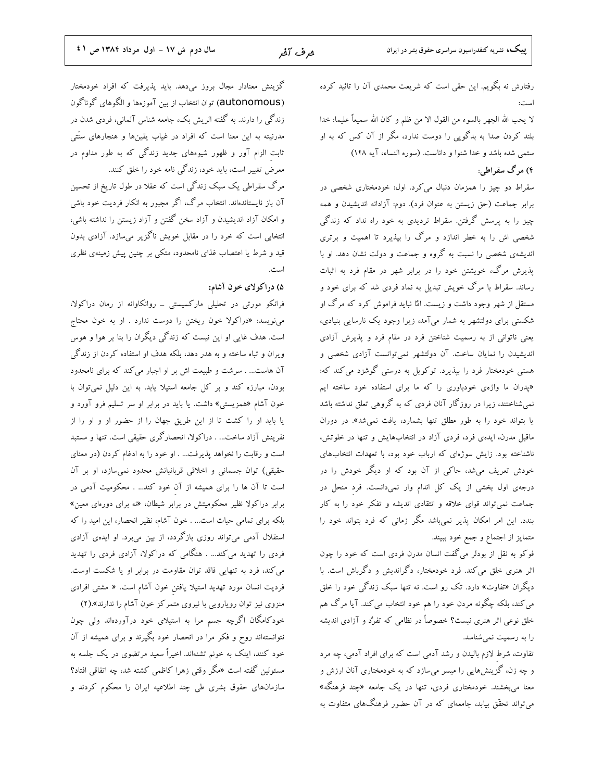رفتارش نه بگویم. این حقی است که شریعت محمدی آن را تائید کرده است:

لا يحب الله الجهر بالسوء من القول الا من ظلم و كان الله سميعاً عليما: خدا بلند کردن صدا به بدگویی را دوست ندارد، مگر از آن کس که به او ستمي شده باشد و خدا شنوا و داناست. (سوره النساء، آيه ١٤٨)

۴) مرگ سقراطی:

سقراط دو چیز را همزمان دنبال میکرد. اول: خودمختاری شخصی در برابر جماعت (حق زیستن به عنوان فرد). دوم: آزادانه اندیشیدن و همه چیز را به پرسش گرفتن. سقراط تردیدی به خود راه نداد که زندگی شخصی اش را به خطر اندازد و مرگ را بپذیرد تا اهمیت و برتری اندیشهی شخصی را نسبت به گروه و جماعت و دولت نشان دهد. او با پذیرش مرگ، خویشتن خود را در برابر شهر در مقام فرد به اثبات رساند. سقراط با مرگ خویش تبدیل به نماد فردی شد که برای خود و مستقل از شهر وجود داشت و زیست. امٌا نباید فراموش کرد که مرگ او شکستی برای دولتشهر به شمار میآمد، زیرا وجود یک نارسایی بنیادی، یعنی ناتوانی از به رسمیت شناختن فرد در مقام فرد و پذیرش آزادی اندیشیدن را نمایان ساخت. آن دولتشهر نمیتوانست آزادی شخصی و هستی خودمختار فرد را بیذیرد. توکویل به درستی گوشزد می کند که: «پدران ما واژهی خودباوری را که ما برای استفاده خود ساخته ایم نمی شناختند، زیرا در روزگار آنان فردی که به گروهی تعلق نداشته باشد یا بتواند خود را به طور مطلق تنها بشمارد، یافت نمی شد». در دوران ماقبل مدرن، ایدهی فرد، فردی آزاد در انتخابهایش و تنها در خلوتش، ناشناخته بود. زایش سوژهای که ارباب خود بود، با تعهدات انتخابهای خودش تعریف میشد، حاکی از آن بود که او دیگر خودش را در درجهی اول بخشی از یک کل اندام وار نمیدانست. فرد منحل در جماعت نمیتواند قوای خلاقه و انتقادی اندیشه و تفکر خود را به کار بندد. این امر امکان پذیر نمیباشد مگر زمانی که فرد بتواند خود را متمايز از اجتماع و جمع خود ببيند.

فوکو به نقل از بودلر میگفت انسان مدرن فردی است که خود را چون اثر هنری خلق میکند. فرد خودمختار، دگراندیش و دگرباش است. با دیگران «تفاوت» دارد. تک رو است. نه تنها سبک زندگی خود را خلق می کند، بلکه چگونه مردن خود را هم خود انتخاب می کند. آیا مرگ هم خلق نوعی اثر هنری نیست؟ خصوصاً در نظامی که تفرُد و آزادی اندیشه را به رسمیت نمی شناسد.

تفاوت، شرط لازم بالیدن و رشد آدمی است که برای افراد آدمی، چه مرد و چه زن، گزینشهایی را میسر میسازد که به خودمختاری آنان ارزش و معنا میبخشند. خودمختاری فردی، تنها در یک جامعه «چند فرهنگه» می تواند تحقّق بیابد، جامعهای که در آن حضور فرهنگهای متفاوت به

گزینش معنادار مجال بروز میدهد. باید پذیرفت که افراد خودمختار (autonomous) توان انتخاب از بين آموزهها و الگوهاى گوناگون زندگی را دارند. به گفته الریش بک، جامعه شناس آلمانی، فردی شدن در مدرنیته به این معنا است که افراد در غیاب یقینها و هنجارهای سنّتی .<br>ثابت الزام آور و ظهور شیوههای جدید زندگ<sub>ی</sub> که به طور مداوم در معرض تغییر است، باید خود، زندگی نامه خود را خلق کنند.

مرگ سقراطی یک سبک زندگی است که عقلا در طول تاریخ از تحسین آن باز نایستاندهاند. انتخاب مرگ، اگر مجبور به انکار فردیت خود باشی و امکان آزاد اندیشیدن و آزاد سخن گفتن و آزاد زیستن را نداشته باشی، انتخابی است که خرد را در مقابل خویش ناگزیر میسازد. آزادی بدون قید و شرط یا اعتصاب غذای نامحدود، متکی بر چنین پیش زمینهی نظری است.

۵) دراکولای خون آشام:

فرانکو مورتی در تحلیلی مارکسیستی \_ روانکاوانه از رمان دراکولا، مینویسد: «دراکولا خون ریختن را دوست ندارد . او به خون محتاج است. هدف غایی او این نیست که زندگی دیگران را بنا بر هوا و هوس ویران و تباه ساخته و به هدر دهد، بلکه هدف او استفاده کردن از زندگی آن هاست... . سرشت و طبیعت اش بر او اجبار می کند که برای نامحدود بودن، مبارزه کند و بر کل جامعه استیلا یابد. به این دلیل نمیتوان با خون آشام «همزیستی» داشت. یا باید در برابر او سر تسلیم فرو آورد و یا باید او را کشت تا از این طریق جهان را از حضور او و او را از نفرینش آزاد ساخت… . دراکولا، انحصارگری حقیقی است. تنها و مستبد است و رقابت را نخواهد پذیرفت... . او خود را به ادغام کردن (در معنای حقیقی) توان جسمانی و اخلاقی قربانیانش محدود نمیسازد، او بر آن است تا آن ها را برای همیشه از آن خود کند... . محکومیت آدمی در برابر دراکولا نظیر محکومیتش در برابر شیطان، «نه برای دورهای معین» بلکه برای تمامی حیات است… . خون آشام، نظیر انحصار، این امید را که استقلال آدمی میتواند روزی بازگردد، از بین میبرد. او ایدهی آزادی فردی را تهدید می کند… . هنگامی که دراکولا، آزادی فردی را تهدید می کند، فرد به تنهایی فاقد توان مقاومت در برابر او یا شکست اوست. فرديت انسان مورد تهديد استيلا يافتن خون آشام است. « مشتى افرادى

منزوی نیز توان رویارویی با نیروی متمرکز خون آشام را ندارند».(۲) خودکامگان اگرچه جسم مرا به استیلای خود درآوردهاند ولی چون نتوانستهاند روح و فکر مرا در انحصار خود بگیرند و برای همیشه از آن خود کنند، اینک به خونم تشنهاند. اخیراً سعید مرتضوی در یک جلسه به مسئولین گفته است «مگر وقتی زهرا کاظمی کشته شد، چه اتفاقی افتاد؟ .<br>سازمانهای حقوق بشری طی چند اطلاعیه ایران را محکوم کردند و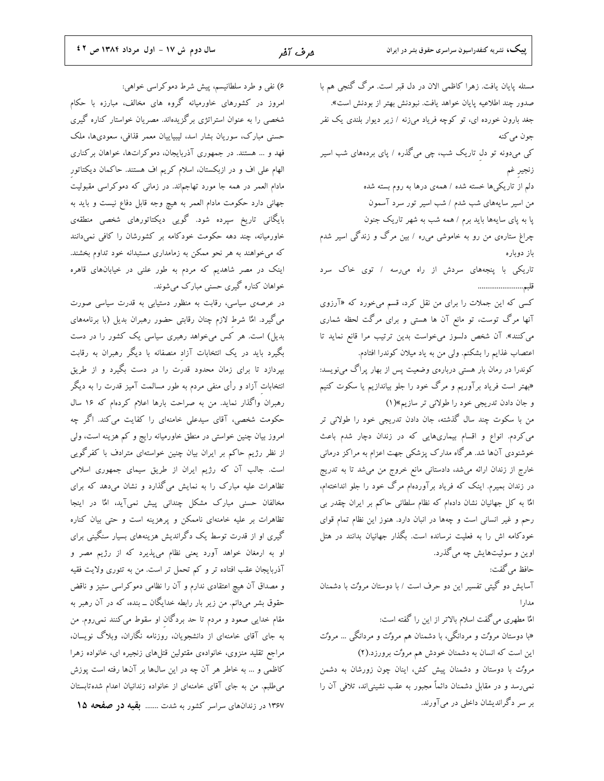سال دوم ش ١٧ - اول مرداد ١٣٨٤ ص ٤٢

۶) نفی و طرد سلطانیسم، پیش شرط دموکراسی خواهی: امروز در کشورهای خاورمیانه گروه های مخالف، مبارزه با حکام شخصی را به عنوان استراتژی برگزیدهاند. مصریان خواستار کناره گیری حسنی مبارک، سوریان بشار اسد، لیبیاییان معمر قذافی، سعودیها، ملک فهد و ... هستند. در جمهوری آذربایجان، دموکراتها، خواهان برکناری الهام علی اف و در ازبکستان، اسلام کریم اف هستند. حاکمان دیکتاتور مادام العمر در همه جا مورد تهاجم|ند. در زمانی که دموکراسی مقبولیت جهانی دارد حکومت مادام العمر به هیچ وجه قابل دفاع نیست و باید به بایگانی تاریخ سپرده شود. گویی دیکتاتورهای شخصی منطقهی خاورمیانه، چند دهه حکومت خودکامه بر کشورشان را کافی نمیدانند که میخواهند به هر نحو ممکن به زمامداری مستبدانه خود تداوم بخشند. اینک در مصر شاهدیم که مردم به طور علنی در خیابانهای قاهره خواهان کناره گیری حسنی مبارک میشوند.

در عرصهی سیاسی، رقابت به منظور دستیابی به قدرت سیاسی صورت می گیرد. امٌا شرط لازم چنان رقابتی حضور رهبران بدیل (با برنامههای بدیل) است. هر کس میخواهد رهبری سیاسی یک کشور را در دست بگیرد باید در یک انتخابات آزاد منصفانه با دیگر رهبران به رقابت بپردازد تا برای زمان محدود قدرت را در دست بگیرد و از طریق انتخابات آزاد و رأی منفی مردم به طور مسالمت آمیز قدرت را به دیگر رهبران واگذار نماید. من به صراحت بارها اعلام کردهام که ۱۶ سال حکومت شخصی، آقای سیدعلی خامنهای را کفایت میکند. اگر چه امروز بیان چنین خواستی در منطق خاورمیانه رایج و کم هزینه است، ولی از نظر رژیم حاکم بر ایران بیان چنین خواستهای مترادف با کفرگویی است. جالب آن که رژیم ایران از طریق سیمای جمهوری اسلامی تظاهرات علیه مبارک را به نمایش میگذارد و نشان میدهد که برای مخالفان حسنی مبارک مشکل چندانی پیش نمیآید، امٌا در اینجا تظاهرات بر علیه خامنهای ناممکن و پرهزینه است و حتی بیان کناره گیری او از قدرت توسط یک دگراندیش هزینههای بسیار سنگینی برای او به ارمغان خواهد آورد یعنی نظام میپذیرد که از رژیم مصر و آذربایجان عقب افتاده تر و کم تحمل تر است. من به تئوری ولایت فقیه و مصداق آن هیچ اعتقادی ندارم و آن را نظامی دموکراسی ستیز و ناقض حقوق بشر میدانم. من زیر بار رابطه خدایگان ــ بنده، که در آن رهبر به مقام خدایی صعود و مردم تا حد بردگان او سقوط می کنند نمی روم. من به جای آقای خامنهای از دانشجویان، روزنامه نگاران، وبلاگ نویسان، مراجع تقلید منزوی، خانوادهی مقتولین قتلهای زنجیره ای، خانواده زهرا كاظمي و … به خاطر هر آن چه در اين سال&ا بر آنها رفته است پوزش میطلبم. من به جای آقای خامنهای از خانواده زندانیان اعدام شدهتابستان ۱۳۶۷ در زندانهای سراسر کشور به شدت ....... بقیه در صفحه ۱۵

مسئله پایان یافت. زهرا کاظمی الان در دل قبر است. مرگ گنجی هم با صدور چند اطلاعیه پایان خواهد یافت. نبودنش بهتر از بودنش است». جغد بارون خورده ای، تو کوچه فریاد میزنه / زیر دیوار بلندی یک نفر جون مي کنه کی میدونه تو دل تاریک شب، چی میگذره / پای بردههای شب اسیر زنجير غم دلم از تاریکی ها خسته شده / همهی درها به روم بسته شده من اسیر سایههای شب شدم / شب اسیر تور سرد آسمون پا به پای سایهها باید برم / همه شب به شهر تاریک جنون چراغ ستارهی من رو به خاموشی میره / بین مرگ و زندگی اسیر شدم باز دوباره تاریکی با پنجههای سردش از راه میرسه / توی خاک سرد قلبم....................... کسی که این جملات را برای من نقل کرد، قسم میخورد که «آرزوی آنها مرگ توست، تو مانع آن ها هستی و برای مرگت لحظه شماری می کنند». آن شخص دلسوز میخواست بدین ترتیب مرا قانع نماید تا اعتصاب غذایم را بشکنم. ولی من به یاد میلان کوندرا افتادم. کوندرا در رمان بار هستی دربارهی وضعیت پس از بهار پراگ مینویسد: «بهتر است فریاد برآوریم و مرگ خود را جلو بیاندازیم یا سکوت کنیم و جان دادن تدریجی خود را طولانی تر سازیم»(۱) من با سکوت چند سال گذشته، جان دادن تدریجی خود را طولانی تر می کردم. انواع و اقسام بیماریهایی که در زندان دچار شدم باعث خوشنودی آنها شد. هرگاه مدارک پزشکی جهت اعزام به مراکز درمانی خارج از زندان ارائه میشد، دادستانی مانع خروج من میشد تا به تدریج در زندان بمیرم. اینک که فریاد برآوردهام مرگ خود را جلو انداختهام، امٌا به کل جهانیان نشان دادهام که نظام سلطانی حاکم بر ایران چقدر بی رحم و غیر انسانی است و چهها در انبان دارد. هنوز این نظام تمام قوای خودکامه اش را به فعلیت نرسانده است. بگذار جهانیان بدانند در هتل اوين و سوئيتهايش چه مي گذرد. حافظ مي گفت: آسایش دو گیتی تفسیر این دو حرف است / با دوستان مروُت با دشمنان مدار ا امٌا مطهري مي گفت اسلام بالاتر از اين را گفته است: «با دوستان مروٌت و مردانگی، با دشمنان هم مروٌت و مردانگی … مروٌت این است که انسان به دشمنان خودش هم مروٌت برورزد.(۲) مروٌت با دوستان و دشمنان پیش کش، اینان چون زورشان به دشمن

نمی رسد و در مقابل دشمنان دائماً مجبور به عقب نشینیاند، تلافی آن را بر سر دگراندیشان داخلی در میآورند.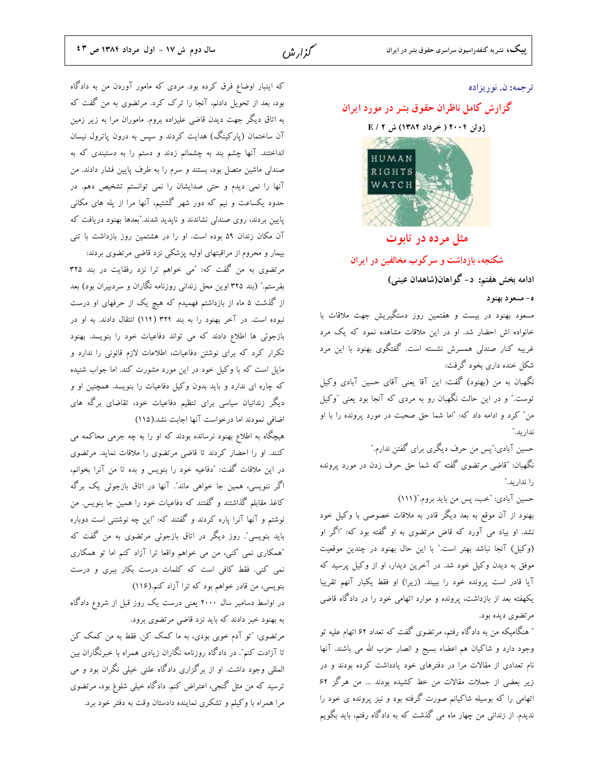#### ترجمه: ن. نوريزاده

#### گزارش کامل ناظران حقوق بشر در مورد ایران

ژوئن ۲۰۰۴ ( خرداد ۱۳۸۲) ش E / ۲



#### مثل مرده در تابوت

شکنجه، بازداشت و سرکوب مخالفین در ایران

ادامه بخش هفتم: د- گواهان(شاهدان عینی)

#### ه- مسعود بهنود

مسعود بهنود در بیست و هفتمین روز دستگیریش جهت ملاقات با .<br>خانواده اش احضار شد. او در این ملاقات مشاهده نمود که یک مرد غریبه کنار صندلی همسرش نشسته است. گفتگوی بهنود با این مرد شکل خنده داری بخود گرفت:

نگهبان به من (بهنود) گفت: این آقا یعنی آقای حسین آبادی وکیل توست." و در این حالت نگهبان رو به مردی که آنجا بود یعنی "وکیل من" کرد و ادامه داد که: "اما شما حق صحبت در مورد پرونده را با او ندار ىد."

حسین آبادی:″پس من حرف دیگری برای گفتن ندارم.″ نگهبان: "قاضی مرتضوی گفته که شما حق حرف زدن در مورد پرونده

را ندار بد."

حسين آبادي: "خب، پس من بايد بروم."(١١١)

بهنود از آن موقع به بعد دیگر قادر به ملاقات خصوصی با وکیل خود نشد. او بیاد می آورد که قاض مرتضوی به او گفته بود که: "اگر او (وكيل) آنجا نباشد بهتر است." با اين حال بهنود در چندين موقعيت موفق به دیدن وکیل خود شد. در آخرین دیدار، او از وکیل پرسید که آیا قادر است پرونده خود را ببیند. (زیرا) او فقط یکبار آنهم تقریبا یکهفته بعد از بازداشت، پرونده و موارد اتهامی خود را در دادگاه قاضی مرتضوي ديده بود.

″ هنگامیکه من به دادگاه رفتم، مرتضوی گفت که تعداد ۶۲ اتهام علیه تو وجود دارد و شاكيان هم اعضاء بسيج و انصار حزب الله مي باشند. آنها نام تعدادی از مقالات مرا در دفترهای خود یادداشت کرده بودند و در زیر بعضی از جملات مقالات من خط کشیده بودند ... من هرگز ۶۲ اتهامی را که بوسیله شاکیانم صورت گرفته بود و نیز پرونده ی خود را ندیدم. از زندانی من چهار ماه می گذشت که به دادگاه رفتم، باید بگویم

که اینبار اوضاع فرق کرده بود. مردی که مامور آوردن من به دادگاه بود، بعد از تحویل دادنم، آنجا را ترک کرد. مرتضوی به من گفت که به اتاق دیگر جهت دیدن قاضی علیزاده بروم. ماموران مرا به زیر زمین آن ساختمان (پارکینگ) هدایت کردند و سپس به درون پاترول نیسان انداختند. آنها چشم بند به چشمانم زدند و دستم را به دستبندی که به صندلی ماشین متصل بود، بستند و سرم را به طرف پایین فشار دادند. من آنها را نمی دیدم و حتی صدایشان را نمی توانستم تشخیص دهم. در حدود یکساعت و نیم که دور شهر گشتیم، آنها مرا از پله های مکانی یایین بردند، روی صندلی نشاندند و نایدید شدند."بعدها بهنود دریافت که آن مکان زندان ۵۹ بوده است. او را در هشتمین روز بازداشت با تنی بیمار و محروم از مراقبتهای اولیه پزشکی نزد قاضی مرتضوی بردند:

مرتضوی به من گفت که: "می خواهم ترا نزد رفقایت در بند ۳۲۵ بفرستم." (بند ۳۲۵ اوین محل زندانی روزنامه نگاران و سردبیران بود) بعد از گذشت ۵ ماه از بازداشتم فهمیدم که هیچ یک از حرفهای او درست نبوده است. در آخر بهنود را به بند ۳۲۴ (۱۱۴) انتقال دادند. به او در بازجوئی ها اطلاع دادند که می تواند دفاعیات خود را بنویسد. بهنود تکرار کرد که برای نوشتن دفاعیات، اطلاعات لازم قانونی را ندارد و مایل است که با وکیل خود در این مورد مشورت کند. اما جواب شنیده که چاره ای ندارد و باید بدون وکیل دفاعیات را بنویسد. همچنین او و دیگر زندانیان سیاسی برای تنظیم دفاعیات خود، تقاضای برگه های اضافی نمودند اما درخواست آنها اجابت نشد.(۱۱۵)

هیچگاه به اطلاع بهنود نرسانده بودند که او را به چه جرمی محاکمه می کنند. او را احضار کردند تا قاضی مرتضوی را ملاقات نماید. مرتضوی در این ملاقات گفت: "دفاعیه خود را بنویس و بده تا من آنرا بخوانم، اگر ننویسی، همین جا خواهی ماند". آنها در اتاق بازجوئی یک برگه كاغذ مقابلم گذاشتند و گفتند كه دفاعيات خود را همين جا بنويس. من نوشتم و آنها آنرا پاره کردند و گفتند که: "این چه نوشتنی است دوباره باید بنویسی". روز دیگر در اتاق بازجوئی مرتضوی به من گفت که "همکاری نمی کنی، من می خواهم واقعا ترا آزاد کنم اما تو همکاری نمی کنی. فقط کافی است که کلمات درست بکار ببری و درست بنویسی، من قادر خواهم بود که ترا آزاد کنم.(۱۱۶)

در اواسط دسامبر سال ۲۰۰۰ یعنی درست یک روز قبل از شروع دادگاه به بهنود خبر دادند که باید نزد قاضی مرتضوی برود.

مرتضوی: "تو آدم خوبی بودی، به ما کمک کن. فقط به من کمک کن تا آزادت کنم". در دادگاه روزنامه نگاران زیادی همراه با خبرنگاران بین المللی وجود داشت. او از برگزاری دادگاه علنی خیلی نگران بود و می ترسید که من مثل گنجی، اعتراض کنم. دادگاه خیلی شلوغ بود، مرتضوی مرا همراه با وكيلم و تشكري نماينده دادستان وقت به دفتر خود برد.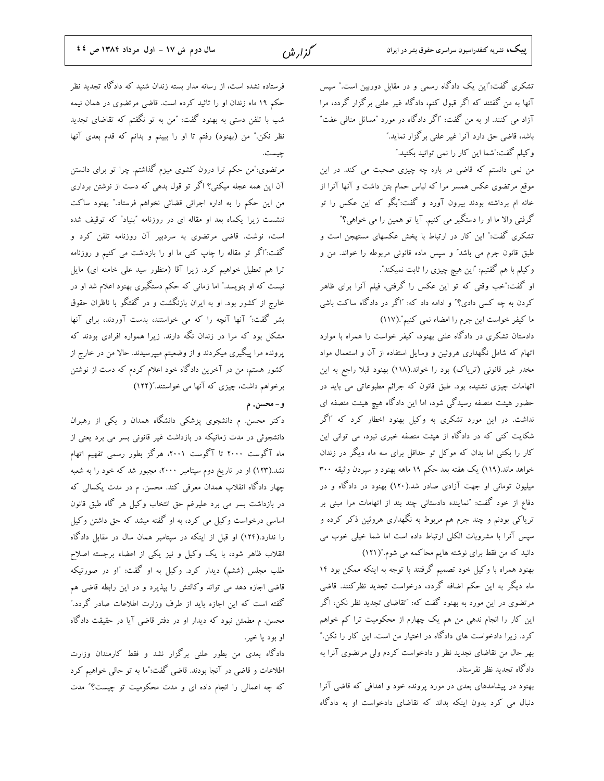تشکری گفت:"این یک دادگاه رسمی و در مقابل دوربین است." سپس آنها به من گفتند که اگر قبول کنم، دادگاه غیر علنی برگزار گردد، مرا آزاد می کنند. او به من گفت: "اگر دادگاه در مورد "مسائل منافی عفت" باشد، قاضی حق دارد آنرا غیر علنی برگزار نماید." وكيلم گفت:"شما اين كار را نمي توانيد بكنيد."

من نمی دانستم که قاضی در باره چه چیزی صحبت می کند. در این موقع مرتضوی عکس همسر مرا که لباس حمام بتن داشت و آنها آنرا از خانه ام برداشته بودند بیرون آورد و گفت:"بگو که این عکس را تو گرفتی والا ما او را دستگیر می کنیم. آیا تو همین را می خواهی؟" تشکری گفت:" این کار در ارتباط با پخش عکسهای مستهجن است و طبق قانون جرم می باشد" و سپس ماده قانونی مربوطه را خواند. من و

وكيلم با هم گفتيم: "اين هيچ چيزي را ثابت نميكند". او گفت:"خب وقتی که تو این عکس را گرفتی، فیلم آنرا برای ظاهر کردن به چه کسی دادی؟" و ادامه داد که: "اگر در دادگاه ساکت باشی

ما كيفر خواست اين جرم را امضاء نمي كنيم".(١١٧) دادستان تشکری در دادگاه علنی بهنود، کیفر خواست را همراه با موارد اتهام که شامل نگهداری هروئین و وسایل استفاده از آن و استعمال مواد مخدر غیر قانونی (تریاک) بود را خواند.(۱۱۸) بهنود قبلا راجع به این اتهامات چیزی نشنیده بود. طبق قانون که جرائم مطبوعاتی می باید در حضور هیئت منصفه رسیدگی شود، اما این دادگاه هیچ هیئت منصفه ای نداشت. در این مورد تشکری به وکیل بهنود اخطار کرد که "اگر شکایت کنی که در دادگاه از هیئت منصفه خبری نبود، می توانی این کار را بکنی اما بدان که موکل تو حداقل برای سه ماه دیگر در زندان خواهد ماند.(۱۱۹) یک هفته بعد حکم ۱۹ ماهه بهنود و سپردن وثیقه ۳۰۰ میلیون تومانی او جهت آزادی صادر شد.(۱۲۰) بهنود در دادگاه و در دفاع از خود گفت: "نماینده دادستانی چند بند از اتهامات مرا مبنی بر تریاکی بودنم و چند جرم هم مربوط به نگهداری هروئین ذکر کرده و سپس آنرا با مشروبات الکلی ارتباط داده است اما شما خیلی خوب می

دانید که من فقط برای نوشته هایم محاکمه می شوم."(۱۲۱) بهنود همراه با وكيل خود تصميم گرفتند با توجه به اينكه ممكن بود ١٤ ماه دیگر به این حکم اضافه گردد، درخواست تجدید نظرکنند. قاضی مرتضوی در این مورد به بهنود گفت که: "تقاضای تجدید نظر نکن، اگر این کار را انجام ندهی من هم یک چهارم از محکومیت ترا کم خواهم کرد. زیرا دادخواست های دادگاه در اختیار من است. این کار را نکن." بهر حال من تقاضای تجدید نظر و دادخواست کردم ولی مرتضوی آنرا به دادگاه تجدید نظر نفرستاد.

بهنود در پیشامدهای بعدی در مورد پرونده خود و اهدافی که قاضی آنرا دنبال می کرد بدون اینکه بداند که تقاضای دادخواست او به دادگاه

فرستاده نشده است، از رسانه مدار بسته زندان شنید که دادگاه تجدید نظر حکم ۱۹ ماه زندان او را تائید کرده است. قاضی مرتضوی در همان نیمه شب با تلفن دستی به بهنود گفت: "من به تو نگفتم که تقاضای تجدید نظر نکن." من (بهنود) رفتم تا او را ببینم و بدانم که قدم بعدی آنها چیست.

مرتضوی:"من حکم ترا درون کشوی میزم گذاشتم. چرا تو برای دانستن آن این همه عجله میکنی؟ اگر تو قول بدهی که دست از نوشتن برداری من این حکم را به اداره اجرائی قضائی نخواهم فرستاد." بهنود ساکت ننشست زیرا یکماه بعد او مقاله ای در روزنامه "بنیاد" که توقیف شده است، نوشت. قاضی مرتضوی به سردبیر آن روزنامه تلفن کرد و گفت:"اگر تو مقاله را چاپ کنی ما او را بازداشت می کنیم و روزنامه ترا هم تعطیل خواهیم کرد. زیرا آقا (منظور سید علی خامنه ای) مایل نیست که او بنویسد." اما زمانی که حکم دستگیری بهنود اعلام شد او در خارج از کشور بود. او به ایران بازنگشت و در گفتگو با ناظران حقوق بشر گفت:" آنها آنچه را که می خواستند، بدست آوردند، برای آنها مشکل بود که مرا در زندان نگه دارند. زیرا همواره افرادی بودند که پرونده مرا پیگیری میکردند و از وضعیتم میپرسیدند. حالا من در خارج از کشور هستم، من در آخرین دادگاه خود اعلام کردم که دست از نوشتن برخواهم داشت، چیزی که آنها می خواستند."(۱۲۲)

و – محسن. م

دکتر محسن. م دانشجوی پزشکی دانشگاه همدان و یکی از رهبران دانشجوئی در مدت زمانیکه در بازداشت غیر قانونی بسر می برد یعنی از ماه آگوست ۲۰۰۰ تا آگوست ۲۰۰۱، هرگز بطور رسمی تفهیم اتهام نشد.(۱۲۳) او در تاریخ دوم سپتامبر ۲۰۰۰، مجبور شد که خود را به شعبه چهار دادگاه انقلاب همدان معرفی کند. محسن. م در مدت یکسالی که در بازداشت بسر می برد علیرغم حق انتخاب وکیل هر گاه طبق قانون اساسی درخواست وکیل می کرد، به او گفته میشد که حق داشتن وکیل را ندارد.(۱۲۴) او قبل از اینکه در سپتامبر همان سال در مقابل دادگاه انقلاب ظاهر شود، با یک وکیل و نیز یکی از اعضاء برجسته اصلاح طلب مجلس (ششم) دیدار کرد. وکیل به او گفت: "او در صورتیکه قاضی اجازه دهد می تواند وکالتش را بپذیرد و در این رابطه قاضی هم گفته است که این اجازه باید از طرف وزارت اطلاعات صادر گردد." محسن. م مطمئن نبود که دیدار او در دفتر قاضی آیا در حقیقت دادگاه او بود يا خير.

دادگاه بعدی من بطور علنی برگزار نشد و فقط کارمندان وزارت اطلاعات و قاضی در آنجا بودند. قاضی گفت:″ما به تو حالی خواهیم کرد که چه اعمالی را انجام داده ای و مدت محکومیت تو چیست؟" مدت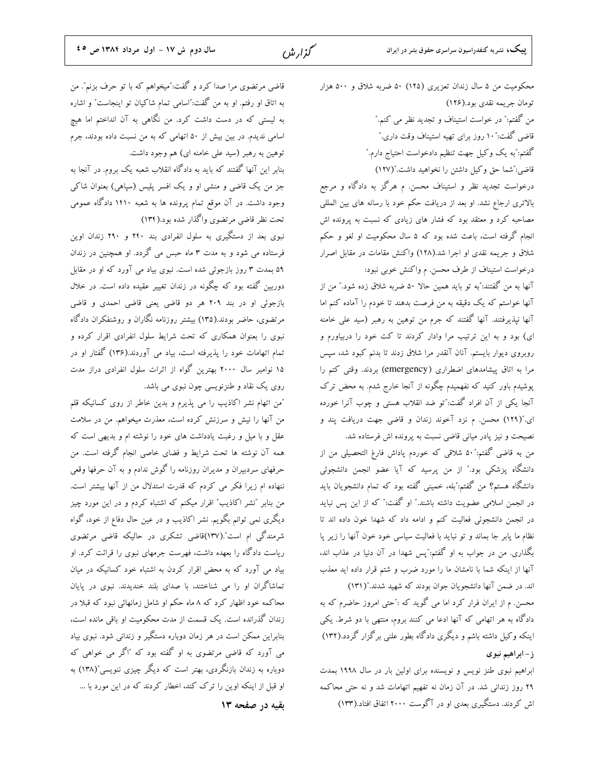قاضی مرتضوی مرا صدا کرد و گفت:"میخواهم که با تو حرف بزنم". من به اتاق او رفتم. او به من گفت:"اسامی تمام شاکیان تو اینجاست" و اشاره به لیستی که در دست داشت کرد. من نگاهی به آن انداختم اما هیچ اسامی ندیدم. در بین بیش از ۵۰ اتهامی که به من نسبت داده بودند، جرم توهين به رهبر (سيد على خامنه اي) هم وجود داشت.

بنابر این آنها گفتند که باید به دادگاه انقلاب شعبه یک بروم. در آنجا به جز من یک قاضی و منشی او و یک افسر پلیس (سپاهی) بعنوان شاکی وجود داشت. در آن موقع تمام پرونده ها به شعبه ۱۴۱۰ دادگاه عمومی تحت نظر قاضي مرتضوي واگذار شده بود.(۱۳۴)

نبوی بعد از دستگیری به سلول انفرادی بند ۲۴۰ و ۲۹۰ زندان اوین فرستاده می شود و به مدت ۳ ماه حبس می گردد. او همچنین در زندان ۵۹ بمدت ۳ روز بازجوئی شده است. نبوی بیاد می آورد که او در مقابل دوربین گفته بود که چگونه در زندان تغییر عقیده داده است. در خلال بازجوئی او در بند ۲۰۹ هر دو قاضی یعنی قاضی احمدی و قاضی مرتضوی، حاضر بودند.(۱۳۵) بیشتر روزنامه نگاران و روشنفکران دادگاه نبوی را بعنوان همکاری که تحت شرایط سلول انفرادی اقرار کرده و تمام اتهامات خود را پذیرفته است، بیاد می آوردند.(۱۳۶) گفتار او در ۱۵ نوامبر سال ۲۰۰۰ بهترین گواه از اثرات سلول انفرادی دراز مدت روی یک نقاد و طنزنویسی چون نبوی می باشد.

"من اتهام نشر اكاذيب را مي پذيرم و بدين خاطر از روى كسانيكه قلم من آنها را نیش و سرزنش کرده است، معذرت میخواهم. من در سلامت عقل و با میل و رغبت یادداشت های خود را نوشته ام و بدیهی است که همه آن نوشته ها تحت شرایط و فضای خاصی انجام گرفته است. من حرفهای سردبیران و مدیران روزنامه را گوش ندادم و به آن حرفها وقعی ننهاده ام زیرا فکر می کردم که قدرت استدلال من از آنها بیشتر است. من بنابر "نشر اکاذیب" اقرار میکنم که اشتباه کردم و در این مورد چیز دیگری نمی توانم بگویم. نشر اکاذیب و در عین حال دفاع از خود، گواه شرمندگی ام است".(۱۳۷)قاضی تشکری در حالیکه قاضی مرتضوی ریاست دادگاه را بعهده داشت، فهرست جرمهای نبوی را قرائت کرد. او بیاد می آورد که به محض اقرار کردن به اشتباه خود کسانیکه در میان تماشاگران او را می شناختند، با صدای بلند خندیدند. نبوی در پایان محاکمه خود اظهار کرد که ۸ ماه حکم او شامل زمانهائی نبود که قبلا در زندان گذرانده است. یک قسمت از مدت محکومیت او باقی مانده است، بنابراین ممکن است در هر زمان دوباره دستگیر و زندانی شود. نبوی بیاد می آورد که قاضی مرتضوی به او گفته بود که "اگر می خواهی که دوباره به زندان بازنگردی، بهتر است که دیگر چیزی ننویسی"(۱۳۸) به او قبل از اینکه اوین را ترک کند، اخطار کردند که در این مورد با ... بقیه در صفحه ١٣ محکومیت من ۵ سال زندان تعزیری (۱۲۵) ۵۰ ضربه شلاق و ۵۰۰ هزار تومان جريمه نقدى بود.(١٢۶) من گفتم:" در خواست استیناف و تجدید نظر می کنم." قاضی گفت:"۱۰ روز برای تهیه استیناف وقت داری." گفتم: ٌبه یک وکیل جهت تنظیم دادخواست احتیاج دارم. ٌ قاضی:"شما حق وکیل داشتن را نخواهید داشت."(۱۲۷) درخواست تجدید نظر و استیناف محسن. م هرگز به دادگاه و مرجع بالاتری ارجاع نشد. او بعد از دریافت حکم خود با رسانه های بین المللی

مصاحبه کرد و معتقد بود که فشار های زیادی که نسبت به پرونده اش انجام گرفته است، باعث شده بود که ۵ سال محکومیت او لغو و حکم شلاق و جریمه نقدی او اجرا شد.(۱۲۸) واکنش مقامات در مقابل اصرار درخواست استیناف از طرف محسن. م واکنش خوبی نبود:

آنها به من گفتند:"به تو باید همین حالا ۵۰ ضربه شلاق زده شود." من از آنها خواستم که یک دقیقه به من فرصت بدهند تا خودم را آماده کنم اما آنها نپذیرفتند. آنها گفتند که جرم من توهین به رهبر (سید علی خامنه ای) بود و به این ترتیب مرا وادار کردند تا کت خود را دربیاورم و روبروی دیوار بایستم. آنان آنقدر مرا شلاق زدند تا بدنم کبود شد، سپس مرا به اتاق پیشامدهای اضطراری (emergency) بردند. وقتی کتم را پوشیدم باور کنید که نفهمیدم چگونه از آنجا خارج شدم. به محض ترک آنجا یکی از آن افراد گفت:"تو ضد انقلاب هستی و چوب آنرا خورده ای."(۱۲۹) محسن. م نزد آخوند زندان و قاضی جهت دریافت پند و نصیحت و نیز پادر میانی قاضی نسبت به پرونده اش فرستاده شد.

من به قاضی گفتم:"۵۰ شلاقی که خوردم پاداش فارغ التحصیلی من از دانشگاه پزشکی بود." از من پرسید که آیا عضو انجمن دانشجوئی دانشگاه هستم؟ من گفتم:″بله، خمینی گفته بود که تمام دانشجویان باید در انجمن اسلامی عضویت داشته باشند." او گفت:" که از این پس نباید در انجمن دانشجوئی فعالیت کنم و ادامه داد که شهدا خون داده اند تا نظام ما پابر جا بماند و تو نباید با فعالیت سیاسی خود خون آنها را زیر پا بگذاری. من در جواب به او گفتم:"پس شهدا در آن دنیا در عذاب اند، آنها از اینکه شما با نامشان ما را مورد ضرب و شتم قرار داده اید معذب

اند. در ضمن آنها دانشجویان جوان بودند که شهید شدند."(۱۳۱) محسن. م از ایران فرار کرد اما می گوید که :"حتی امروز حاضرم که به دادگاه به هر اتهامی که آنها ادعا می کنند بروم، منتهی با دو شرط. یکی اینکه وکیل داشته باشم و دیگری دادگاه بطور علنی برگزار گردد.(۱۳۲) ز- ابراهيم نبوي

ابراهیم نبوی طنز نویس و نویسنده برای اولین بار در سال ۱۹۹۸ بمدت ۲۹ روز زندانی شد. در آن زمان نه تفهیم اتهامات شد و نه حتی محاکمه اش کردند. دستگیری بعدی او در آگوست ۲۰۰۰ اتفاق افتاد.(۱۳۳)